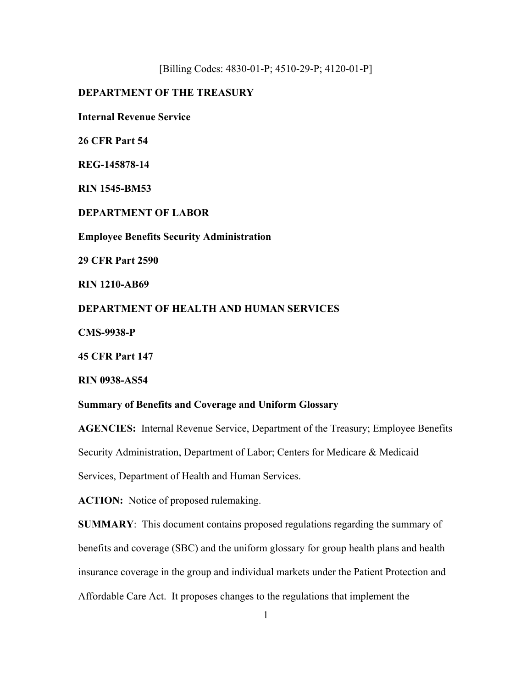[Billing Codes: 4830-01-P; 4510-29-P; 4120-01-P]

# **DEPARTMENT OF THE TREASURY**

**Internal Revenue Service** 

**26 CFR Part 54** 

**REG-145878-14** 

**RIN 1545-BM53** 

**DEPARTMENT OF LABOR**

**Employee Benefits Security Administration**

**29 CFR Part 2590** 

**RIN 1210-AB69** 

**DEPARTMENT OF HEALTH AND HUMAN SERVICES** 

**CMS-9938-P** 

**45 CFR Part 147** 

**RIN 0938-AS54** 

## **Summary of Benefits and Coverage and Uniform Glossary**

**AGENCIES:** Internal Revenue Service, Department of the Treasury; Employee Benefits Security Administration, Department of Labor; Centers for Medicare & Medicaid Services, Department of Health and Human Services.

**ACTION:** Notice of proposed rulemaking.

**SUMMARY**: This document contains proposed regulations regarding the summary of benefits and coverage (SBC) and the uniform glossary for group health plans and health insurance coverage in the group and individual markets under the Patient Protection and Affordable Care Act. It proposes changes to the regulations that implement the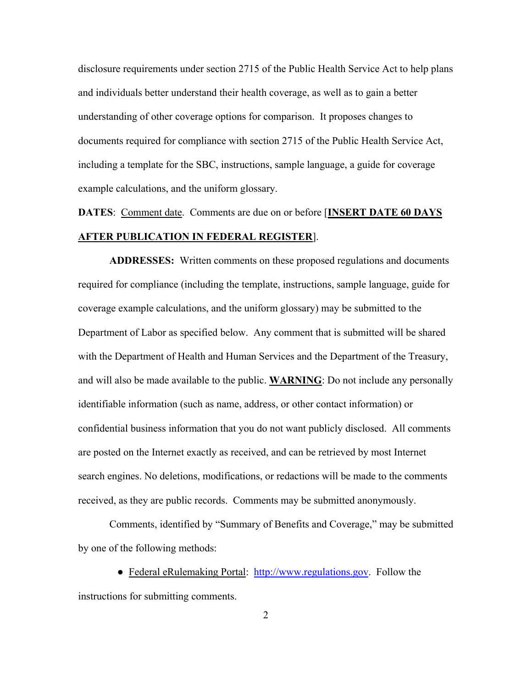disclosure requirements under section 2715 of the Public Health Service Act to help plans and individuals better understand their health coverage, as well as to gain a better understanding of other coverage options for comparison. It proposes changes to documents required for compliance with section 2715 of the Public Health Service Act, including a template for the SBC, instructions, sample language, a guide for coverage example calculations, and the uniform glossary.

# **DATES**: Comment date. Comments are due on or before [**INSERT DATE 60 DAYS AFTER PUBLICATION IN FEDERAL REGISTER**].

**ADDRESSES:** Written comments on these proposed regulations and documents required for compliance (including the template, instructions, sample language, guide for coverage example calculations, and the uniform glossary) may be submitted to the Department of Labor as specified below. Any comment that is submitted will be shared with the Department of Health and Human Services and the Department of the Treasury, and will also be made available to the public. **WARNING**: Do not include any personally identifiable information (such as name, address, or other contact information) or confidential business information that you do not want publicly disclosed. All comments are posted on the Internet exactly as received, and can be retrieved by most Internet search engines. No deletions, modifications, or redactions will be made to the comments received, as they are public records. Comments may be submitted anonymously.

Comments, identified by "Summary of Benefits and Coverage," may be submitted by one of the following methods:

• Federal eRulemaking Portal: http://www.regulations.gov. Follow the instructions for submitting comments.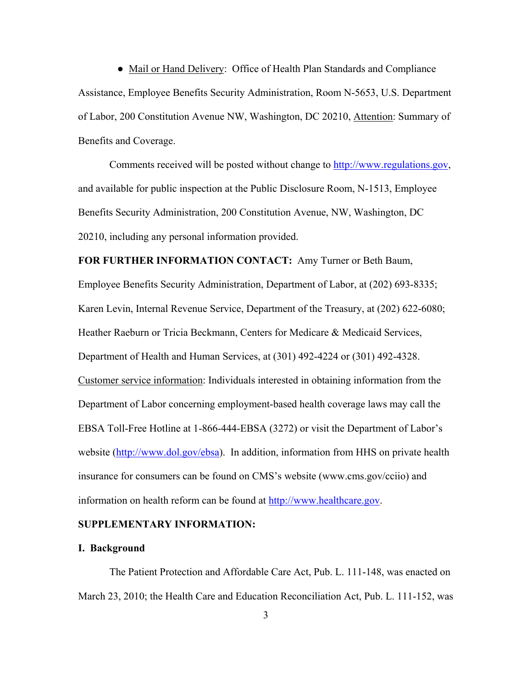• Mail or Hand Delivery: Office of Health Plan Standards and Compliance Assistance, Employee Benefits Security Administration, Room N-5653, U.S. Department of Labor, 200 Constitution Avenue NW, Washington, DC 20210, Attention: Summary of Benefits and Coverage.

Comments received will be posted without change to http://www.regulations.gov, and available for public inspection at the Public Disclosure Room, N-1513, Employee Benefits Security Administration, 200 Constitution Avenue, NW, Washington, DC 20210, including any personal information provided.

**FOR FURTHER INFORMATION CONTACT:** Amy Turner or Beth Baum,

Employee Benefits Security Administration, Department of Labor, at (202) 693-8335; Karen Levin, Internal Revenue Service, Department of the Treasury, at (202) 622-6080; Heather Raeburn or Tricia Beckmann, Centers for Medicare & Medicaid Services, Department of Health and Human Services, at (301) 492-4224 or (301) 492-4328. Customer service information: Individuals interested in obtaining information from the Department of Labor concerning employment-based health coverage laws may call the EBSA Toll-Free Hotline at 1-866-444-EBSA (3272) or visit the Department of Labor's website (http://www.dol.gov/ebsa). In addition, information from HHS on private health insurance for consumers can be found on CMS's website (www.cms.gov/cciio) and information on health reform can be found at http://www.healthcare.gov.

## **SUPPLEMENTARY INFORMATION:**

#### **I. Background**

 The Patient Protection and Affordable Care Act, Pub. L. 111-148, was enacted on March 23, 2010; the Health Care and Education Reconciliation Act, Pub. L. 111-152, was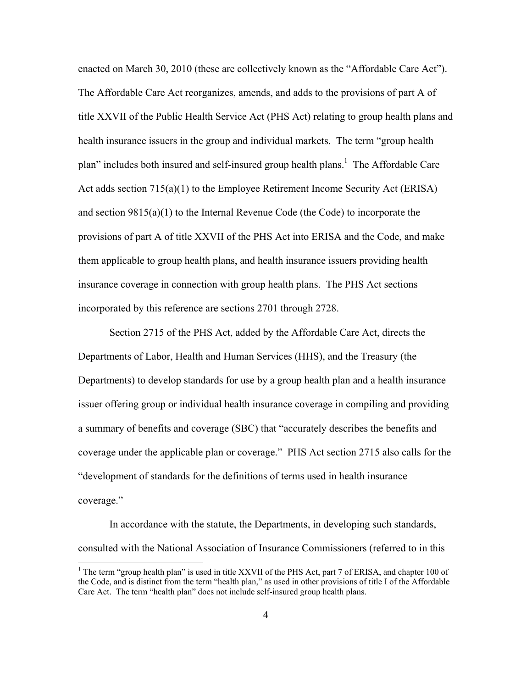enacted on March 30, 2010 (these are collectively known as the "Affordable Care Act"). The Affordable Care Act reorganizes, amends, and adds to the provisions of part A of title XXVII of the Public Health Service Act (PHS Act) relating to group health plans and health insurance issuers in the group and individual markets. The term "group health plan" includes both insured and self-insured group health plans.<sup>1</sup> The Affordable Care Act adds section 715(a)(1) to the Employee Retirement Income Security Act (ERISA) and section  $9815(a)(1)$  to the Internal Revenue Code (the Code) to incorporate the provisions of part A of title XXVII of the PHS Act into ERISA and the Code, and make them applicable to group health plans, and health insurance issuers providing health insurance coverage in connection with group health plans. The PHS Act sections incorporated by this reference are sections 2701 through 2728.

Section 2715 of the PHS Act, added by the Affordable Care Act, directs the Departments of Labor, Health and Human Services (HHS), and the Treasury (the Departments) to develop standards for use by a group health plan and a health insurance issuer offering group or individual health insurance coverage in compiling and providing a summary of benefits and coverage (SBC) that "accurately describes the benefits and coverage under the applicable plan or coverage." PHS Act section 2715 also calls for the "development of standards for the definitions of terms used in health insurance coverage."

 In accordance with the statute, the Departments, in developing such standards, consulted with the National Association of Insurance Commissioners (referred to in this

<sup>&</sup>lt;sup>1</sup> The term "group health plan" is used in title XXVII of the PHS Act, part 7 of ERISA, and chapter 100 of the Code, and is distinct from the term "health plan," as used in other provisions of title I of the Affordable Care Act. The term "health plan" does not include self-insured group health plans.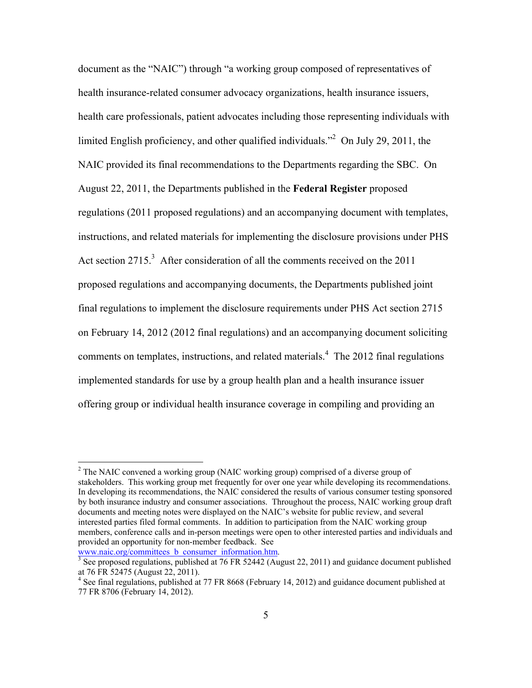document as the "NAIC") through "a working group composed of representatives of health insurance-related consumer advocacy organizations, health insurance issuers, health care professionals, patient advocates including those representing individuals with limited English proficiency, and other qualified individuals.<sup>22</sup> On July 29, 2011, the NAIC provided its final recommendations to the Departments regarding the SBC. On August 22, 2011, the Departments published in the **Federal Register** proposed regulations (2011 proposed regulations) and an accompanying document with templates, instructions, and related materials for implementing the disclosure provisions under PHS Act section  $2715$ <sup>3</sup> After consideration of all the comments received on the 2011 proposed regulations and accompanying documents, the Departments published joint final regulations to implement the disclosure requirements under PHS Act section 2715 on February 14, 2012 (2012 final regulations) and an accompanying document soliciting comments on templates, instructions, and related materials.<sup>4</sup> The 2012 final regulations implemented standards for use by a group health plan and a health insurance issuer offering group or individual health insurance coverage in compiling and providing an

www.naic.org/committees\_b\_consumer\_information.htm.

 $2^2$  The NAIC convened a working group (NAIC working group) comprised of a diverse group of stakeholders. This working group met frequently for over one year while developing its recommendations. In developing its recommendations, the NAIC considered the results of various consumer testing sponsored by both insurance industry and consumer associations. Throughout the process, NAIC working group draft documents and meeting notes were displayed on the NAIC's website for public review, and several interested parties filed formal comments. In addition to participation from the NAIC working group members, conference calls and in-person meetings were open to other interested parties and individuals and provided an opportunity for non-member feedback. See

 $\frac{3}{3}$  See proposed regulations, published at 76 FR 52442 (August 22, 2011) and guidance document published at 76 FR 52475 (August 22, 2011).

<sup>&</sup>lt;sup>4</sup> See final regulations, published at 77 FR 8668 (February 14, 2012) and guidance document published at 77 FR 8706 (February 14, 2012).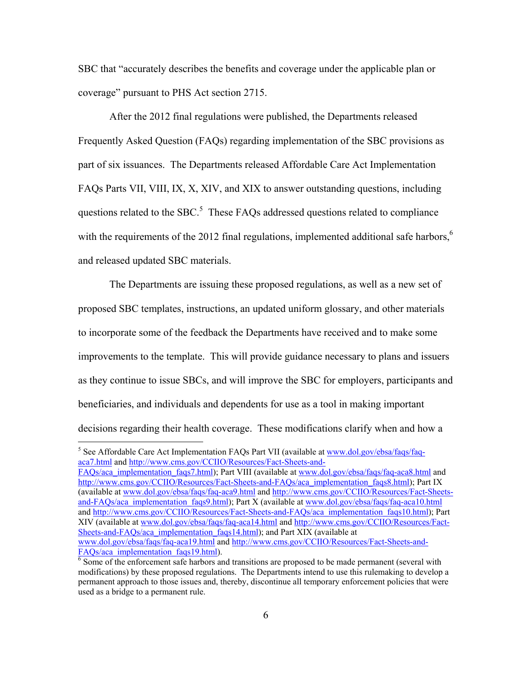SBC that "accurately describes the benefits and coverage under the applicable plan or coverage" pursuant to PHS Act section 2715.

 After the 2012 final regulations were published, the Departments released Frequently Asked Question (FAQs) regarding implementation of the SBC provisions as part of six issuances. The Departments released Affordable Care Act Implementation FAQs Parts VII, VIII, IX, X, XIV, and XIX to answer outstanding questions, including questions related to the SBC.<sup>5</sup> These FAQs addressed questions related to compliance with the requirements of the 2012 final regulations, implemented additional safe harbors,<sup>6</sup> and released updated SBC materials.

 The Departments are issuing these proposed regulations, as well as a new set of proposed SBC templates, instructions, an updated uniform glossary, and other materials to incorporate some of the feedback the Departments have received and to make some improvements to the template. This will provide guidance necessary to plans and issuers as they continue to issue SBCs, and will improve the SBC for employers, participants and beneficiaries, and individuals and dependents for use as a tool in making important decisions regarding their health coverage. These modifications clarify when and how a

<sup>&</sup>lt;sup>5</sup> See Affordable Care Act Implementation FAQs Part VII (available at www.dol.gov/ebsa/faqs/faqaca7.html and http://www.cms.gov/CCIIO/Resources/Fact-Sheets-and-

FAQs/aca\_implementation\_faqs7.html); Part VIII (available at www.dol.gov/ebsa/faqs/faq-aca8.html and http://www.cms.gov/CCIIO/Resources/Fact-Sheets-and-FAQs/aca\_implementation\_faqs8.html); Part IX (available at www.dol.gov/ebsa/faqs/faq-aca9.html and http://www.cms.gov/CCIIO/Resources/Fact-Sheetsand-FAQs/aca\_implementation\_faqs9.html); Part X (available at www.dol.gov/ebsa/faqs/faq-aca10.html and http://www.cms.gov/CCIIO/Resources/Fact-Sheets-and-FAQs/aca\_implementation\_faqs10.html); Part XIV (available at www.dol.gov/ebsa/faqs/faq-aca14.html and http://www.cms.gov/CCIIO/Resources/Fact-Sheets-and-FAQs/aca\_implementation\_faqs14.html); and Part XIX (available at www.dol.gov/ebsa/faqs/faq-aca19.html and http://www.cms.gov/CCIIO/Resources/Fact-Sheets-and-FAQs/aca\_implementation\_faqs19.html).

 $\overline{6}$  Some of the enforcement safe harbors and transitions are proposed to be made permanent (several with modifications) by these proposed regulations. The Departments intend to use this rulemaking to develop a permanent approach to those issues and, thereby, discontinue all temporary enforcement policies that were used as a bridge to a permanent rule.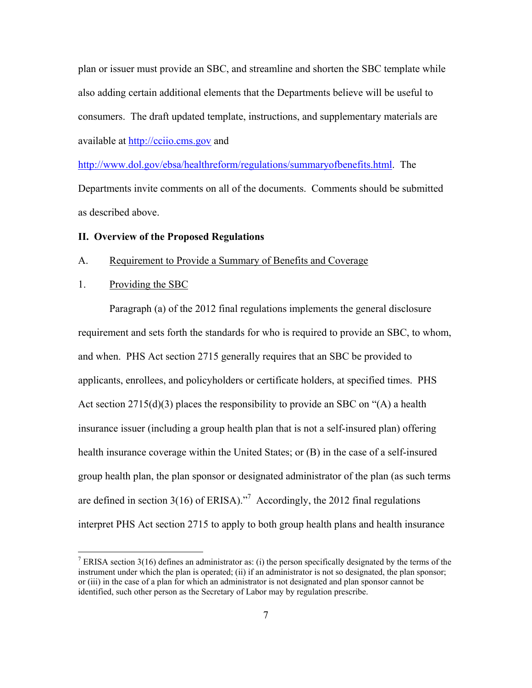plan or issuer must provide an SBC, and streamline and shorten the SBC template while also adding certain additional elements that the Departments believe will be useful to consumers. The draft updated template, instructions, and supplementary materials are available at http://cciio.cms.gov and

http://www.dol.gov/ebsa/healthreform/regulations/summaryofbenefits.html. The Departments invite comments on all of the documents. Comments should be submitted as described above.

## **II. Overview of the Proposed Regulations**

## A. Requirement to Provide a Summary of Benefits and Coverage

## 1. Providing the SBC

 $\overline{a}$ 

Paragraph (a) of the 2012 final regulations implements the general disclosure requirement and sets forth the standards for who is required to provide an SBC, to whom, and when. PHS Act section 2715 generally requires that an SBC be provided to applicants, enrollees, and policyholders or certificate holders, at specified times. PHS Act section 2715(d)(3) places the responsibility to provide an SBC on "(A) a health insurance issuer (including a group health plan that is not a self-insured plan) offering health insurance coverage within the United States; or (B) in the case of a self-insured group health plan, the plan sponsor or designated administrator of the plan (as such terms are defined in section 3(16) of ERISA).<sup>"7</sup> Accordingly, the 2012 final regulations interpret PHS Act section 2715 to apply to both group health plans and health insurance

<sup>&</sup>lt;sup>7</sup> ERISA section 3(16) defines an administrator as: (i) the person specifically designated by the terms of the instrument under which the plan is operated; (ii) if an administrator is not so designated, the plan sponsor; or (iii) in the case of a plan for which an administrator is not designated and plan sponsor cannot be identified, such other person as the Secretary of Labor may by regulation prescribe.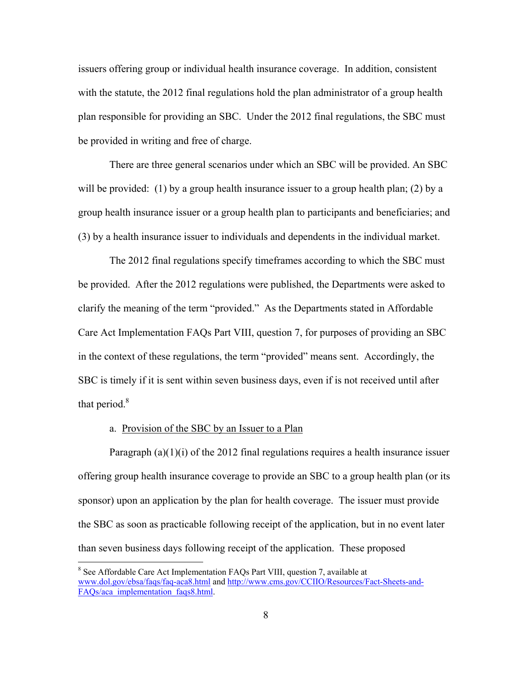issuers offering group or individual health insurance coverage. In addition, consistent with the statute, the 2012 final regulations hold the plan administrator of a group health plan responsible for providing an SBC. Under the 2012 final regulations, the SBC must be provided in writing and free of charge.

There are three general scenarios under which an SBC will be provided. An SBC will be provided: (1) by a group health insurance issuer to a group health plan; (2) by a group health insurance issuer or a group health plan to participants and beneficiaries; and (3) by a health insurance issuer to individuals and dependents in the individual market.

The 2012 final regulations specify timeframes according to which the SBC must be provided. After the 2012 regulations were published, the Departments were asked to clarify the meaning of the term "provided." As the Departments stated in Affordable Care Act Implementation FAQs Part VIII, question 7, for purposes of providing an SBC in the context of these regulations, the term "provided" means sent. Accordingly, the SBC is timely if it is sent within seven business days, even if is not received until after that period. $8<sup>8</sup>$ 

## a. Provision of the SBC by an Issuer to a Plan

 $\overline{a}$ 

Paragraph  $(a)(1)(i)$  of the 2012 final regulations requires a health insurance issuer offering group health insurance coverage to provide an SBC to a group health plan (or its sponsor) upon an application by the plan for health coverage. The issuer must provide the SBC as soon as practicable following receipt of the application, but in no event later than seven business days following receipt of the application. These proposed

<sup>8</sup> See Affordable Care Act Implementation FAQs Part VIII, question 7, available at www.dol.gov/ebsa/faqs/faq-aca8.html and http://www.cms.gov/CCIIO/Resources/Fact-Sheets-and-FAOs/aca\_implementation\_faqs8.html.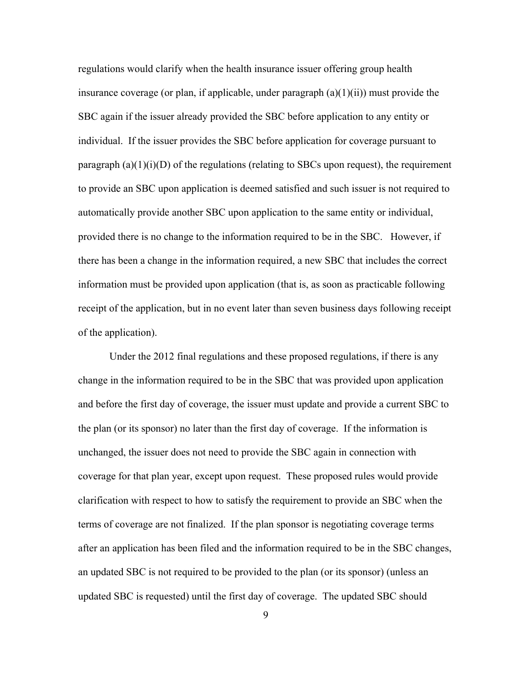regulations would clarify when the health insurance issuer offering group health insurance coverage (or plan, if applicable, under paragraph  $(a)(1)(ii)$ ) must provide the SBC again if the issuer already provided the SBC before application to any entity or individual. If the issuer provides the SBC before application for coverage pursuant to paragraph  $(a)(1)(i)(D)$  of the regulations (relating to SBCs upon request), the requirement to provide an SBC upon application is deemed satisfied and such issuer is not required to automatically provide another SBC upon application to the same entity or individual, provided there is no change to the information required to be in the SBC. However, if there has been a change in the information required, a new SBC that includes the correct information must be provided upon application (that is, as soon as practicable following receipt of the application, but in no event later than seven business days following receipt of the application).

 Under the 2012 final regulations and these proposed regulations, if there is any change in the information required to be in the SBC that was provided upon application and before the first day of coverage, the issuer must update and provide a current SBC to the plan (or its sponsor) no later than the first day of coverage. If the information is unchanged, the issuer does not need to provide the SBC again in connection with coverage for that plan year, except upon request. These proposed rules would provide clarification with respect to how to satisfy the requirement to provide an SBC when the terms of coverage are not finalized. If the plan sponsor is negotiating coverage terms after an application has been filed and the information required to be in the SBC changes, an updated SBC is not required to be provided to the plan (or its sponsor) (unless an updated SBC is requested) until the first day of coverage. The updated SBC should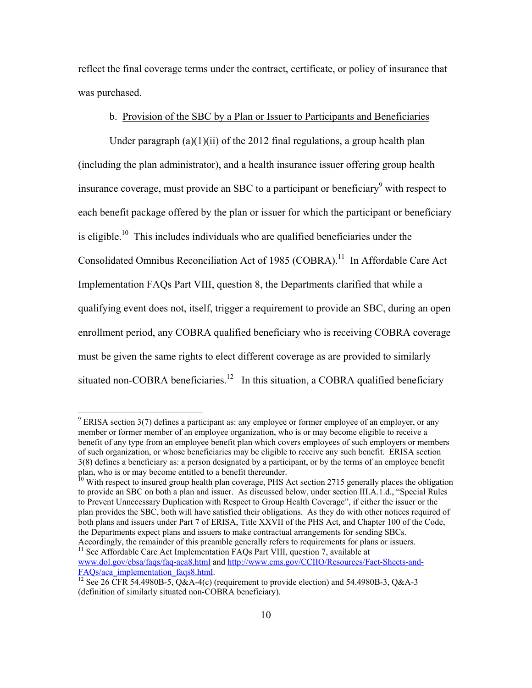reflect the final coverage terms under the contract, certificate, or policy of insurance that was purchased.

# b. Provision of the SBC by a Plan or Issuer to Participants and Beneficiaries

Under paragraph  $(a)(1)(ii)$  of the 2012 final regulations, a group health plan (including the plan administrator), and a health insurance issuer offering group health insurance coverage, must provide an SBC to a participant or beneficiary $\delta$  with respect to each benefit package offered by the plan or issuer for which the participant or beneficiary is eligible.<sup>10</sup> This includes individuals who are qualified beneficiaries under the Consolidated Omnibus Reconciliation Act of 1985 (COBRA).<sup>11</sup> In Affordable Care Act Implementation FAQs Part VIII, question 8, the Departments clarified that while a qualifying event does not, itself, trigger a requirement to provide an SBC, during an open enrollment period, any COBRA qualified beneficiary who is receiving COBRA coverage must be given the same rights to elect different coverage as are provided to similarly situated non-COBRA beneficiaries.<sup>12</sup> In this situation, a COBRA qualified beneficiary

1

 $9$  ERISA section 3(7) defines a participant as: any employee or former employee of an employer, or any member or former member of an employee organization, who is or may become eligible to receive a benefit of any type from an employee benefit plan which covers employees of such employers or members of such organization, or whose beneficiaries may be eligible to receive any such benefit. ERISA section 3(8) defines a beneficiary as: a person designated by a participant, or by the terms of an employee benefit plan, who is or may become entitled to a benefit thereunder.

<sup>&</sup>lt;sup>10</sup> With respect to insured group health plan coverage, PHS Act section 2715 generally places the obligation to provide an SBC on both a plan and issuer. As discussed below, under section III.A.1.d., "Special Rules to Prevent Unnecessary Duplication with Respect to Group Health Coverage", if either the issuer or the plan provides the SBC, both will have satisfied their obligations. As they do with other notices required of both plans and issuers under Part 7 of ERISA, Title XXVII of the PHS Act, and Chapter 100 of the Code, the Departments expect plans and issuers to make contractual arrangements for sending SBCs.

Accordingly, the remainder of this preamble generally refers to requirements for plans or issuers.<br><sup>11</sup> See Affordable Care Act Implementation FAQs Part VIII, question 7, available at www.dol.gov/ebsa/faqs/faq-aca8.html and http://www.cms.gov/CCIIO/Resources/Fact-Sheets-and-

FAQs/aca\_implementation\_faqs8.html.<br><sup>12</sup> See 26 CFR 54.4980B-5, Q&A-4(c) (requirement to provide election) and 54.4980B-3, Q&A-3 (definition of similarly situated non-COBRA beneficiary).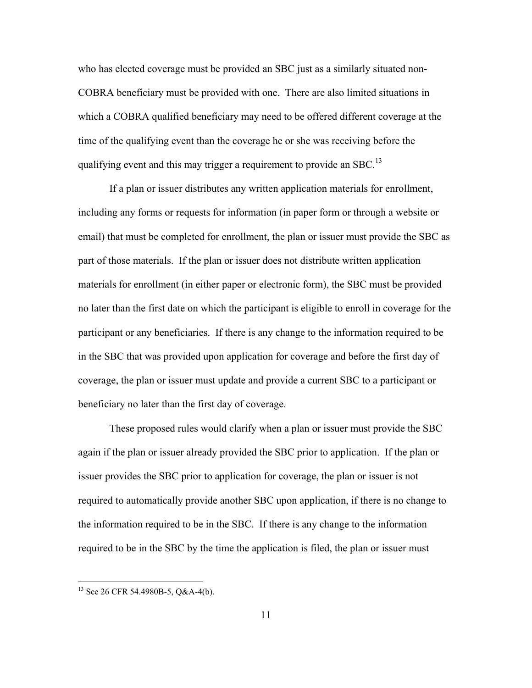who has elected coverage must be provided an SBC just as a similarly situated non-COBRA beneficiary must be provided with one. There are also limited situations in which a COBRA qualified beneficiary may need to be offered different coverage at the time of the qualifying event than the coverage he or she was receiving before the qualifying event and this may trigger a requirement to provide an SBC.<sup>13</sup>

If a plan or issuer distributes any written application materials for enrollment, including any forms or requests for information (in paper form or through a website or email) that must be completed for enrollment, the plan or issuer must provide the SBC as part of those materials. If the plan or issuer does not distribute written application materials for enrollment (in either paper or electronic form), the SBC must be provided no later than the first date on which the participant is eligible to enroll in coverage for the participant or any beneficiaries. If there is any change to the information required to be in the SBC that was provided upon application for coverage and before the first day of coverage, the plan or issuer must update and provide a current SBC to a participant or beneficiary no later than the first day of coverage.

These proposed rules would clarify when a plan or issuer must provide the SBC again if the plan or issuer already provided the SBC prior to application. If the plan or issuer provides the SBC prior to application for coverage, the plan or issuer is not required to automatically provide another SBC upon application, if there is no change to the information required to be in the SBC. If there is any change to the information required to be in the SBC by the time the application is filed, the plan or issuer must

 $^{13}$  See 26 CFR 54.4980B-5, Q&A-4(b).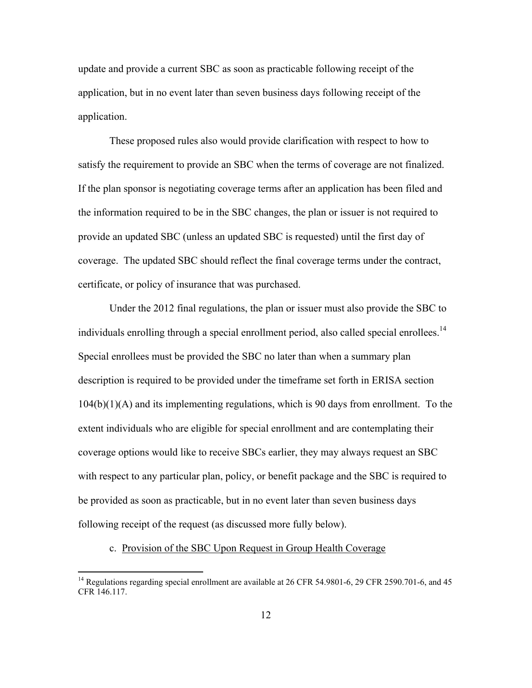update and provide a current SBC as soon as practicable following receipt of the application, but in no event later than seven business days following receipt of the application.

 These proposed rules also would provide clarification with respect to how to satisfy the requirement to provide an SBC when the terms of coverage are not finalized. If the plan sponsor is negotiating coverage terms after an application has been filed and the information required to be in the SBC changes, the plan or issuer is not required to provide an updated SBC (unless an updated SBC is requested) until the first day of coverage. The updated SBC should reflect the final coverage terms under the contract, certificate, or policy of insurance that was purchased.

 Under the 2012 final regulations, the plan or issuer must also provide the SBC to individuals enrolling through a special enrollment period, also called special enrollees.<sup>14</sup> Special enrollees must be provided the SBC no later than when a summary plan description is required to be provided under the timeframe set forth in ERISA section  $104(b)(1)(A)$  and its implementing regulations, which is 90 days from enrollment. To the extent individuals who are eligible for special enrollment and are contemplating their coverage options would like to receive SBCs earlier, they may always request an SBC with respect to any particular plan, policy, or benefit package and the SBC is required to be provided as soon as practicable, but in no event later than seven business days following receipt of the request (as discussed more fully below).

# c. Provision of the SBC Upon Request in Group Health Coverage

<sup>&</sup>lt;sup>14</sup> Regulations regarding special enrollment are available at 26 CFR 54.9801-6, 29 CFR 2590.701-6, and 45 CFR 146.117.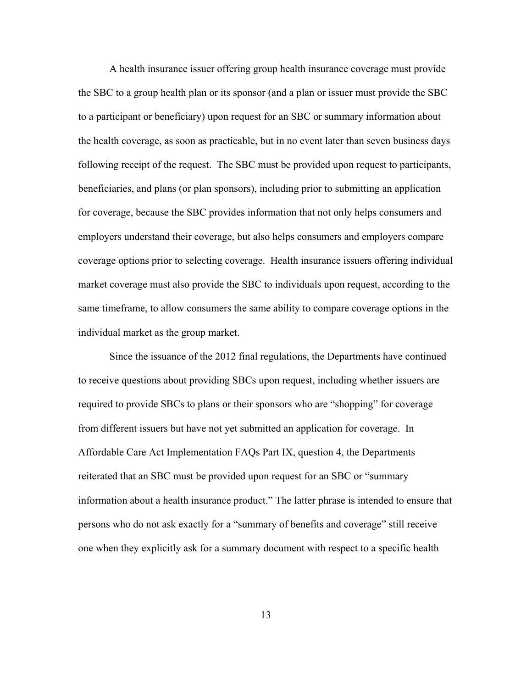A health insurance issuer offering group health insurance coverage must provide the SBC to a group health plan or its sponsor (and a plan or issuer must provide the SBC to a participant or beneficiary) upon request for an SBC or summary information about the health coverage, as soon as practicable, but in no event later than seven business days following receipt of the request. The SBC must be provided upon request to participants, beneficiaries, and plans (or plan sponsors), including prior to submitting an application for coverage, because the SBC provides information that not only helps consumers and employers understand their coverage, but also helps consumers and employers compare coverage options prior to selecting coverage. Health insurance issuers offering individual market coverage must also provide the SBC to individuals upon request, according to the same timeframe, to allow consumers the same ability to compare coverage options in the individual market as the group market.

Since the issuance of the 2012 final regulations, the Departments have continued to receive questions about providing SBCs upon request, including whether issuers are required to provide SBCs to plans or their sponsors who are "shopping" for coverage from different issuers but have not yet submitted an application for coverage. In Affordable Care Act Implementation FAQs Part IX, question 4, the Departments reiterated that an SBC must be provided upon request for an SBC or "summary information about a health insurance product." The latter phrase is intended to ensure that persons who do not ask exactly for a "summary of benefits and coverage" still receive one when they explicitly ask for a summary document with respect to a specific health

13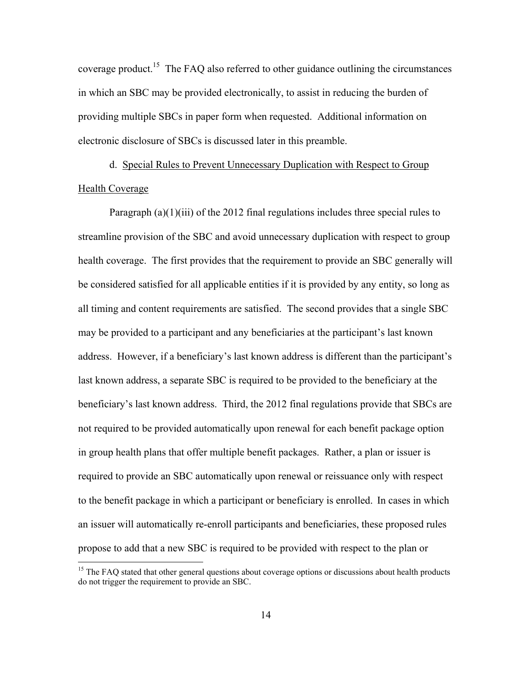coverage product.<sup>15</sup> The FAQ also referred to other guidance outlining the circumstances in which an SBC may be provided electronically, to assist in reducing the burden of providing multiple SBCs in paper form when requested. Additional information on electronic disclosure of SBCs is discussed later in this preamble.

 d. Special Rules to Prevent Unnecessary Duplication with Respect to Group Health Coverage

Paragraph (a)(1)(iii) of the 2012 final regulations includes three special rules to streamline provision of the SBC and avoid unnecessary duplication with respect to group health coverage. The first provides that the requirement to provide an SBC generally will be considered satisfied for all applicable entities if it is provided by any entity, so long as all timing and content requirements are satisfied. The second provides that a single SBC may be provided to a participant and any beneficiaries at the participant's last known address. However, if a beneficiary's last known address is different than the participant's last known address, a separate SBC is required to be provided to the beneficiary at the beneficiary's last known address. Third, the 2012 final regulations provide that SBCs are not required to be provided automatically upon renewal for each benefit package option in group health plans that offer multiple benefit packages. Rather, a plan or issuer is required to provide an SBC automatically upon renewal or reissuance only with respect to the benefit package in which a participant or beneficiary is enrolled. In cases in which an issuer will automatically re-enroll participants and beneficiaries, these proposed rules propose to add that a new SBC is required to be provided with respect to the plan or

<sup>&</sup>lt;sup>15</sup> The FAQ stated that other general questions about coverage options or discussions about health products do not trigger the requirement to provide an SBC.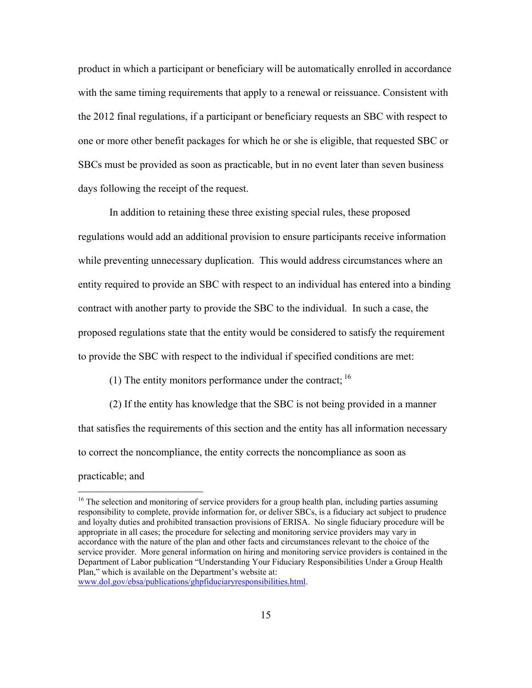product in which a participant or beneficiary will be automatically enrolled in accordance with the same timing requirements that apply to a renewal or reissuance. Consistent with the 2012 final regulations, if a participant or beneficiary requests an SBC with respect to one or more other benefit packages for which he or she is eligible, that requested SBC or SBCs must be provided as soon as practicable, but in no event later than seven business days following the receipt of the request.

In addition to retaining these three existing special rules, these proposed regulations would add an additional provision to ensure participants receive information while preventing unnecessary duplication. This would address circumstances where an entity required to provide an SBC with respect to an individual has entered into a binding contract with another party to provide the SBC to the individual. In such a case, the proposed regulations state that the entity would be considered to satisfy the requirement to provide the SBC with respect to the individual if specified conditions are met:

(1) The entity monitors performance under the contract;  $^{16}$ 

(2) If the entity has knowledge that the SBC is not being provided in a manner that satisfies the requirements of this section and the entity has all information necessary to correct the noncompliance, the entity corrects the noncompliance as soon as

practicable; and

 $16$  The selection and monitoring of service providers for a group health plan, including parties assuming responsibility to complete, provide information for, or deliver SBCs, is a fiduciary act subject to prudence and loyalty duties and prohibited transaction provisions of ERISA. No single fiduciary procedure will be appropriate in all cases; the procedure for selecting and monitoring service providers may vary in accordance with the nature of the plan and other facts and circumstances relevant to the choice of the service provider. More general information on hiring and monitoring service providers is contained in the Department of Labor publication "Understanding Your Fiduciary Responsibilities Under a Group Health Plan," which is available on the Department's website at: www.dol.gov/ebsa/publications/ghpfiduciaryresponsibilities.html.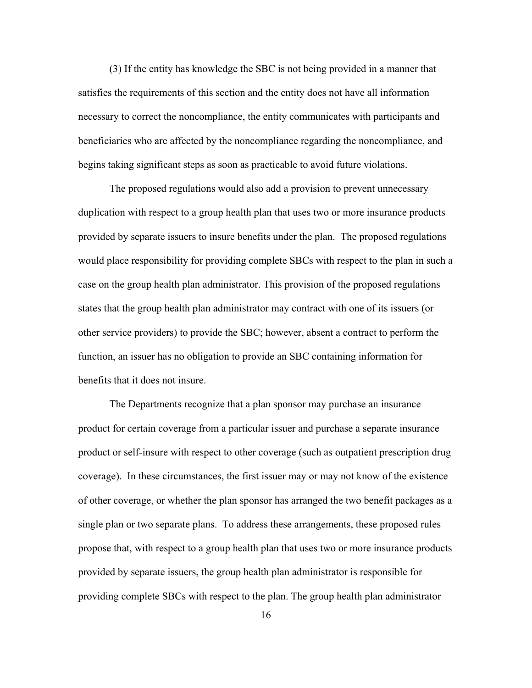(3) If the entity has knowledge the SBC is not being provided in a manner that satisfies the requirements of this section and the entity does not have all information necessary to correct the noncompliance, the entity communicates with participants and beneficiaries who are affected by the noncompliance regarding the noncompliance, and begins taking significant steps as soon as practicable to avoid future violations.

The proposed regulations would also add a provision to prevent unnecessary duplication with respect to a group health plan that uses two or more insurance products provided by separate issuers to insure benefits under the plan. The proposed regulations would place responsibility for providing complete SBCs with respect to the plan in such a case on the group health plan administrator. This provision of the proposed regulations states that the group health plan administrator may contract with one of its issuers (or other service providers) to provide the SBC; however, absent a contract to perform the function, an issuer has no obligation to provide an SBC containing information for benefits that it does not insure.

The Departments recognize that a plan sponsor may purchase an insurance product for certain coverage from a particular issuer and purchase a separate insurance product or self-insure with respect to other coverage (such as outpatient prescription drug coverage). In these circumstances, the first issuer may or may not know of the existence of other coverage, or whether the plan sponsor has arranged the two benefit packages as a single plan or two separate plans.To address these arrangements, these proposed rules propose that, with respect to a group health plan that uses two or more insurance products provided by separate issuers, the group health plan administrator is responsible for providing complete SBCs with respect to the plan. The group health plan administrator

16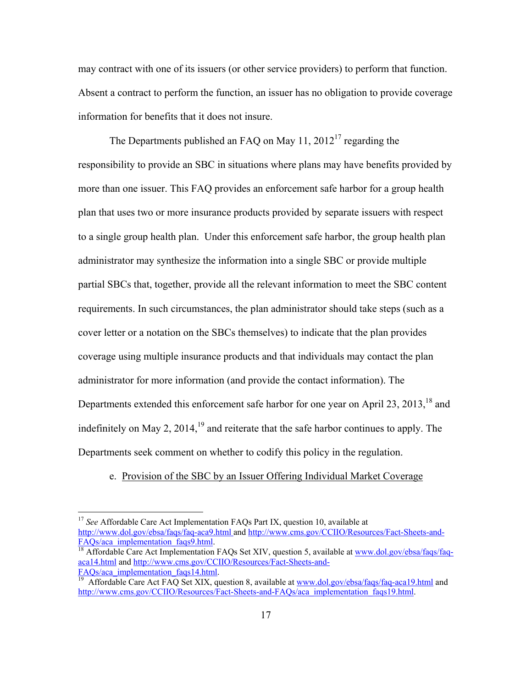may contract with one of its issuers (or other service providers) to perform that function. Absent a contract to perform the function, an issuer has no obligation to provide coverage information for benefits that it does not insure.

The Departments published an FAQ on May  $11$ ,  $2012^{17}$  regarding the responsibility to provide an SBC in situations where plans may have benefits provided by more than one issuer. This FAQ provides an enforcement safe harbor for a group health plan that uses two or more insurance products provided by separate issuers with respect to a single group health plan. Under this enforcement safe harbor, the group health plan administrator may synthesize the information into a single SBC or provide multiple partial SBCs that, together, provide all the relevant information to meet the SBC content requirements. In such circumstances, the plan administrator should take steps (such as a cover letter or a notation on the SBCs themselves) to indicate that the plan provides coverage using multiple insurance products and that individuals may contact the plan administrator for more information (and provide the contact information). The Departments extended this enforcement safe harbor for one year on April 23, 2013,<sup>18</sup> and indefinitely on May 2,  $2014<sup>19</sup>$  and reiterate that the safe harbor continues to apply. The Departments seek comment on whether to codify this policy in the regulation.

# e. Provision of the SBC by an Issuer Offering Individual Market Coverage

<sup>&</sup>lt;sup>17</sup> See Affordable Care Act Implementation FAQs Part IX, question 10, available at http://www.dol.gov/ebsa/faqs/faq-aca9.html and http://www.cms.gov/CCIIO/Resources/Fact-Sheets-and-<br>FAQs/aca\_implementation\_faqs9.html

 $\frac{18}{18}$  Affordable Care Act Implementation FAQs Set XIV, question 5, available at www.dol.gov/ebsa/faqs/faqaca14.html and http://www.cms.gov/CCIIO/Resources/Fact-Sheets-and-

FAQs/aca\_implementation\_faqs14.html.<br><sup>19</sup> Affordable Care Act FAQ Set XIX, question 8, available at www.dol.gov/ebsa/faqs/faq-aca19.html and http://www.cms.gov/CCIIO/Resources/Fact-Sheets-and-FAQs/aca\_implementation\_faqs19.html.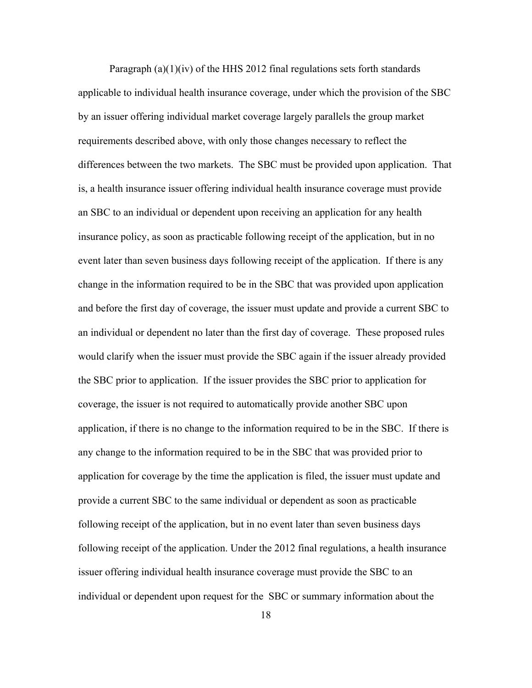Paragraph  $(a)(1)(iv)$  of the HHS 2012 final regulations sets forth standards applicable to individual health insurance coverage, under which the provision of the SBC by an issuer offering individual market coverage largely parallels the group market requirements described above, with only those changes necessary to reflect the differences between the two markets. The SBC must be provided upon application. That is, a health insurance issuer offering individual health insurance coverage must provide an SBC to an individual or dependent upon receiving an application for any health insurance policy, as soon as practicable following receipt of the application, but in no event later than seven business days following receipt of the application. If there is any change in the information required to be in the SBC that was provided upon application and before the first day of coverage, the issuer must update and provide a current SBC to an individual or dependent no later than the first day of coverage. These proposed rules would clarify when the issuer must provide the SBC again if the issuer already provided the SBC prior to application. If the issuer provides the SBC prior to application for coverage, the issuer is not required to automatically provide another SBC upon application, if there is no change to the information required to be in the SBC. If there is any change to the information required to be in the SBC that was provided prior to application for coverage by the time the application is filed, the issuer must update and provide a current SBC to the same individual or dependent as soon as practicable following receipt of the application, but in no event later than seven business days following receipt of the application. Under the 2012 final regulations, a health insurance issuer offering individual health insurance coverage must provide the SBC to an individual or dependent upon request for the SBC or summary information about the

18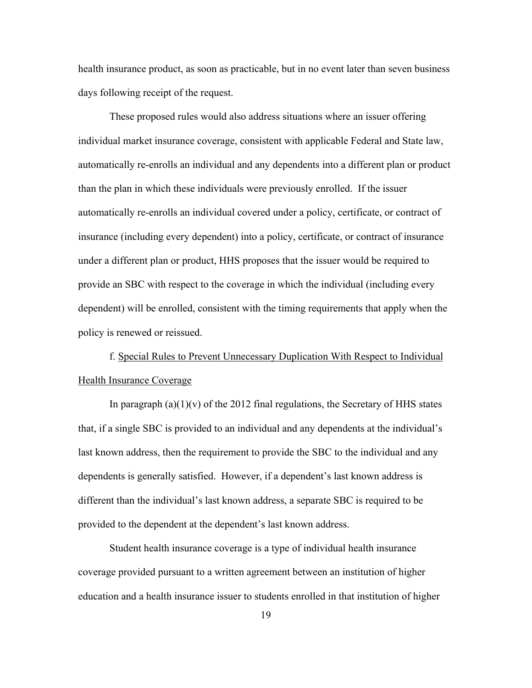health insurance product, as soon as practicable, but in no event later than seven business days following receipt of the request.

 These proposed rules would also address situations where an issuer offering individual market insurance coverage, consistent with applicable Federal and State law, automatically re-enrolls an individual and any dependents into a different plan or product than the plan in which these individuals were previously enrolled. If the issuer automatically re-enrolls an individual covered under a policy, certificate, or contract of insurance (including every dependent) into a policy, certificate, or contract of insurance under a different plan or product, HHS proposes that the issuer would be required to provide an SBC with respect to the coverage in which the individual (including every dependent) will be enrolled, consistent with the timing requirements that apply when the policy is renewed or reissued.

f. Special Rules to Prevent Unnecessary Duplication With Respect to Individual Health Insurance Coverage

In paragraph  $(a)(1)(v)$  of the 2012 final regulations, the Secretary of HHS states that, if a single SBC is provided to an individual and any dependents at the individual's last known address, then the requirement to provide the SBC to the individual and any dependents is generally satisfied. However, if a dependent's last known address is different than the individual's last known address, a separate SBC is required to be provided to the dependent at the dependent's last known address.

 Student health insurance coverage is a type of individual health insurance coverage provided pursuant to a written agreement between an institution of higher education and a health insurance issuer to students enrolled in that institution of higher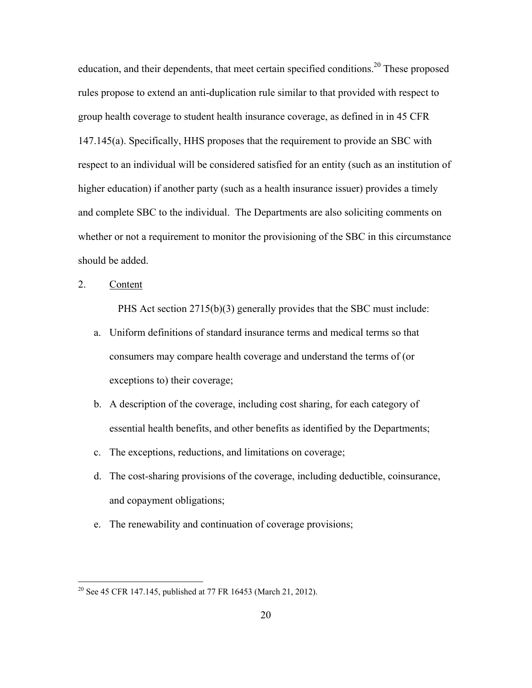education, and their dependents, that meet certain specified conditions.<sup>20</sup> These proposed rules propose to extend an anti-duplication rule similar to that provided with respect to group health coverage to student health insurance coverage, as defined in in 45 CFR 147.145(a). Specifically, HHS proposes that the requirement to provide an SBC with respect to an individual will be considered satisfied for an entity (such as an institution of higher education) if another party (such as a health insurance issuer) provides a timely and complete SBC to the individual. The Departments are also soliciting comments on whether or not a requirement to monitor the provisioning of the SBC in this circumstance should be added.

2. Content

<u>.</u>

PHS Act section 2715(b)(3) generally provides that the SBC must include:

- a. Uniform definitions of standard insurance terms and medical terms so that consumers may compare health coverage and understand the terms of (or exceptions to) their coverage;
- b. A description of the coverage, including cost sharing, for each category of essential health benefits, and other benefits as identified by the Departments;
- c. The exceptions, reductions, and limitations on coverage;
- d. The cost-sharing provisions of the coverage, including deductible, coinsurance, and copayment obligations;
- e. The renewability and continuation of coverage provisions;

<sup>&</sup>lt;sup>20</sup> See 45 CFR 147.145, published at 77 FR 16453 (March 21, 2012).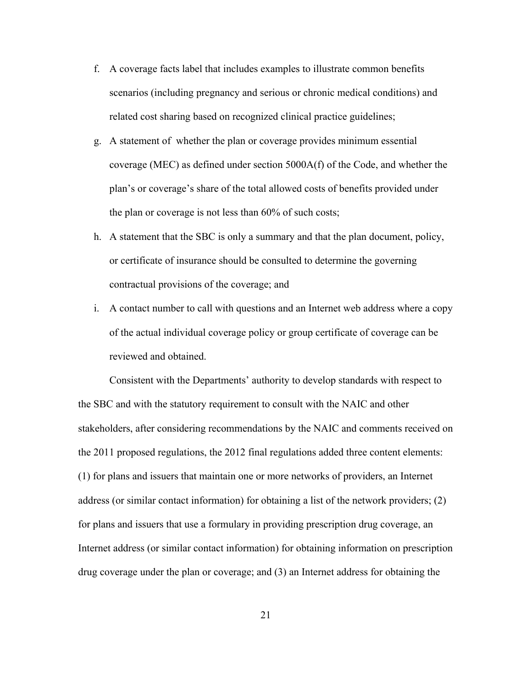- f. A coverage facts label that includes examples to illustrate common benefits scenarios (including pregnancy and serious or chronic medical conditions) and related cost sharing based on recognized clinical practice guidelines;
- g. A statement of whether the plan or coverage provides minimum essential coverage (MEC) as defined under section 5000A(f) of the Code, and whether the plan's or coverage's share of the total allowed costs of benefits provided under the plan or coverage is not less than 60% of such costs;
- h. A statement that the SBC is only a summary and that the plan document, policy, or certificate of insurance should be consulted to determine the governing contractual provisions of the coverage; and
- i. A contact number to call with questions and an Internet web address where a copy of the actual individual coverage policy or group certificate of coverage can be reviewed and obtained.

 Consistent with the Departments' authority to develop standards with respect to the SBC and with the statutory requirement to consult with the NAIC and other stakeholders, after considering recommendations by the NAIC and comments received on the 2011 proposed regulations, the 2012 final regulations added three content elements: (1) for plans and issuers that maintain one or more networks of providers, an Internet address (or similar contact information) for obtaining a list of the network providers; (2) for plans and issuers that use a formulary in providing prescription drug coverage, an Internet address (or similar contact information) for obtaining information on prescription drug coverage under the plan or coverage; and (3) an Internet address for obtaining the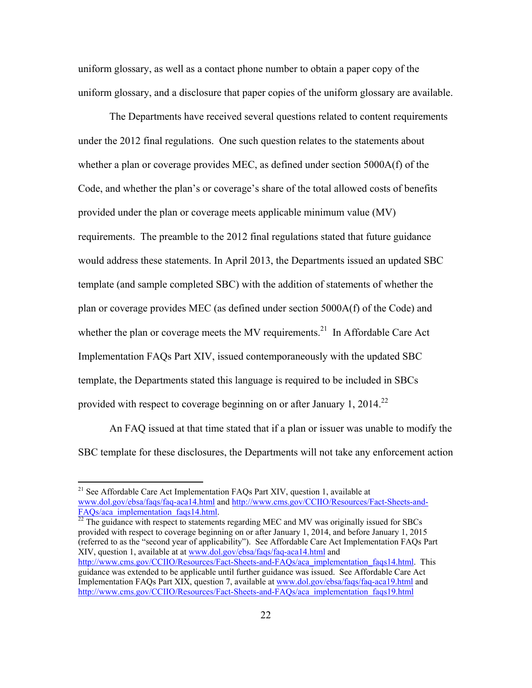uniform glossary, as well as a contact phone number to obtain a paper copy of the uniform glossary, and a disclosure that paper copies of the uniform glossary are available.

 The Departments have received several questions related to content requirements under the 2012 final regulations. One such question relates to the statements about whether a plan or coverage provides MEC, as defined under section 5000A(f) of the Code, and whether the plan's or coverage's share of the total allowed costs of benefits provided under the plan or coverage meets applicable minimum value (MV) requirements. The preamble to the 2012 final regulations stated that future guidance would address these statements. In April 2013, the Departments issued an updated SBC template (and sample completed SBC) with the addition of statements of whether the plan or coverage provides MEC (as defined under section 5000A(f) of the Code) and whether the plan or coverage meets the MV requirements.<sup>21</sup> In Affordable Care Act Implementation FAQs Part XIV, issued contemporaneously with the updated SBC template, the Departments stated this language is required to be included in SBCs provided with respect to coverage beginning on or after January 1, 2014.<sup>22</sup>

 An FAQ issued at that time stated that if a plan or issuer was unable to modify the SBC template for these disclosures, the Departments will not take any enforcement action

1

 $\frac{1}{22}$  The guidance with respect to statements regarding MEC and MV was originally issued for SBCs provided with respect to coverage beginning on or after January 1, 2014, and before January 1, 2015 (referred to as the "second year of applicability"). See Affordable Care Act Implementation FAQs Part XIV, question 1, available at at www.dol.gov/ebsa/faqs/faq-aca14.html and http://www.cms.gov/CCIIO/Resources/Fact-Sheets-and-FAQs/aca\_implementation\_faqs14.html. This guidance was extended to be applicable until further guidance was issued. See Affordable Care Act Implementation FAQs Part XIX, question 7, available at www.dol.gov/ebsa/faqs/faq-aca19.html and http://www.cms.gov/CCIIO/Resources/Fact-Sheets-and-FAQs/aca\_implementation\_faqs19.html

<sup>&</sup>lt;sup>21</sup> See Affordable Care Act Implementation FAQs Part XIV, question 1, available at www.dol.gov/ebsa/faqs/faq-aca14.html and http://www.cms.gov/CCIIO/Resources/Fact-Sheets-and-FAQs/aca implementation faqs14.html.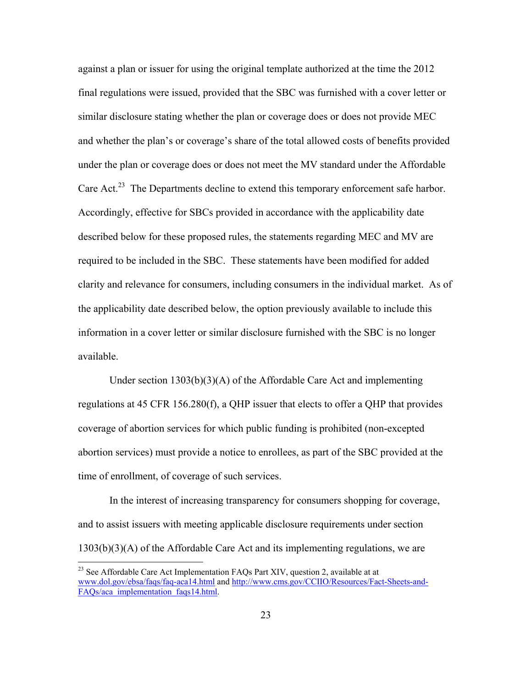against a plan or issuer for using the original template authorized at the time the 2012 final regulations were issued, provided that the SBC was furnished with a cover letter or similar disclosure stating whether the plan or coverage does or does not provide MEC and whether the plan's or coverage's share of the total allowed costs of benefits provided under the plan or coverage does or does not meet the MV standard under the Affordable Care Act.<sup>23</sup> The Departments decline to extend this temporary enforcement safe harbor. Accordingly, effective for SBCs provided in accordance with the applicability date described below for these proposed rules, the statements regarding MEC and MV are required to be included in the SBC. These statements have been modified for added clarity and relevance for consumers, including consumers in the individual market. As of the applicability date described below, the option previously available to include this information in a cover letter or similar disclosure furnished with the SBC is no longer available.

 Under section 1303(b)(3)(A) of the Affordable Care Act and implementing regulations at 45 CFR 156.280(f), a QHP issuer that elects to offer a QHP that provides coverage of abortion services for which public funding is prohibited (non-excepted abortion services) must provide a notice to enrollees, as part of the SBC provided at the time of enrollment, of coverage of such services.

 In the interest of increasing transparency for consumers shopping for coverage, and to assist issuers with meeting applicable disclosure requirements under section 1303(b)(3)(A) of the Affordable Care Act and its implementing regulations, we are

<sup>&</sup>lt;sup>23</sup> See Affordable Care Act Implementation FAQs Part XIV, question 2, available at at www.dol.gov/ebsa/faqs/faq-aca14.html and http://www.cms.gov/CCIIO/Resources/Fact-Sheets-and-FAOs/aca\_implementation\_faqs14.html.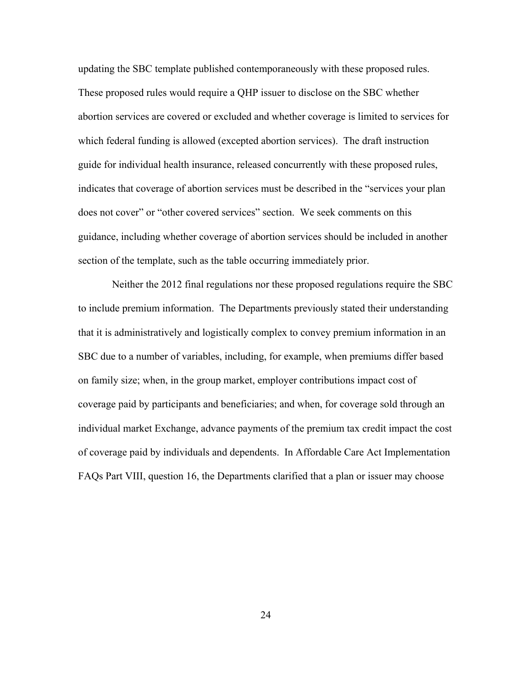updating the SBC template published contemporaneously with these proposed rules. These proposed rules would require a QHP issuer to disclose on the SBC whether abortion services are covered or excluded and whether coverage is limited to services for which federal funding is allowed (excepted abortion services). The draft instruction guide for individual health insurance, released concurrently with these proposed rules, indicates that coverage of abortion services must be described in the "services your plan does not cover" or "other covered services" section. We seek comments on this guidance, including whether coverage of abortion services should be included in another section of the template, such as the table occurring immediately prior.

 Neither the 2012 final regulations nor these proposed regulations require the SBC to include premium information. The Departments previously stated their understanding that it is administratively and logistically complex to convey premium information in an SBC due to a number of variables, including, for example, when premiums differ based on family size; when, in the group market, employer contributions impact cost of coverage paid by participants and beneficiaries; and when, for coverage sold through an individual market Exchange, advance payments of the premium tax credit impact the cost of coverage paid by individuals and dependents. In Affordable Care Act Implementation FAQs Part VIII, question 16, the Departments clarified that a plan or issuer may choose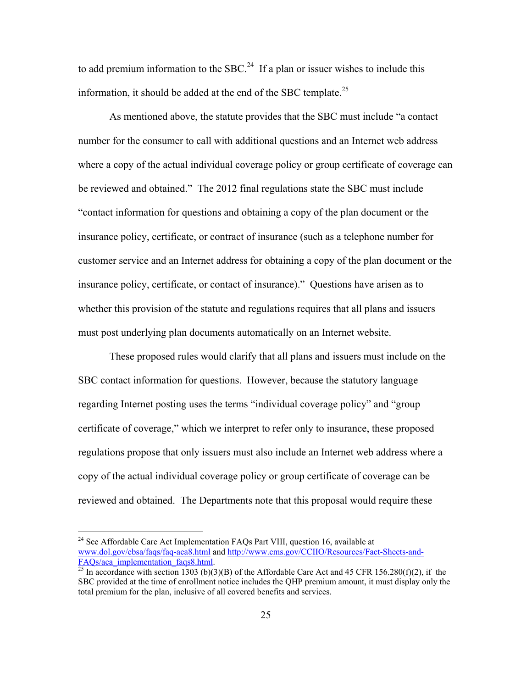to add premium information to the SBC.<sup>24</sup> If a plan or issuer wishes to include this information, it should be added at the end of the SBC template.<sup>25</sup>

 As mentioned above, the statute provides that the SBC must include "a contact number for the consumer to call with additional questions and an Internet web address where a copy of the actual individual coverage policy or group certificate of coverage can be reviewed and obtained." The 2012 final regulations state the SBC must include "contact information for questions and obtaining a copy of the plan document or the insurance policy, certificate, or contract of insurance (such as a telephone number for customer service and an Internet address for obtaining a copy of the plan document or the insurance policy, certificate, or contact of insurance)." Questions have arisen as to whether this provision of the statute and regulations requires that all plans and issuers must post underlying plan documents automatically on an Internet website.

 These proposed rules would clarify that all plans and issuers must include on the SBC contact information for questions. However, because the statutory language regarding Internet posting uses the terms "individual coverage policy" and "group certificate of coverage," which we interpret to refer only to insurance, these proposed regulations propose that only issuers must also include an Internet web address where a copy of the actual individual coverage policy or group certificate of coverage can be reviewed and obtained. The Departments note that this proposal would require these

 $24$  See Affordable Care Act Implementation FAQs Part VIII, question 16, available at www.dol.gov/ebsa/faqs/faq-aca8.html and http://www.cms.gov/CCIIO/Resources/Fact-Sheets-and- $F_{25}$  In accordance with section 1303 (b)(3)(B) of the Affordable Care Act and 45 CFR 156.280(f)(2), if the

SBC provided at the time of enrollment notice includes the QHP premium amount, it must display only the total premium for the plan, inclusive of all covered benefits and services.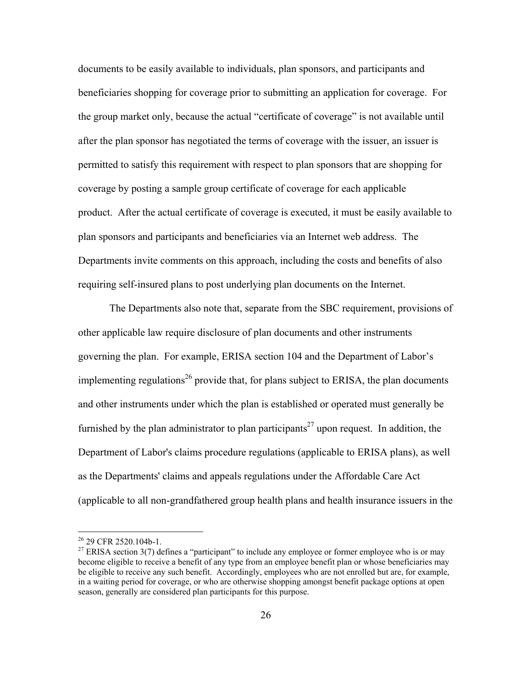documents to be easily available to individuals, plan sponsors, and participants and beneficiaries shopping for coverage prior to submitting an application for coverage. For the group market only, because the actual "certificate of coverage" is not available until after the plan sponsor has negotiated the terms of coverage with the issuer, an issuer is permitted to satisfy this requirement with respect to plan sponsors that are shopping for coverage by posting a sample group certificate of coverage for each applicable product. After the actual certificate of coverage is executed, it must be easily available to plan sponsors and participants and beneficiaries via an Internet web address. The Departments invite comments on this approach, including the costs and benefits of also requiring self-insured plans to post underlying plan documents on the Internet.

 The Departments also note that, separate from the SBC requirement, provisions of other applicable law require disclosure of plan documents and other instruments governing the plan. For example, ERISA section 104 and the Department of Labor's implementing regulations<sup>26</sup> provide that, for plans subject to ERISA, the plan documents and other instruments under which the plan is established or operated must generally be furnished by the plan administrator to plan participants<sup>27</sup> upon request. In addition, the Department of Labor's claims procedure regulations (applicable to ERISA plans), as well as the Departments' claims and appeals regulations under the Affordable Care Act (applicable to all non-grandfathered group health plans and health insurance issuers in the

<sup>&</sup>lt;sup>26</sup> 29 CFR 2520.104b-1.

 $27$  ERISA section 3(7) defines a "participant" to include any employee or former employee who is or may become eligible to receive a benefit of any type from an employee benefit plan or whose beneficiaries may be eligible to receive any such benefit. Accordingly, employees who are not enrolled but are, for example, in a waiting period for coverage, or who are otherwise shopping amongst benefit package options at open season, generally are considered plan participants for this purpose.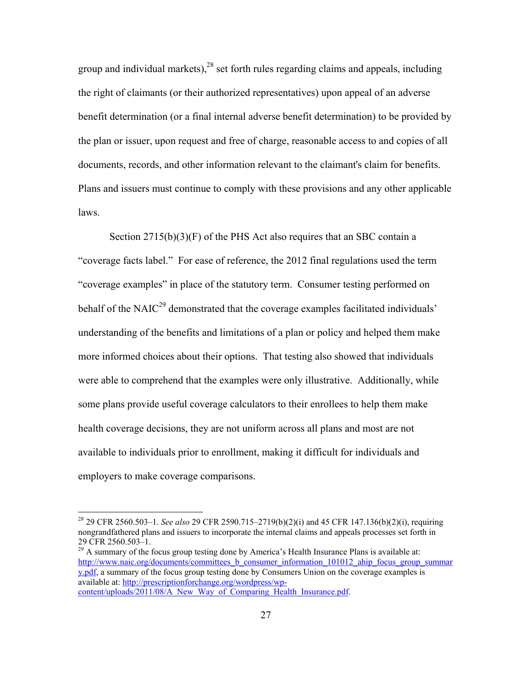group and individual markets), $28$  set forth rules regarding claims and appeals, including the right of claimants (or their authorized representatives) upon appeal of an adverse benefit determination (or a final internal adverse benefit determination) to be provided by the plan or issuer, upon request and free of charge, reasonable access to and copies of all documents, records, and other information relevant to the claimant's claim for benefits. Plans and issuers must continue to comply with these provisions and any other applicable laws.

Section 2715(b)(3)(F) of the PHS Act also requires that an SBC contain a "coverage facts label." For ease of reference, the 2012 final regulations used the term "coverage examples" in place of the statutory term. Consumer testing performed on behalf of the NAIC<sup>29</sup> demonstrated that the coverage examples facilitated individuals' understanding of the benefits and limitations of a plan or policy and helped them make more informed choices about their options. That testing also showed that individuals were able to comprehend that the examples were only illustrative. Additionally, while some plans provide useful coverage calculators to their enrollees to help them make health coverage decisions, they are not uniform across all plans and most are not available to individuals prior to enrollment, making it difficult for individuals and employers to make coverage comparisons.

1

<sup>28 29</sup> CFR 2560.503–1. *See also* 29 CFR 2590.715–2719(b)(2)(i) and 45 CFR 147.136(b)(2)(i), requiring nongrandfathered plans and issuers to incorporate the internal claims and appeals processes set forth in 29 CFR 2560.503–1.

 $^{29}$  A summary of the focus group testing done by America's Health Insurance Plans is available at: http://www.naic.org/documents/committees b\_consumer\_information\_101012\_ahip\_focus\_group\_summar y.pdf, a summary of the focus group testing done by Consumers Union on the coverage examples is available at: http://prescriptionforchange.org/wordpress/wpcontent/uploads/2011/08/A\_New\_Way\_of\_Comparing\_Health\_Insurance.pdf.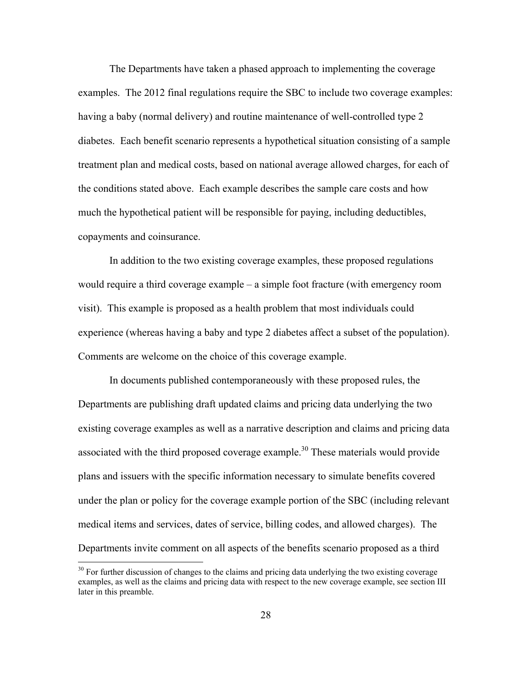The Departments have taken a phased approach to implementing the coverage examples. The 2012 final regulations require the SBC to include two coverage examples: having a baby (normal delivery) and routine maintenance of well-controlled type 2 diabetes. Each benefit scenario represents a hypothetical situation consisting of a sample treatment plan and medical costs, based on national average allowed charges, for each of the conditions stated above. Each example describes the sample care costs and how much the hypothetical patient will be responsible for paying, including deductibles, copayments and coinsurance.

 In addition to the two existing coverage examples, these proposed regulations would require a third coverage example – a simple foot fracture (with emergency room visit). This example is proposed as a health problem that most individuals could experience (whereas having a baby and type 2 diabetes affect a subset of the population). Comments are welcome on the choice of this coverage example.

 In documents published contemporaneously with these proposed rules, the Departments are publishing draft updated claims and pricing data underlying the two existing coverage examples as well as a narrative description and claims and pricing data associated with the third proposed coverage example.<sup>30</sup> These materials would provide plans and issuers with the specific information necessary to simulate benefits covered under the plan or policy for the coverage example portion of the SBC (including relevant medical items and services, dates of service, billing codes, and allowed charges). The Departments invite comment on all aspects of the benefits scenario proposed as a third

 $30$  For further discussion of changes to the claims and pricing data underlying the two existing coverage examples, as well as the claims and pricing data with respect to the new coverage example, see section III later in this preamble.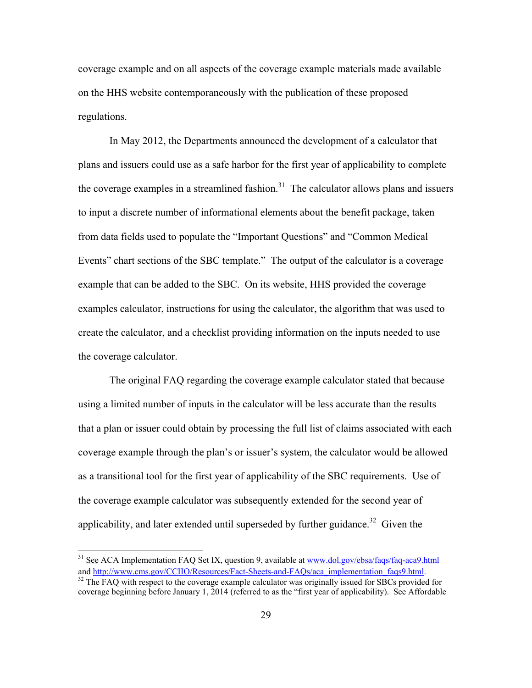coverage example and on all aspects of the coverage example materials made available on the HHS website contemporaneously with the publication of these proposed regulations.

 In May 2012, the Departments announced the development of a calculator that plans and issuers could use as a safe harbor for the first year of applicability to complete the coverage examples in a streamlined fashion.<sup>31</sup> The calculator allows plans and issuers to input a discrete number of informational elements about the benefit package, taken from data fields used to populate the "Important Questions" and "Common Medical Events" chart sections of the SBC template." The output of the calculator is a coverage example that can be added to the SBC. On its website, HHS provided the coverage examples calculator, instructions for using the calculator, the algorithm that was used to create the calculator, and a checklist providing information on the inputs needed to use the coverage calculator.

 The original FAQ regarding the coverage example calculator stated that because using a limited number of inputs in the calculator will be less accurate than the results that a plan or issuer could obtain by processing the full list of claims associated with each coverage example through the plan's or issuer's system, the calculator would be allowed as a transitional tool for the first year of applicability of the SBC requirements. Use of the coverage example calculator was subsequently extended for the second year of applicability, and later extended until superseded by further guidance.<sup>32</sup> Given the

<sup>&</sup>lt;sup>31</sup> See ACA Implementation FAQ Set IX, question 9, available at www.dol.gov/ebsa/faqs/faq-aca9.html and http://www.cms.gov/CCIIO/Resources/Fact-Sheets-and-FAQs/aca\_implementation\_faqs9.html.

 $32$  The FAQ with respect to the coverage example calculator was originally issued for SBCs provided for coverage beginning before January 1, 2014 (referred to as the "first year of applicability). See Affordable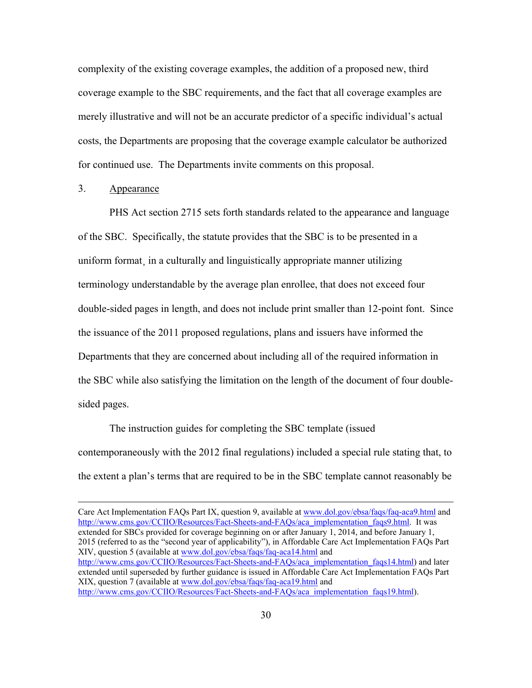complexity of the existing coverage examples, the addition of a proposed new, third coverage example to the SBC requirements, and the fact that all coverage examples are merely illustrative and will not be an accurate predictor of a specific individual's actual costs, the Departments are proposing that the coverage example calculator be authorized for continued use. The Departments invite comments on this proposal.

# 3. Appearance

 PHS Act section 2715 sets forth standards related to the appearance and language of the SBC. Specifically, the statute provides that the SBC is to be presented in a uniform format, in a culturally and linguistically appropriate manner utilizing terminology understandable by the average plan enrollee, that does not exceed four double-sided pages in length, and does not include print smaller than 12-point font. Since the issuance of the 2011 proposed regulations, plans and issuers have informed the Departments that they are concerned about including all of the required information in the SBC while also satisfying the limitation on the length of the document of four doublesided pages.

 The instruction guides for completing the SBC template (issued contemporaneously with the 2012 final regulations) included a special rule stating that, to the extent a plan's terms that are required to be in the SBC template cannot reasonably be

Care Act Implementation FAQs Part IX, question 9, available at www.dol.gov/ebsa/faqs/faq-aca9.html and http://www.cms.gov/CCIIO/Resources/Fact-Sheets-and-FAOs/aca\_implementation\_faqs9.html. It was extended for SBCs provided for coverage beginning on or after January 1, 2014, and before January 1, 2015 (referred to as the "second year of applicability"), in Affordable Care Act Implementation FAQs Part XIV, question 5 (available at www.dol.gov/ebsa/faqs/faq-aca14.html and http://www.cms.gov/CCIIO/Resources/Fact-Sheets-and-FAQs/aca\_implementation\_faqs14.html) and later extended until superseded by further guidance is issued in Affordable Care Act Implementation FAQs Part XIX, question 7 (available at www.dol.gov/ebsa/faqs/faq-aca19.html and http://www.cms.gov/CCIIO/Resources/Fact-Sheets-and-FAQs/aca\_implementation\_faqs19.html).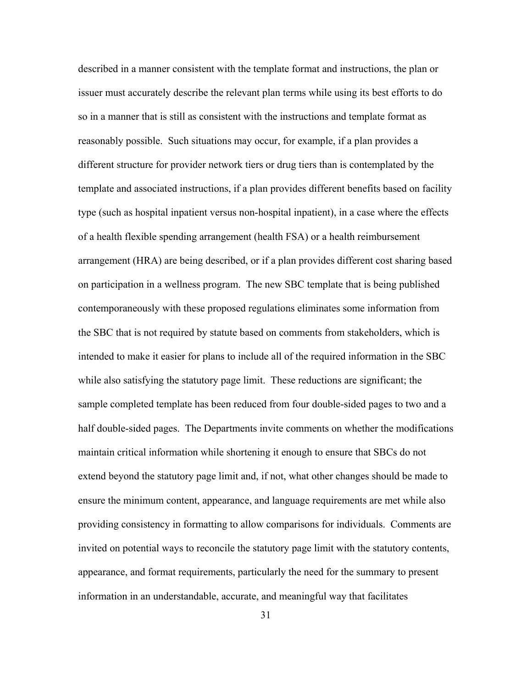described in a manner consistent with the template format and instructions, the plan or issuer must accurately describe the relevant plan terms while using its best efforts to do so in a manner that is still as consistent with the instructions and template format as reasonably possible. Such situations may occur, for example, if a plan provides a different structure for provider network tiers or drug tiers than is contemplated by the template and associated instructions, if a plan provides different benefits based on facility type (such as hospital inpatient versus non-hospital inpatient), in a case where the effects of a health flexible spending arrangement (health FSA) or a health reimbursement arrangement (HRA) are being described, or if a plan provides different cost sharing based on participation in a wellness program. The new SBC template that is being published contemporaneously with these proposed regulations eliminates some information from the SBC that is not required by statute based on comments from stakeholders, which is intended to make it easier for plans to include all of the required information in the SBC while also satisfying the statutory page limit. These reductions are significant; the sample completed template has been reduced from four double-sided pages to two and a half double-sided pages. The Departments invite comments on whether the modifications maintain critical information while shortening it enough to ensure that SBCs do not extend beyond the statutory page limit and, if not, what other changes should be made to ensure the minimum content, appearance, and language requirements are met while also providing consistency in formatting to allow comparisons for individuals. Comments are invited on potential ways to reconcile the statutory page limit with the statutory contents, appearance, and format requirements, particularly the need for the summary to present information in an understandable, accurate, and meaningful way that facilitates

31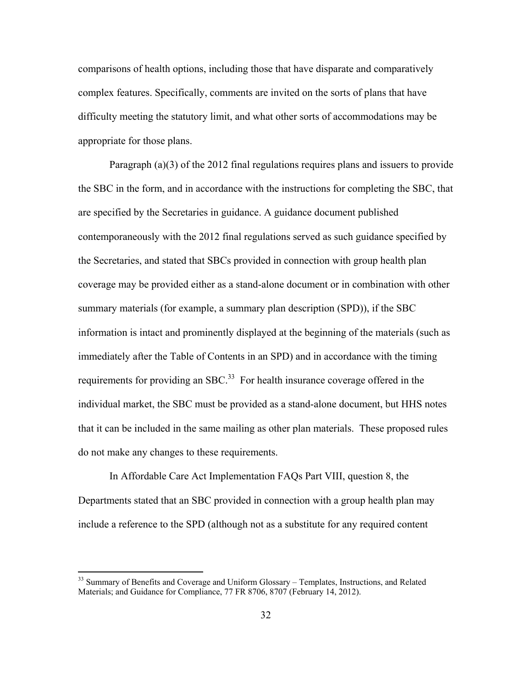comparisons of health options, including those that have disparate and comparatively complex features. Specifically, comments are invited on the sorts of plans that have difficulty meeting the statutory limit, and what other sorts of accommodations may be appropriate for those plans.

Paragraph (a)(3) of the 2012 final regulations requires plans and issuers to provide the SBC in the form, and in accordance with the instructions for completing the SBC, that are specified by the Secretaries in guidance. A guidance document published contemporaneously with the 2012 final regulations served as such guidance specified by the Secretaries, and stated that SBCs provided in connection with group health plan coverage may be provided either as a stand-alone document or in combination with other summary materials (for example, a summary plan description (SPD)), if the SBC information is intact and prominently displayed at the beginning of the materials (such as immediately after the Table of Contents in an SPD) and in accordance with the timing requirements for providing an SBC.<sup>33</sup> For health insurance coverage offered in the individual market, the SBC must be provided as a stand-alone document, but HHS notes that it can be included in the same mailing as other plan materials. These proposed rules do not make any changes to these requirements.

In Affordable Care Act Implementation FAQs Part VIII, question 8, the Departments stated that an SBC provided in connection with a group health plan may include a reference to the SPD (although not as a substitute for any required content

<sup>&</sup>lt;sup>33</sup> Summary of Benefits and Coverage and Uniform Glossary – Templates, Instructions, and Related Materials; and Guidance for Compliance, 77 FR 8706, 8707 (February 14, 2012).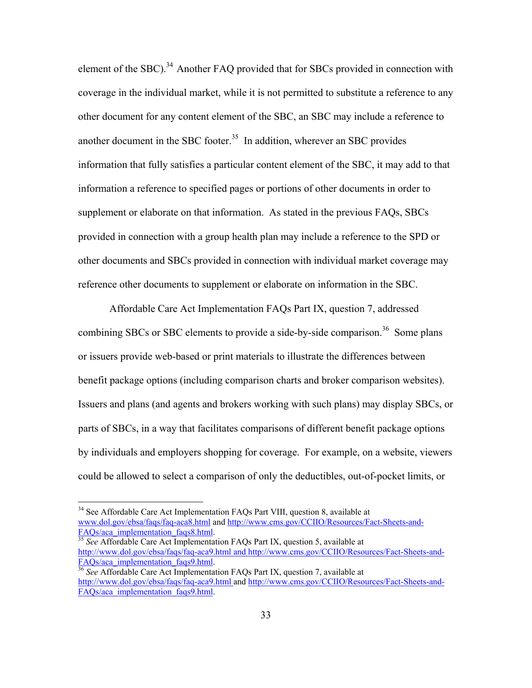element of the SBC).<sup>34</sup> Another FAQ provided that for SBCs provided in connection with coverage in the individual market, while it is not permitted to substitute a reference to any other document for any content element of the SBC, an SBC may include a reference to another document in the SBC footer.<sup>35</sup> In addition, wherever an SBC provides information that fully satisfies a particular content element of the SBC, it may add to that information a reference to specified pages or portions of other documents in order to supplement or elaborate on that information. As stated in the previous FAQs, SBCs provided in connection with a group health plan may include a reference to the SPD or other documents and SBCs provided in connection with individual market coverage may reference other documents to supplement or elaborate on information in the SBC.

Affordable Care Act Implementation FAQs Part IX, question 7, addressed combining SBCs or SBC elements to provide a side-by-side comparison.<sup>36</sup> Some plans or issuers provide web-based or print materials to illustrate the differences between benefit package options (including comparison charts and broker comparison websites). Issuers and plans (and agents and brokers working with such plans) may display SBCs, or parts of SBCs, in a way that facilitates comparisons of different benefit package options by individuals and employers shopping for coverage. For example, on a website, viewers could be allowed to select a comparison of only the deductibles, out-of-pocket limits, or

 $\overline{a}$ 

See Affordable Care Act Implementation FAQs Part IX, question 5, available at http://www.dol.gov/ebsa/faqs/faq-aca9.html and http://www.cms.gov/CCIIO/Resources/Fact-Sheets-and-FAQs/aca\_implementation\_faqs9.html. 36 *See* Affordable Care Act Implementation FAQs Part IX, question 7, available at

<sup>&</sup>lt;sup>34</sup> See Affordable Care Act Implementation FAQs Part VIII, question 8, available at www.dol.gov/ebsa/faqs/faq-aca8.html and http://www.cms.gov/CCIIO/Resources/Fact-Sheets-and-<br>FAQs/aca\_implementation\_faqs8.html.

http://www.dol.gov/ebsa/faqs/faq-aca9.html and http://www.cms.gov/CCIIO/Resources/Fact-Sheets-and-FAOs/aca\_implementation\_faqs9.html.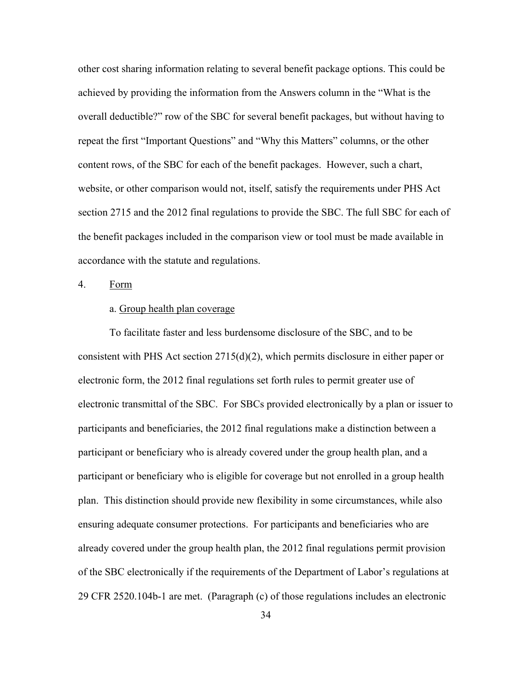other cost sharing information relating to several benefit package options. This could be achieved by providing the information from the Answers column in the "What is the overall deductible?" row of the SBC for several benefit packages, but without having to repeat the first "Important Questions" and "Why this Matters" columns, or the other content rows, of the SBC for each of the benefit packages. However, such a chart, website, or other comparison would not, itself, satisfy the requirements under PHS Act section 2715 and the 2012 final regulations to provide the SBC. The full SBC for each of the benefit packages included in the comparison view or tool must be made available in accordance with the statute and regulations.

4. Form

## a. Group health plan coverage

To facilitate faster and less burdensome disclosure of the SBC, and to be consistent with PHS Act section 2715(d)(2), which permits disclosure in either paper or electronic form, the 2012 final regulations set forth rules to permit greater use of electronic transmittal of the SBC. For SBCs provided electronically by a plan or issuer to participants and beneficiaries, the 2012 final regulations make a distinction between a participant or beneficiary who is already covered under the group health plan, and a participant or beneficiary who is eligible for coverage but not enrolled in a group health plan. This distinction should provide new flexibility in some circumstances, while also ensuring adequate consumer protections. For participants and beneficiaries who are already covered under the group health plan, the 2012 final regulations permit provision of the SBC electronically if the requirements of the Department of Labor's regulations at 29 CFR 2520.104b-1 are met. (Paragraph (c) of those regulations includes an electronic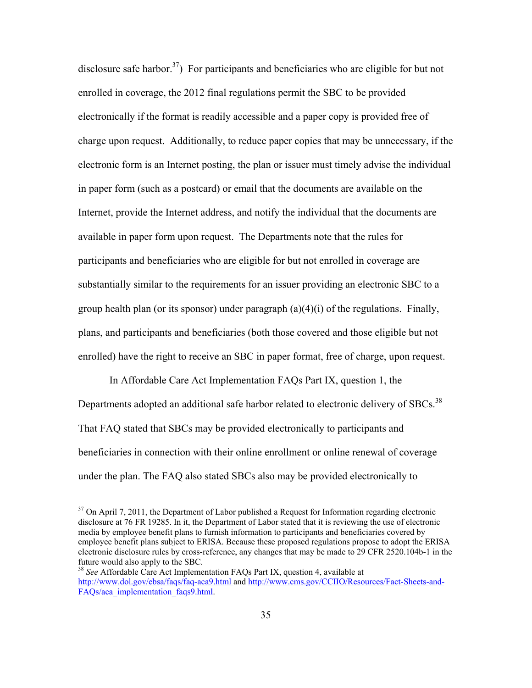disclosure safe harbor.<sup>37</sup>) For participants and beneficiaries who are eligible for but not enrolled in coverage, the 2012 final regulations permit the SBC to be provided electronically if the format is readily accessible and a paper copy is provided free of charge upon request. Additionally, to reduce paper copies that may be unnecessary, if the electronic form is an Internet posting, the plan or issuer must timely advise the individual in paper form (such as a postcard) or email that the documents are available on the Internet, provide the Internet address, and notify the individual that the documents are available in paper form upon request. The Departments note that the rules for participants and beneficiaries who are eligible for but not enrolled in coverage are substantially similar to the requirements for an issuer providing an electronic SBC to a group health plan (or its sponsor) under paragraph  $(a)(4)(i)$  of the regulations. Finally, plans, and participants and beneficiaries (both those covered and those eligible but not enrolled) have the right to receive an SBC in paper format, free of charge, upon request.

In Affordable Care Act Implementation FAQs Part IX, question 1, the Departments adopted an additional safe harbor related to electronic delivery of SBCs.<sup>38</sup> That FAQ stated that SBCs may be provided electronically to participants and beneficiaries in connection with their online enrollment or online renewal of coverage under the plan. The FAQ also stated SBCs also may be provided electronically to

1

 $37$  On April 7, 2011, the Department of Labor published a Request for Information regarding electronic disclosure at 76 FR 19285. In it, the Department of Labor stated that it is reviewing the use of electronic media by employee benefit plans to furnish information to participants and beneficiaries covered by employee benefit plans subject to ERISA. Because these proposed regulations propose to adopt the ERISA electronic disclosure rules by cross-reference, any changes that may be made to 29 CFR 2520.104b-1 in the future would also apply to the SBC.

<sup>38</sup> *See* Affordable Care Act Implementation FAQs Part IX, question 4, available at http://www.dol.gov/ebsa/faqs/faq-aca9.html and http://www.cms.gov/CCIIO/Resources/Fact-Sheets-and-FAOs/aca\_implementation\_faqs9.html.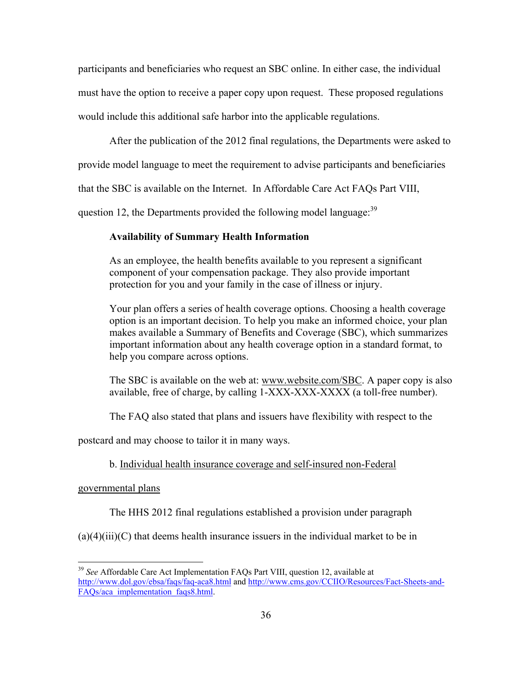participants and beneficiaries who request an SBC online. In either case, the individual must have the option to receive a paper copy upon request. These proposed regulations would include this additional safe harbor into the applicable regulations.

After the publication of the 2012 final regulations, the Departments were asked to

provide model language to meet the requirement to advise participants and beneficiaries

that the SBC is available on the Internet. In Affordable Care Act FAQs Part VIII,

question 12, the Departments provided the following model language:<sup>39</sup>

## **Availability of Summary Health Information**

As an employee, the health benefits available to you represent a significant component of your compensation package. They also provide important protection for you and your family in the case of illness or injury.

Your plan offers a series of health coverage options. Choosing a health coverage option is an important decision. To help you make an informed choice, your plan makes available a Summary of Benefits and Coverage (SBC), which summarizes important information about any health coverage option in a standard format, to help you compare across options.

The SBC is available on the web at: www.website.com/SBC. A paper copy is also available, free of charge, by calling 1-XXX-XXX-XXXX (a toll-free number).

The FAQ also stated that plans and issuers have flexibility with respect to the

postcard and may choose to tailor it in many ways.

# b. Individual health insurance coverage and self-insured non-Federal

#### governmental plans

1

The HHS 2012 final regulations established a provision under paragraph

 $(a)(4)(iii)(C)$  that deems health insurance issuers in the individual market to be in

<sup>39</sup> *See* Affordable Care Act Implementation FAQs Part VIII, question 12, available at http://www.dol.gov/ebsa/faqs/faq-aca8.html and http://www.cms.gov/CCIIO/Resources/Fact-Sheets-and-FAOs/aca\_implementation\_faqs8.html.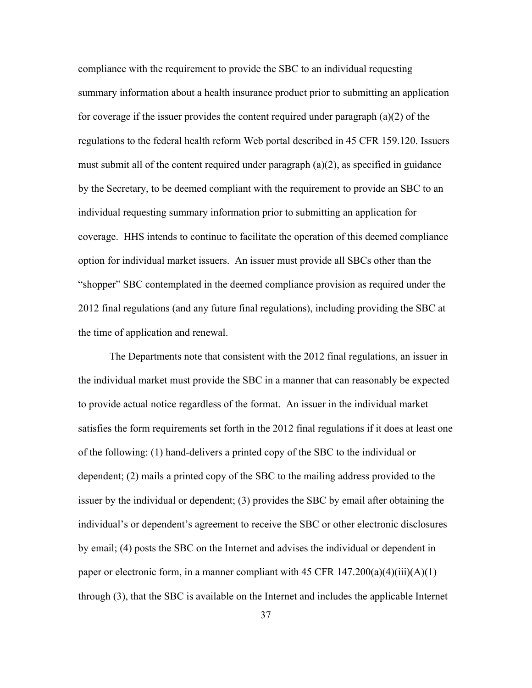compliance with the requirement to provide the SBC to an individual requesting summary information about a health insurance product prior to submitting an application for coverage if the issuer provides the content required under paragraph (a)(2) of the regulations to the federal health reform Web portal described in 45 CFR 159.120. Issuers must submit all of the content required under paragraph  $(a)(2)$ , as specified in guidance by the Secretary, to be deemed compliant with the requirement to provide an SBC to an individual requesting summary information prior to submitting an application for coverage. HHS intends to continue to facilitate the operation of this deemed compliance option for individual market issuers. An issuer must provide all SBCs other than the "shopper" SBC contemplated in the deemed compliance provision as required under the 2012 final regulations (and any future final regulations), including providing the SBC at the time of application and renewal.

The Departments note that consistent with the 2012 final regulations, an issuer in the individual market must provide the SBC in a manner that can reasonably be expected to provide actual notice regardless of the format. An issuer in the individual market satisfies the form requirements set forth in the 2012 final regulations if it does at least one of the following: (1) hand-delivers a printed copy of the SBC to the individual or dependent; (2) mails a printed copy of the SBC to the mailing address provided to the issuer by the individual or dependent; (3) provides the SBC by email after obtaining the individual's or dependent's agreement to receive the SBC or other electronic disclosures by email; (4) posts the SBC on the Internet and advises the individual or dependent in paper or electronic form, in a manner compliant with 45 CFR  $147.200(a)(4)(iii)(A)(1)$ through (3), that the SBC is available on the Internet and includes the applicable Internet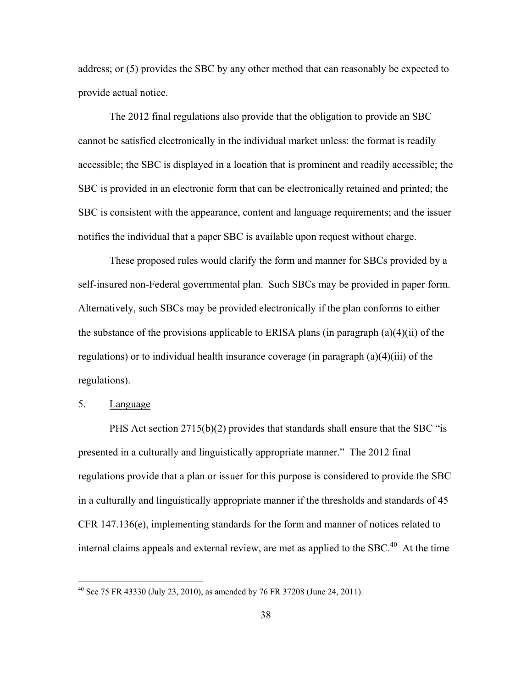address; or (5) provides the SBC by any other method that can reasonably be expected to provide actual notice.

 The 2012 final regulations also provide that the obligation to provide an SBC cannot be satisfied electronically in the individual market unless: the format is readily accessible; the SBC is displayed in a location that is prominent and readily accessible; the SBC is provided in an electronic form that can be electronically retained and printed; the SBC is consistent with the appearance, content and language requirements; and the issuer notifies the individual that a paper SBC is available upon request without charge.

 These proposed rules would clarify the form and manner for SBCs provided by a self-insured non-Federal governmental plan. Such SBCs may be provided in paper form. Alternatively, such SBCs may be provided electronically if the plan conforms to either the substance of the provisions applicable to ERISA plans (in paragraph  $(a)(4)(ii)$ ) of the regulations) or to individual health insurance coverage (in paragraph (a)(4)(iii) of the regulations).

## 5. Language

 $\overline{a}$ 

PHS Act section 2715(b)(2) provides that standards shall ensure that the SBC "is presented in a culturally and linguistically appropriate manner." The 2012 final regulations provide that a plan or issuer for this purpose is considered to provide the SBC in a culturally and linguistically appropriate manner if the thresholds and standards of 45 CFR 147.136(e), implementing standards for the form and manner of notices related to internal claims appeals and external review, are met as applied to the SBC.<sup>40</sup> At the time

 $^{40}$  See 75 FR 43330 (July 23, 2010), as amended by 76 FR 37208 (June 24, 2011).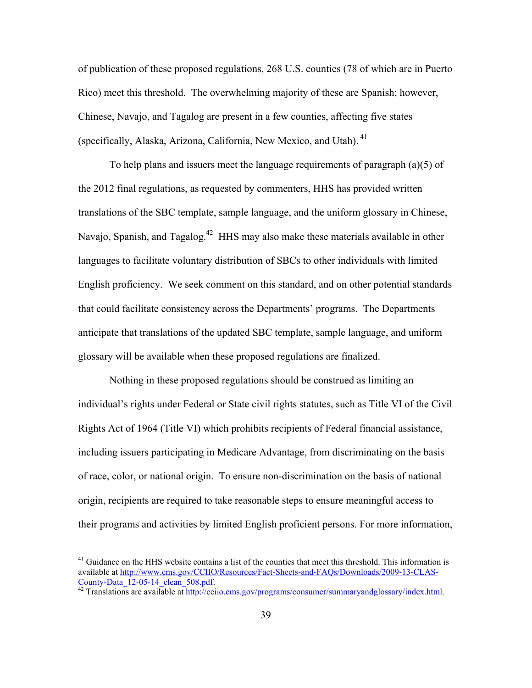of publication of these proposed regulations, 268 U.S. counties (78 of which are in Puerto Rico) meet this threshold. The overwhelming majority of these are Spanish; however, Chinese, Navajo, and Tagalog are present in a few counties, affecting five states (specifically, Alaska, Arizona, California, New Mexico, and Utah). 41

To help plans and issuers meet the language requirements of paragraph  $(a)(5)$  of the 2012 final regulations, as requested by commenters, HHS has provided written translations of the SBC template, sample language, and the uniform glossary in Chinese, Navajo, Spanish, and Tagalog.<sup>42</sup> HHS may also make these materials available in other languages to facilitate voluntary distribution of SBCs to other individuals with limited English proficiency. We seek comment on this standard, and on other potential standards that could facilitate consistency across the Departments' programs. The Departments anticipate that translations of the updated SBC template, sample language, and uniform glossary will be available when these proposed regulations are finalized.

Nothing in these proposed regulations should be construed as limiting an individual's rights under Federal or State civil rights statutes, such as Title VI of the Civil Rights Act of 1964 (Title VI) which prohibits recipients of Federal financial assistance, including issuers participating in Medicare Advantage, from discriminating on the basis of race, color, or national origin. To ensure non-discrimination on the basis of national origin, recipients are required to take reasonable steps to ensure meaningful access to their programs and activities by limited English proficient persons. For more information,

<sup>&</sup>lt;sup>41</sup> Guidance on the HHS website contains a list of the counties that meet this threshold. This information is available at http://www.cms.gov/CCIIO/Resources/Fact-Sheets-and-FAQs/Downloads/2009-13-CLAS-County-Data\_12-05-14\_clean\_508.pdf. 42 Translations are available at http://cciio.cms.gov/programs/consumer/summaryandglossary/index.html.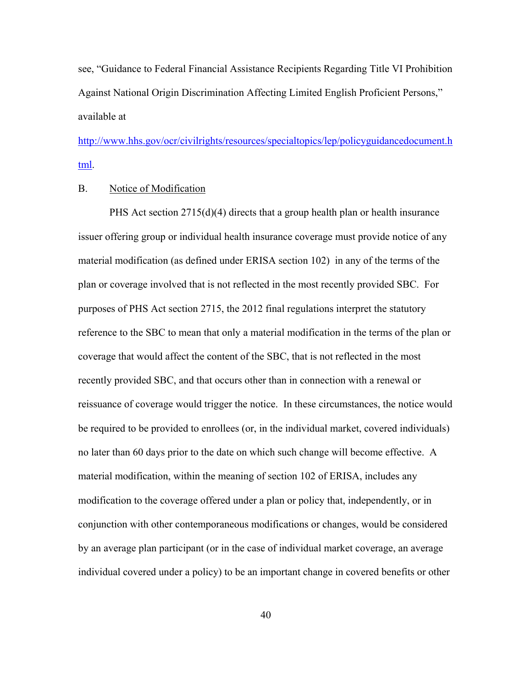see, "Guidance to Federal Financial Assistance Recipients Regarding Title VI Prohibition Against National Origin Discrimination Affecting Limited English Proficient Persons," available at

http://www.hhs.gov/ocr/civilrights/resources/specialtopics/lep/policyguidancedocument.h tml.

## B. Notice of Modification

PHS Act section  $2715(d)(4)$  directs that a group health plan or health insurance issuer offering group or individual health insurance coverage must provide notice of any material modification (as defined under ERISA section 102) in any of the terms of the plan or coverage involved that is not reflected in the most recently provided SBC. For purposes of PHS Act section 2715, the 2012 final regulations interpret the statutory reference to the SBC to mean that only a material modification in the terms of the plan or coverage that would affect the content of the SBC, that is not reflected in the most recently provided SBC, and that occurs other than in connection with a renewal or reissuance of coverage would trigger the notice. In these circumstances, the notice would be required to be provided to enrollees (or, in the individual market, covered individuals) no later than 60 days prior to the date on which such change will become effective. A material modification, within the meaning of section 102 of ERISA, includes any modification to the coverage offered under a plan or policy that, independently, or in conjunction with other contemporaneous modifications or changes, would be considered by an average plan participant (or in the case of individual market coverage, an average individual covered under a policy) to be an important change in covered benefits or other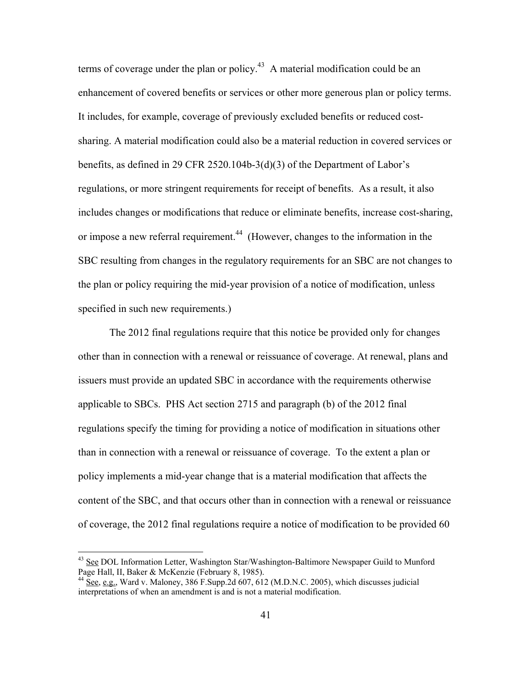terms of coverage under the plan or policy.<sup>43</sup> A material modification could be an enhancement of covered benefits or services or other more generous plan or policy terms. It includes, for example, coverage of previously excluded benefits or reduced costsharing. A material modification could also be a material reduction in covered services or benefits, as defined in 29 CFR 2520.104b-3(d)(3) of the Department of Labor's regulations, or more stringent requirements for receipt of benefits. As a result, it also includes changes or modifications that reduce or eliminate benefits, increase cost-sharing, or impose a new referral requirement.<sup>44</sup> (However, changes to the information in the SBC resulting from changes in the regulatory requirements for an SBC are not changes to the plan or policy requiring the mid-year provision of a notice of modification, unless specified in such new requirements.)

The 2012 final regulations require that this notice be provided only for changes other than in connection with a renewal or reissuance of coverage. At renewal, plans and issuers must provide an updated SBC in accordance with the requirements otherwise applicable to SBCs. PHS Act section 2715 and paragraph (b) of the 2012 final regulations specify the timing for providing a notice of modification in situations other than in connection with a renewal or reissuance of coverage. To the extent a plan or policy implements a mid-year change that is a material modification that affects the content of the SBC, and that occurs other than in connection with a renewal or reissuance of coverage, the 2012 final regulations require a notice of modification to be provided 60

<sup>&</sup>lt;sup>43</sup> See DOL Information Letter, Washington Star/Washington-Baltimore Newspaper Guild to Munford Page Hall, II, Baker & McKenzie (February 8, 1985).

<sup>44</sup> See, e.g., Ward v. Maloney, 386 F.Supp.2d 607, 612 (M.D.N.C. 2005), which discusses judicial interpretations of when an amendment is and is not a material modification.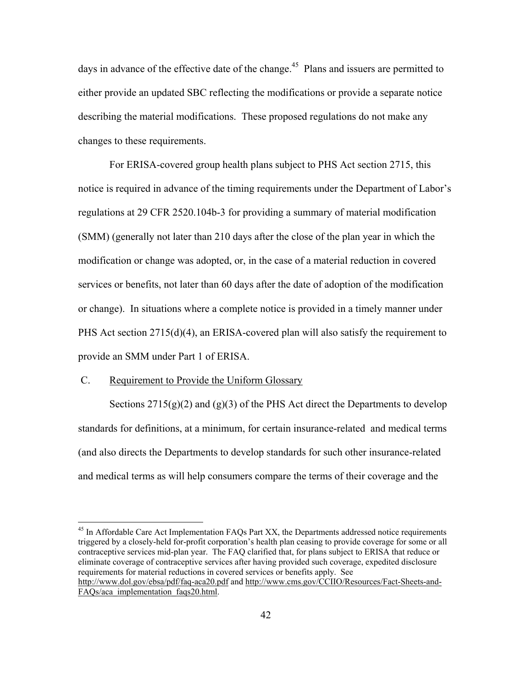days in advance of the effective date of the change.<sup>45</sup> Plans and issuers are permitted to either provide an updated SBC reflecting the modifications or provide a separate notice describing the material modifications. These proposed regulations do not make any changes to these requirements.

For ERISA-covered group health plans subject to PHS Act section 2715, this notice is required in advance of the timing requirements under the Department of Labor's regulations at 29 CFR 2520.104b-3 for providing a summary of material modification (SMM) (generally not later than 210 days after the close of the plan year in which the modification or change was adopted, or, in the case of a material reduction in covered services or benefits, not later than 60 days after the date of adoption of the modification or change). In situations where a complete notice is provided in a timely manner under PHS Act section  $2715(d)(4)$ , an ERISA-covered plan will also satisfy the requirement to provide an SMM under Part 1 of ERISA.

## C. Requirement to Provide the Uniform Glossary

 $\overline{a}$ 

Sections  $2715(g)(2)$  and  $(g)(3)$  of the PHS Act direct the Departments to develop standards for definitions, at a minimum, for certain insurance-related and medical terms (and also directs the Departments to develop standards for such other insurance-related and medical terms as will help consumers compare the terms of their coverage and the

 $45$  In Affordable Care Act Implementation FAOs Part XX, the Departments addressed notice requirements triggered by a closely-held for-profit corporation's health plan ceasing to provide coverage for some or all contraceptive services mid-plan year. The FAQ clarified that, for plans subject to ERISA that reduce or eliminate coverage of contraceptive services after having provided such coverage, expedited disclosure requirements for material reductions in covered services or benefits apply. See http://www.dol.gov/ebsa/pdf/faq-aca20.pdf and http://www.cms.gov/CCIIO/Resources/Fact-Sheets-and-FAQs/aca\_implementation\_faqs20.html.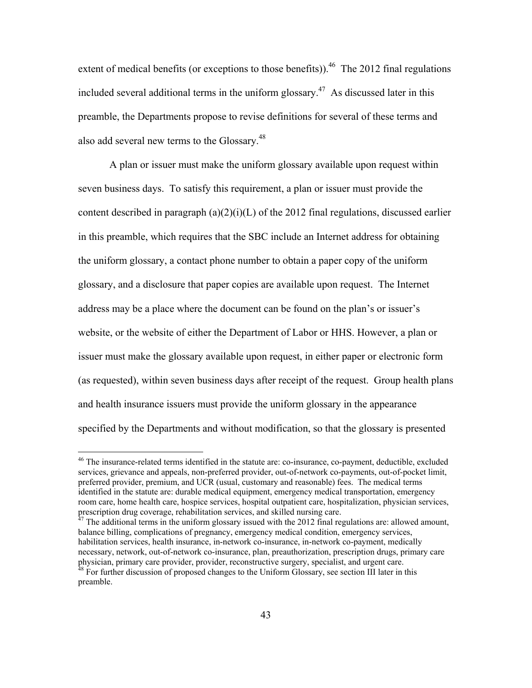extent of medical benefits (or exceptions to those benefits)).<sup>46</sup> The 2012 final regulations included several additional terms in the uniform glossary.<sup>47</sup> As discussed later in this preamble, the Departments propose to revise definitions for several of these terms and also add several new terms to the Glossary.48

 A plan or issuer must make the uniform glossary available upon request within seven business days. To satisfy this requirement, a plan or issuer must provide the content described in paragraph (a)(2)(i)(L) of the 2012 final regulations, discussed earlier in this preamble, which requires that the SBC include an Internet address for obtaining the uniform glossary, a contact phone number to obtain a paper copy of the uniform glossary, and a disclosure that paper copies are available upon request. The Internet address may be a place where the document can be found on the plan's or issuer's website, or the website of either the Department of Labor or HHS. However, a plan or issuer must make the glossary available upon request, in either paper or electronic form (as requested), within seven business days after receipt of the request. Group health plans and health insurance issuers must provide the uniform glossary in the appearance specified by the Departments and without modification, so that the glossary is presented

<sup>&</sup>lt;sup>46</sup> The insurance-related terms identified in the statute are: co-insurance, co-payment, deductible, excluded services, grievance and appeals, non-preferred provider, out-of-network co-payments, out-of-pocket limit, preferred provider, premium, and UCR (usual, customary and reasonable) fees. The medical terms identified in the statute are: durable medical equipment, emergency medical transportation, emergency room care, home health care, hospice services, hospital outpatient care, hospitalization, physician services,

 $47$  The additional terms in the uniform glossary issued with the 2012 final regulations are: allowed amount, balance billing, complications of pregnancy, emergency medical condition, emergency services, habilitation services, health insurance, in-network co-insurance, in-network co-payment, medically necessary, network, out-of-network co-insurance, plan, preauthorization, prescription drugs, primary care physician, primary care provider, provider, reconstructive surgery, specialist, and urgent care. 48 For further discussion of proposed changes to the Uniform Glossary, see section III later in this preamble.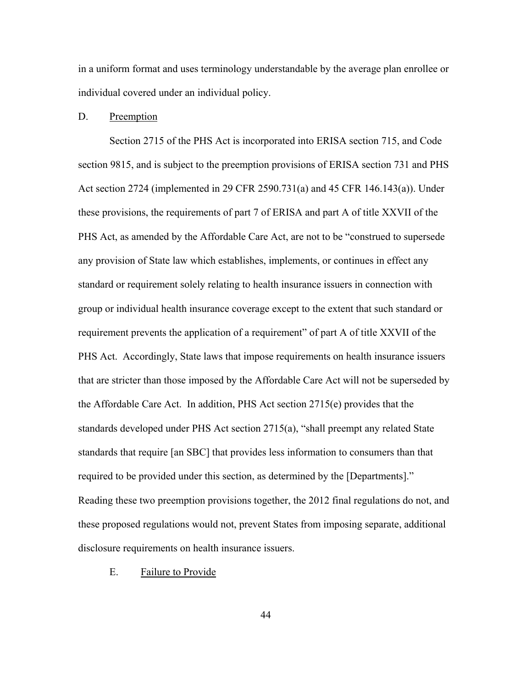in a uniform format and uses terminology understandable by the average plan enrollee or individual covered under an individual policy.

## D. Preemption

Section 2715 of the PHS Act is incorporated into ERISA section 715, and Code section 9815, and is subject to the preemption provisions of ERISA section 731 and PHS Act section 2724 (implemented in 29 CFR 2590.731(a) and 45 CFR 146.143(a)). Under these provisions, the requirements of part 7 of ERISA and part A of title XXVII of the PHS Act, as amended by the Affordable Care Act, are not to be "construed to supersede any provision of State law which establishes, implements, or continues in effect any standard or requirement solely relating to health insurance issuers in connection with group or individual health insurance coverage except to the extent that such standard or requirement prevents the application of a requirement" of part A of title XXVII of the PHS Act. Accordingly, State laws that impose requirements on health insurance issuers that are stricter than those imposed by the Affordable Care Act will not be superseded by the Affordable Care Act. In addition, PHS Act section 2715(e) provides that the standards developed under PHS Act section 2715(a), "shall preempt any related State standards that require [an SBC] that provides less information to consumers than that required to be provided under this section, as determined by the [Departments]." Reading these two preemption provisions together, the 2012 final regulations do not, and these proposed regulations would not, prevent States from imposing separate, additional disclosure requirements on health insurance issuers.

## E. Failure to Provide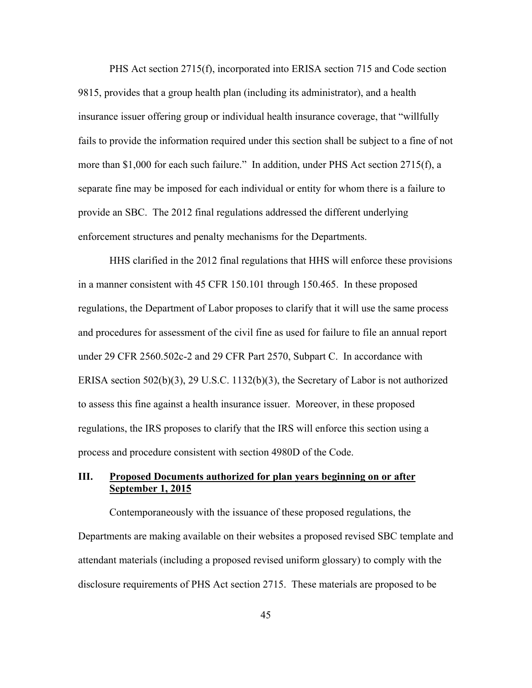PHS Act section 2715(f), incorporated into ERISA section 715 and Code section 9815, provides that a group health plan (including its administrator), and a health insurance issuer offering group or individual health insurance coverage, that "willfully fails to provide the information required under this section shall be subject to a fine of not more than \$1,000 for each such failure." In addition, under PHS Act section 2715(f), a separate fine may be imposed for each individual or entity for whom there is a failure to provide an SBC. The 2012 final regulations addressed the different underlying enforcement structures and penalty mechanisms for the Departments.

HHS clarified in the 2012 final regulations that HHS will enforce these provisions in a manner consistent with 45 CFR 150.101 through 150.465. In these proposed regulations, the Department of Labor proposes to clarify that it will use the same process and procedures for assessment of the civil fine as used for failure to file an annual report under 29 CFR 2560.502c-2 and 29 CFR Part 2570, Subpart C. In accordance with ERISA section 502(b)(3), 29 U.S.C. 1132(b)(3), the Secretary of Labor is not authorized to assess this fine against a health insurance issuer. Moreover, in these proposed regulations, the IRS proposes to clarify that the IRS will enforce this section using a process and procedure consistent with section 4980D of the Code.

## **III. Proposed Documents authorized for plan years beginning on or after September 1, 2015**

Contemporaneously with the issuance of these proposed regulations, the Departments are making available on their websites a proposed revised SBC template and attendant materials (including a proposed revised uniform glossary) to comply with the disclosure requirements of PHS Act section 2715. These materials are proposed to be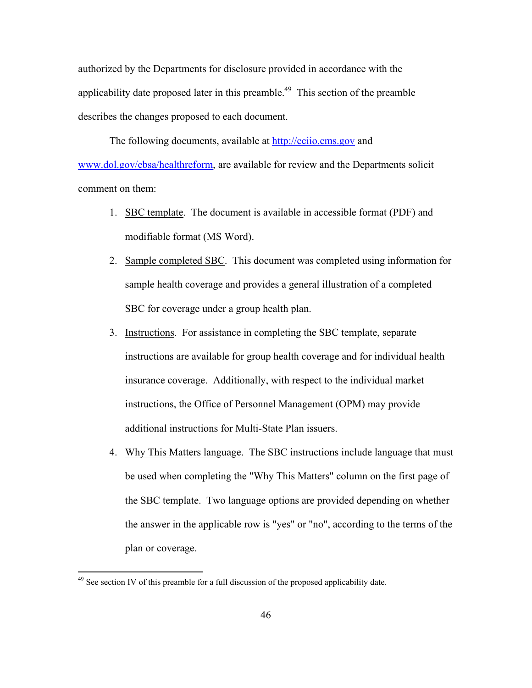authorized by the Departments for disclosure provided in accordance with the applicability date proposed later in this preamble.<sup> $49$ </sup> This section of the preamble describes the changes proposed to each document.

The following documents, available at http://cciio.cms.gov and www.dol.gov/ebsa/healthreform, are available for review and the Departments solicit comment on them:

- 1. SBC template. The document is available in accessible format (PDF) and modifiable format (MS Word).
- 2. Sample completed SBC. This document was completed using information for sample health coverage and provides a general illustration of a completed SBC for coverage under a group health plan.
- 3. Instructions. For assistance in completing the SBC template, separate instructions are available for group health coverage and for individual health insurance coverage. Additionally, with respect to the individual market instructions, the Office of Personnel Management (OPM) may provide additional instructions for Multi-State Plan issuers.
- 4. Why This Matters language. The SBC instructions include language that must be used when completing the "Why This Matters" column on the first page of the SBC template. Two language options are provided depending on whether the answer in the applicable row is "yes" or "no", according to the terms of the plan or coverage.

 $49$  See section IV of this preamble for a full discussion of the proposed applicability date.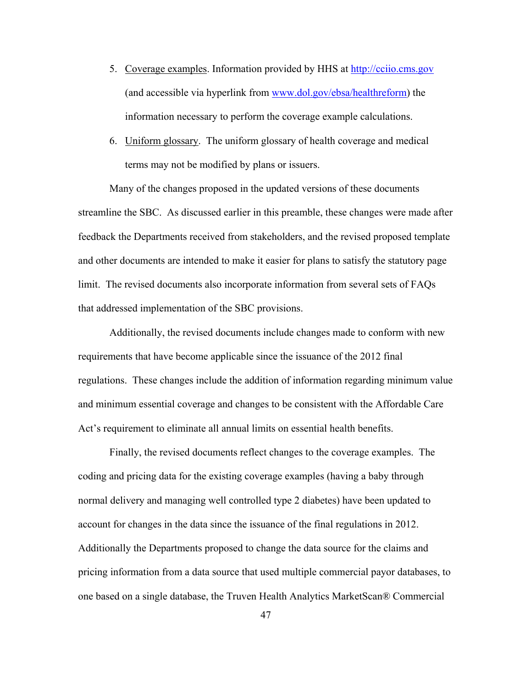- 5. Coverage examples. Information provided by HHS at http://cciio.cms.gov (and accessible via hyperlink from www.dol.gov/ebsa/healthreform) the information necessary to perform the coverage example calculations.
- 6. Uniform glossary. The uniform glossary of health coverage and medical terms may not be modified by plans or issuers.

 Many of the changes proposed in the updated versions of these documents streamline the SBC. As discussed earlier in this preamble, these changes were made after feedback the Departments received from stakeholders, and the revised proposed template and other documents are intended to make it easier for plans to satisfy the statutory page limit. The revised documents also incorporate information from several sets of FAQs that addressed implementation of the SBC provisions.

 Additionally, the revised documents include changes made to conform with new requirements that have become applicable since the issuance of the 2012 final regulations. These changes include the addition of information regarding minimum value and minimum essential coverage and changes to be consistent with the Affordable Care Act's requirement to eliminate all annual limits on essential health benefits.

 Finally, the revised documents reflect changes to the coverage examples. The coding and pricing data for the existing coverage examples (having a baby through normal delivery and managing well controlled type 2 diabetes) have been updated to account for changes in the data since the issuance of the final regulations in 2012. Additionally the Departments proposed to change the data source for the claims and pricing information from a data source that used multiple commercial payor databases, to one based on a single database, the Truven Health Analytics MarketScan® Commercial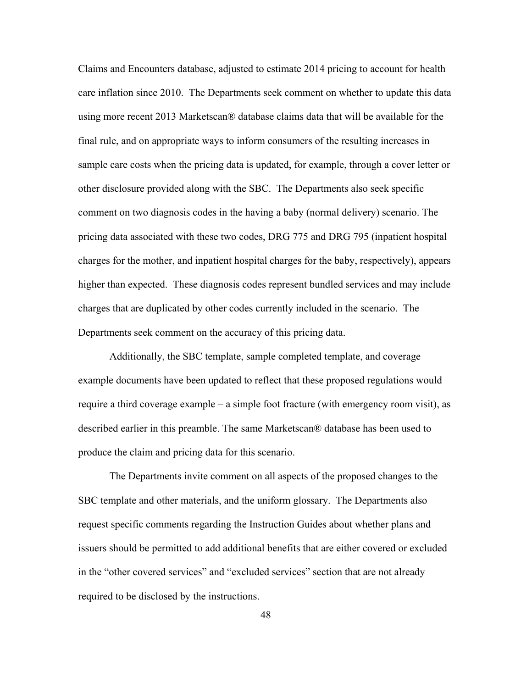Claims and Encounters database, adjusted to estimate 2014 pricing to account for health care inflation since 2010. The Departments seek comment on whether to update this data using more recent 2013 Marketscan® database claims data that will be available for the final rule, and on appropriate ways to inform consumers of the resulting increases in sample care costs when the pricing data is updated, for example, through a cover letter or other disclosure provided along with the SBC. The Departments also seek specific comment on two diagnosis codes in the having a baby (normal delivery) scenario. The pricing data associated with these two codes, DRG 775 and DRG 795 (inpatient hospital charges for the mother, and inpatient hospital charges for the baby, respectively), appears higher than expected. These diagnosis codes represent bundled services and may include charges that are duplicated by other codes currently included in the scenario. The Departments seek comment on the accuracy of this pricing data.

 Additionally, the SBC template, sample completed template, and coverage example documents have been updated to reflect that these proposed regulations would require a third coverage example – a simple foot fracture (with emergency room visit), as described earlier in this preamble. The same Marketscan® database has been used to produce the claim and pricing data for this scenario.

 The Departments invite comment on all aspects of the proposed changes to the SBC template and other materials, and the uniform glossary. The Departments also request specific comments regarding the Instruction Guides about whether plans and issuers should be permitted to add additional benefits that are either covered or excluded in the "other covered services" and "excluded services" section that are not already required to be disclosed by the instructions.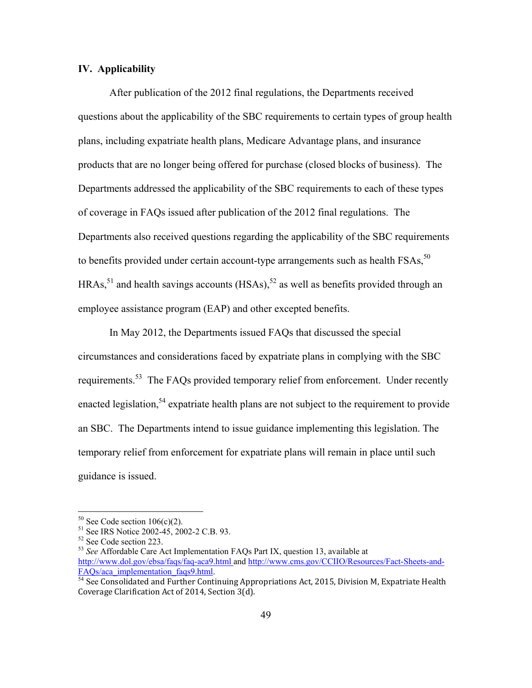## **IV. Applicability**

 After publication of the 2012 final regulations, the Departments received questions about the applicability of the SBC requirements to certain types of group health plans, including expatriate health plans, Medicare Advantage plans, and insurance products that are no longer being offered for purchase (closed blocks of business). The Departments addressed the applicability of the SBC requirements to each of these types of coverage in FAQs issued after publication of the 2012 final regulations. The Departments also received questions regarding the applicability of the SBC requirements to benefits provided under certain account-type arrangements such as health FSAs,<sup>50</sup>  $HRAs$ <sup>51</sup> and health savings accounts  $(HSAs)$ <sup>52</sup> as well as benefits provided through an employee assistance program (EAP) and other excepted benefits.

 In May 2012, the Departments issued FAQs that discussed the special circumstances and considerations faced by expatriate plans in complying with the SBC requirements.<sup>53</sup> The FAQs provided temporary relief from enforcement. Under recently enacted legislation,  $54$  expatriate health plans are not subject to the requirement to provide an SBC. The Departments intend to issue guidance implementing this legislation. The temporary relief from enforcement for expatriate plans will remain in place until such guidance is issued.

 $50$  See Code section 106(c)(2).

<sup>&</sup>lt;sup>51</sup> See IRS Notice 2002-45, 2002-2 C.B. 93.

<sup>52</sup> See Code section 223.

<sup>53</sup> *See* Affordable Care Act Implementation FAQs Part IX, question 13, available at http://www.dol.gov/ebsa/faqs/faq-aca9.html and http://www.cms.gov/CCIIO/Resources/Fact-Sheets-and-FAQs/aca\_implementation\_faqs9.html.<br><sup>54</sup> See Consolidated and Further Continuing Appropriations Act, 2015, Division M, Expatriate Health

Coverage Clarification Act of 2014, Section 3(d).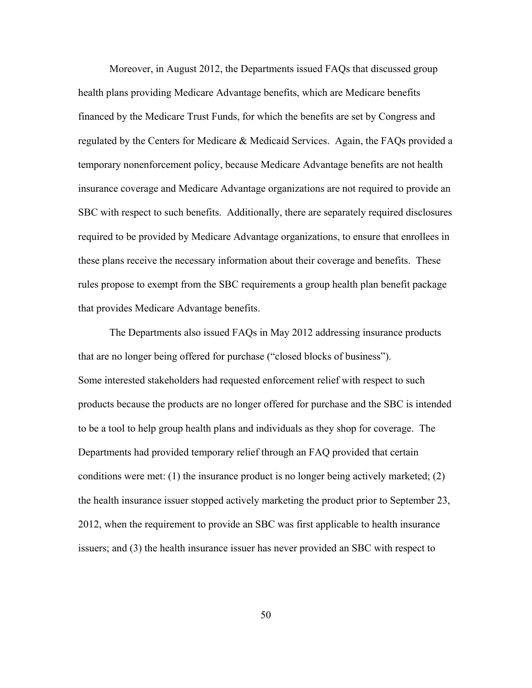Moreover, in August 2012, the Departments issued FAQs that discussed group health plans providing Medicare Advantage benefits, which are Medicare benefits financed by the Medicare Trust Funds, for which the benefits are set by Congress and regulated by the Centers for Medicare & Medicaid Services. Again, the FAQs provided a temporary nonenforcement policy, because Medicare Advantage benefits are not health insurance coverage and Medicare Advantage organizations are not required to provide an SBC with respect to such benefits. Additionally, there are separately required disclosures required to be provided by Medicare Advantage organizations, to ensure that enrollees in these plans receive the necessary information about their coverage and benefits. These rules propose to exempt from the SBC requirements a group health plan benefit package that provides Medicare Advantage benefits.

 The Departments also issued FAQs in May 2012 addressing insurance products that are no longer being offered for purchase ("closed blocks of business"). Some interested stakeholders had requested enforcement relief with respect to such products because the products are no longer offered for purchase and the SBC is intended to be a tool to help group health plans and individuals as they shop for coverage. The Departments had provided temporary relief through an FAQ provided that certain conditions were met: (1) the insurance product is no longer being actively marketed; (2) the health insurance issuer stopped actively marketing the product prior to September 23, 2012, when the requirement to provide an SBC was first applicable to health insurance issuers; and (3) the health insurance issuer has never provided an SBC with respect to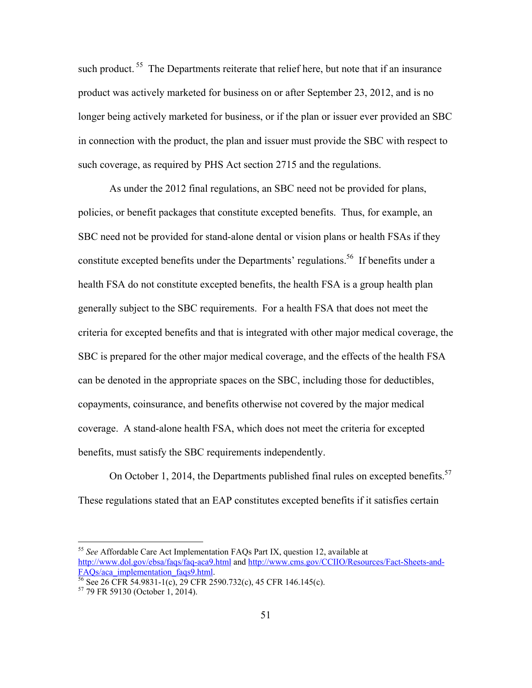such product.<sup>55</sup> The Departments reiterate that relief here, but note that if an insurance product was actively marketed for business on or after September 23, 2012, and is no longer being actively marketed for business, or if the plan or issuer ever provided an SBC in connection with the product, the plan and issuer must provide the SBC with respect to such coverage, as required by PHS Act section 2715 and the regulations.

As under the 2012 final regulations, an SBC need not be provided for plans, policies, or benefit packages that constitute excepted benefits. Thus, for example, an SBC need not be provided for stand-alone dental or vision plans or health FSAs if they constitute excepted benefits under the Departments' regulations.<sup>56</sup> If benefits under a health FSA do not constitute excepted benefits, the health FSA is a group health plan generally subject to the SBC requirements. For a health FSA that does not meet the criteria for excepted benefits and that is integrated with other major medical coverage, the SBC is prepared for the other major medical coverage, and the effects of the health FSA can be denoted in the appropriate spaces on the SBC, including those for deductibles, copayments, coinsurance, and benefits otherwise not covered by the major medical coverage. A stand-alone health FSA, which does not meet the criteria for excepted benefits, must satisfy the SBC requirements independently.

On October 1, 2014, the Departments published final rules on excepted benefits.<sup>57</sup> These regulations stated that an EAP constitutes excepted benefits if it satisfies certain

<sup>55</sup> *See* Affordable Care Act Implementation FAQs Part IX, question 12, available at http://www.dol.gov/ebsa/faqs/faq-aca9.html and http://www.cms.gov/CCIIO/Resources/Fact-Sheets-and-<br>FAQs/aca\_implementation\_faqs9.html

 $\frac{56}{56}$  See 26 CFR 54.9831-1(c), 29 CFR 2590.732(c), 45 CFR 146.145(c).

<sup>57 79</sup> FR 59130 (October 1, 2014).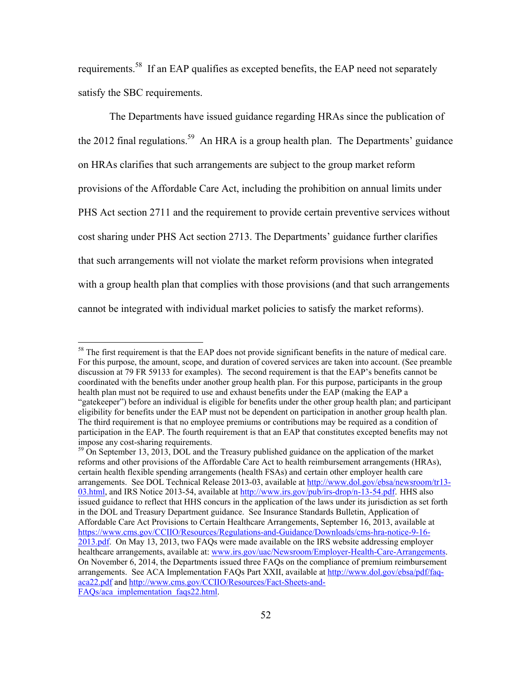requirements.58 If an EAP qualifies as excepted benefits, the EAP need not separately satisfy the SBC requirements.

The Departments have issued guidance regarding HRAs since the publication of the 2012 final regulations.<sup>59</sup> An HRA is a group health plan. The Departments' guidance on HRAs clarifies that such arrangements are subject to the group market reform provisions of the Affordable Care Act, including the prohibition on annual limits under PHS Act section 2711 and the requirement to provide certain preventive services without cost sharing under PHS Act section 2713. The Departments' guidance further clarifies that such arrangements will not violate the market reform provisions when integrated with a group health plan that complies with those provisions (and that such arrangements cannot be integrated with individual market policies to satisfy the market reforms).

<sup>&</sup>lt;sup>58</sup> The first requirement is that the EAP does not provide significant benefits in the nature of medical care. For this purpose, the amount, scope, and duration of covered services are taken into account. (See preamble discussion at 79 FR 59133 for examples). The second requirement is that the EAP's benefits cannot be coordinated with the benefits under another group health plan. For this purpose, participants in the group health plan must not be required to use and exhaust benefits under the EAP (making the EAP a "gatekeeper") before an individual is eligible for benefits under the other group health plan; and participant eligibility for benefits under the EAP must not be dependent on participation in another group health plan. The third requirement is that no employee premiums or contributions may be required as a condition of participation in the EAP. The fourth requirement is that an EAP that constitutes excepted benefits may not impose any cost-sharing requirements.

<sup>&</sup>lt;sup>59</sup> On September 13, 2013, DOL and the Treasury published guidance on the application of the market reforms and other provisions of the Affordable Care Act to health reimbursement arrangements (HRAs), certain health flexible spending arrangements (health FSAs) and certain other employer health care arrangements. See DOL Technical Release 2013-03, available at http://www.dol.gov/ebsa/newsroom/tr13- 03.html, and IRS Notice 2013-54, available at http://www.irs.gov/pub/irs-drop/n-13-54.pdf. HHS also issued guidance to reflect that HHS concurs in the application of the laws under its jurisdiction as set forth in the DOL and Treasury Department guidance. See Insurance Standards Bulletin, Application of Affordable Care Act Provisions to Certain Healthcare Arrangements, September 16, 2013, available at https://www.cms.gov/CCIIO/Resources/Regulations-and-Guidance/Downloads/cms-hra-notice-9-16- 2013.pdf. On May 13, 2013, two FAQs were made available on the IRS website addressing employer healthcare arrangements, available at: www.irs.gov/uac/Newsroom/Employer-Health-Care-Arrangements. On November 6, 2014, the Departments issued three FAQs on the compliance of premium reimbursement arrangements. See ACA Implementation FAQs Part XXII, available at http://www.dol.gov/ebsa/pdf/faqaca22.pdf and http://www.cms.gov/CCIIO/Resources/Fact-Sheets-and-FAOs/aca\_implementation\_faqs22.html.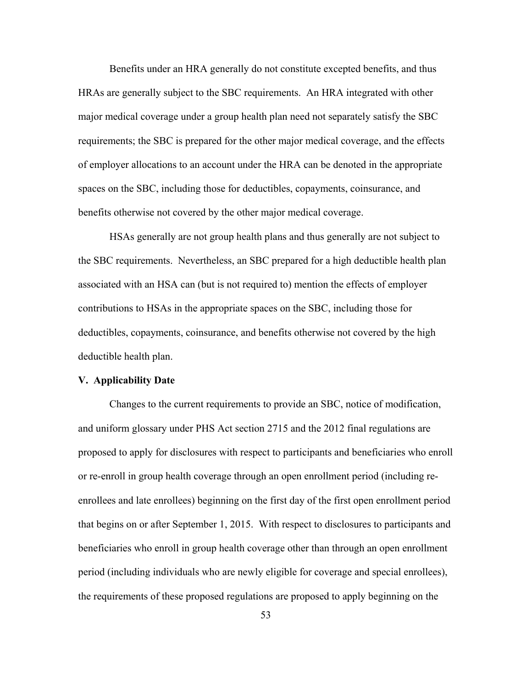Benefits under an HRA generally do not constitute excepted benefits, and thus HRAs are generally subject to the SBC requirements. An HRA integrated with other major medical coverage under a group health plan need not separately satisfy the SBC requirements; the SBC is prepared for the other major medical coverage, and the effects of employer allocations to an account under the HRA can be denoted in the appropriate spaces on the SBC, including those for deductibles, copayments, coinsurance, and benefits otherwise not covered by the other major medical coverage.

HSAs generally are not group health plans and thus generally are not subject to the SBC requirements. Nevertheless, an SBC prepared for a high deductible health plan associated with an HSA can (but is not required to) mention the effects of employer contributions to HSAs in the appropriate spaces on the SBC, including those for deductibles, copayments, coinsurance, and benefits otherwise not covered by the high deductible health plan.

#### **V. Applicability Date**

Changes to the current requirements to provide an SBC, notice of modification, and uniform glossary under PHS Act section 2715 and the 2012 final regulations are proposed to apply for disclosures with respect to participants and beneficiaries who enroll or re-enroll in group health coverage through an open enrollment period (including reenrollees and late enrollees) beginning on the first day of the first open enrollment period that begins on or after September 1, 2015. With respect to disclosures to participants and beneficiaries who enroll in group health coverage other than through an open enrollment period (including individuals who are newly eligible for coverage and special enrollees), the requirements of these proposed regulations are proposed to apply beginning on the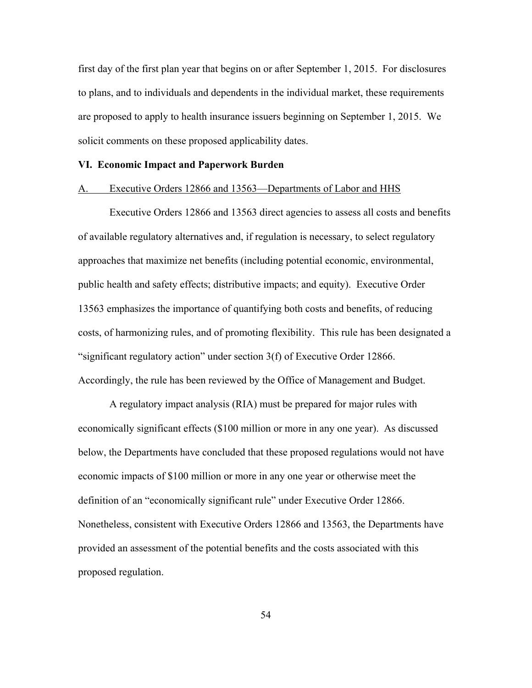first day of the first plan year that begins on or after September 1, 2015. For disclosures to plans, and to individuals and dependents in the individual market, these requirements are proposed to apply to health insurance issuers beginning on September 1, 2015. We solicit comments on these proposed applicability dates.

## **VI. Economic Impact and Paperwork Burden**

#### A. Executive Orders 12866 and 13563—Departments of Labor and HHS

Executive Orders 12866 and 13563 direct agencies to assess all costs and benefits of available regulatory alternatives and, if regulation is necessary, to select regulatory approaches that maximize net benefits (including potential economic, environmental, public health and safety effects; distributive impacts; and equity). Executive Order 13563 emphasizes the importance of quantifying both costs and benefits, of reducing costs, of harmonizing rules, and of promoting flexibility. This rule has been designated a "significant regulatory action" under section 3(f) of Executive Order 12866. Accordingly, the rule has been reviewed by the Office of Management and Budget.

A regulatory impact analysis (RIA) must be prepared for major rules with economically significant effects (\$100 million or more in any one year). As discussed below, the Departments have concluded that these proposed regulations would not have economic impacts of \$100 million or more in any one year or otherwise meet the definition of an "economically significant rule" under Executive Order 12866. Nonetheless, consistent with Executive Orders 12866 and 13563, the Departments have provided an assessment of the potential benefits and the costs associated with this proposed regulation.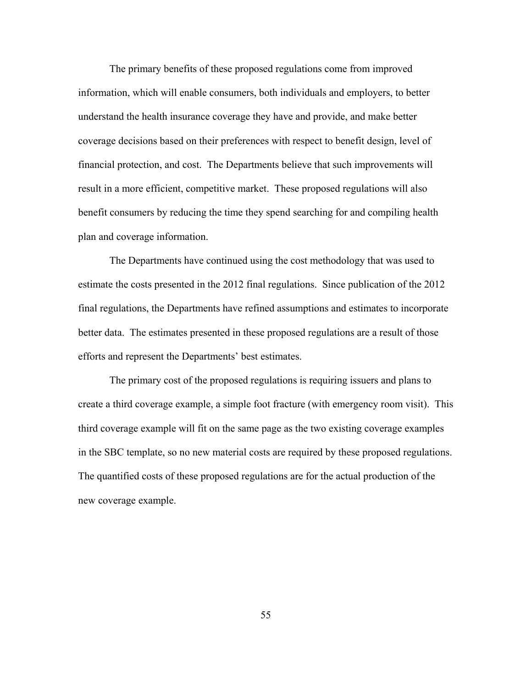The primary benefits of these proposed regulations come from improved information, which will enable consumers, both individuals and employers, to better understand the health insurance coverage they have and provide, and make better coverage decisions based on their preferences with respect to benefit design, level of financial protection, and cost. The Departments believe that such improvements will result in a more efficient, competitive market. These proposed regulations will also benefit consumers by reducing the time they spend searching for and compiling health plan and coverage information.

The Departments have continued using the cost methodology that was used to estimate the costs presented in the 2012 final regulations. Since publication of the 2012 final regulations, the Departments have refined assumptions and estimates to incorporate better data. The estimates presented in these proposed regulations are a result of those efforts and represent the Departments' best estimates.

The primary cost of the proposed regulations is requiring issuers and plans to create a third coverage example, a simple foot fracture (with emergency room visit). This third coverage example will fit on the same page as the two existing coverage examples in the SBC template, so no new material costs are required by these proposed regulations. The quantified costs of these proposed regulations are for the actual production of the new coverage example.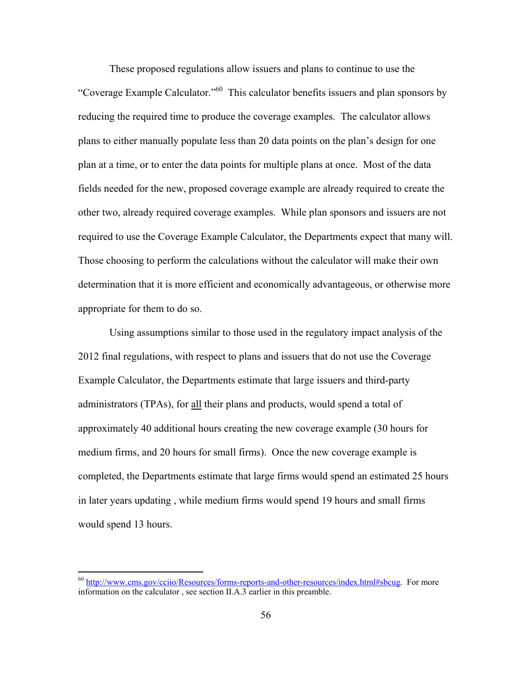These proposed regulations allow issuers and plans to continue to use the "Coverage Example Calculator."60 This calculator benefits issuers and plan sponsors by reducing the required time to produce the coverage examples. The calculator allows plans to either manually populate less than 20 data points on the plan's design for one plan at a time, or to enter the data points for multiple plans at once. Most of the data fields needed for the new, proposed coverage example are already required to create the other two, already required coverage examples. While plan sponsors and issuers are not required to use the Coverage Example Calculator, the Departments expect that many will. Those choosing to perform the calculations without the calculator will make their own determination that it is more efficient and economically advantageous, or otherwise more appropriate for them to do so.

Using assumptions similar to those used in the regulatory impact analysis of the 2012 final regulations, with respect to plans and issuers that do not use the Coverage Example Calculator, the Departments estimate that large issuers and third-party administrators (TPAs), for all their plans and products, would spend a total of approximately 40 additional hours creating the new coverage example (30 hours for medium firms, and 20 hours for small firms). Once the new coverage example is completed, the Departments estimate that large firms would spend an estimated 25 hours in later years updating , while medium firms would spend 19 hours and small firms would spend 13 hours.

<sup>&</sup>lt;sup>60</sup> http://www.cms.gov/cciio/Resources/forms-reports-and-other-resources/index.html#sbcug. For more information on the calculator , see section II.A.3 earlier in this preamble.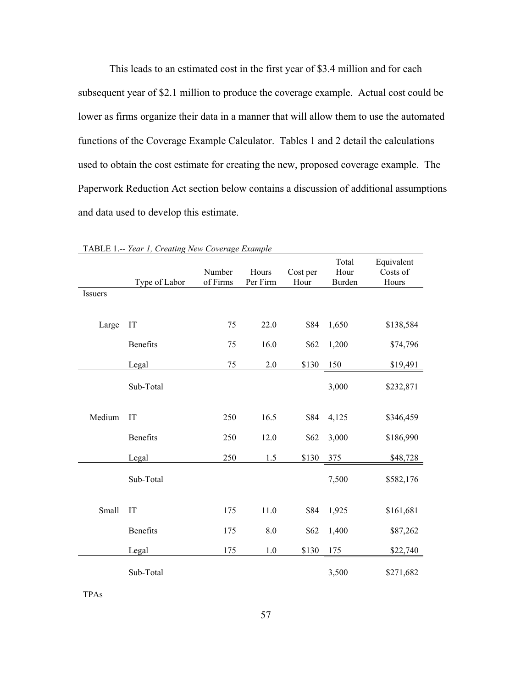This leads to an estimated cost in the first year of \$3.4 million and for each subsequent year of \$2.1 million to produce the coverage example. Actual cost could be lower as firms organize their data in a manner that will allow them to use the automated functions of the Coverage Example Calculator. Tables 1 and 2 detail the calculations used to obtain the cost estimate for creating the new, proposed coverage example. The Paperwork Reduction Act section below contains a discussion of additional assumptions and data used to develop this estimate.

|                        | Type of Labor | Number<br>of Firms | Hours<br>Per Firm | Cost per<br>Hour | Total<br>Hour<br><b>Burden</b> | Equivalent<br>Costs of<br>Hours |
|------------------------|---------------|--------------------|-------------------|------------------|--------------------------------|---------------------------------|
|                        |               |                    |                   |                  |                                |                                 |
| Large                  | IT            | 75                 | 22.0              | \$84             | 1,650                          | \$138,584                       |
|                        | Benefits      | 75                 | 16.0              | \$62             | 1,200                          | \$74,796                        |
|                        | Legal         | 75                 | 2.0               | \$130            | 150                            | \$19,491                        |
|                        | Sub-Total     |                    |                   |                  | 3,000                          | \$232,871                       |
| Medium                 | IT            | 250                | 16.5              | \$84             | 4,125                          | \$346,459                       |
|                        | Benefits      | 250                | 12.0              | \$62             | 3,000                          | \$186,990                       |
| Issuers<br>Small<br>IT | Legal         | 250                | 1.5               | \$130            | 375                            | \$48,728                        |
|                        | Sub-Total     |                    |                   |                  | 7,500                          | \$582,176                       |
|                        |               | 175                | 11.0              | \$84             | 1,925                          | \$161,681                       |
|                        | Benefits      | 175                | 8.0               | \$62             | 1,400                          | \$87,262                        |
|                        | Legal         | 175                | 1.0               | \$130            | 175                            | \$22,740                        |
|                        | Sub-Total     |                    |                   |                  | 3,500                          | \$271,682                       |

TABLE 1.-- *Year 1, Creating New Coverage Example*

TPAs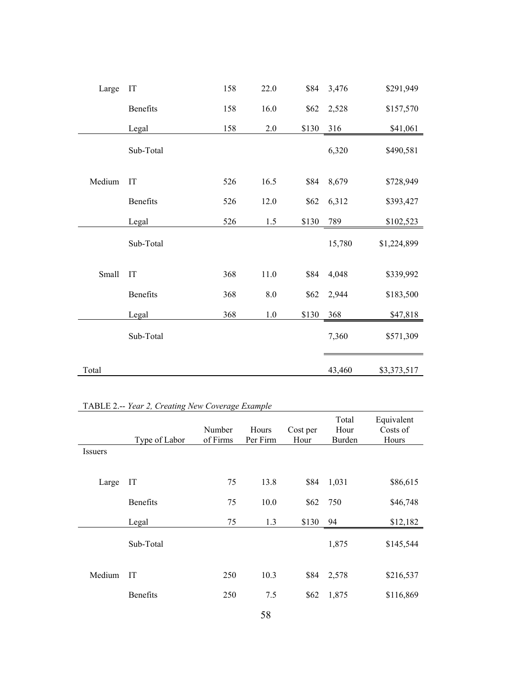| Large  | IT        | 158 | 22.0    | \$84  | 3,476  | \$291,949   |
|--------|-----------|-----|---------|-------|--------|-------------|
|        | Benefits  | 158 | 16.0    | \$62  | 2,528  | \$157,570   |
|        | Legal     | 158 | $2.0\,$ | \$130 | 316    | \$41,061    |
|        | Sub-Total |     |         |       | 6,320  | \$490,581   |
| Medium | IT        | 526 | 16.5    | \$84  | 8,679  | \$728,949   |
|        | Benefits  | 526 | 12.0    | \$62  | 6,312  | \$393,427   |
|        | Legal     | 526 | 1.5     | \$130 | 789    | \$102,523   |
|        | Sub-Total |     |         |       | 15,780 | \$1,224,899 |
| Small  | IT        | 368 | 11.0    | \$84  | 4,048  | \$339,992   |
|        | Benefits  | 368 | $8.0\,$ | \$62  | 2,944  | \$183,500   |
|        | Legal     | 368 | $1.0\,$ | \$130 | 368    | \$47,818    |
|        | Sub-Total |     |         |       | 7,360  | \$571,309   |
| Total  |           |     |         |       | 43,460 | \$3,373,517 |

| TABLE 2.-- Year 2, Creating New Coverage Example |  |  |  |  |  |
|--------------------------------------------------|--|--|--|--|--|
|--------------------------------------------------|--|--|--|--|--|

|         | Type of Labor   | Number<br>of Firms | Hours<br>Per Firm | Cost per<br>Hour | Total<br>Hour<br>Burden | Equivalent<br>Costs of<br>Hours |
|---------|-----------------|--------------------|-------------------|------------------|-------------------------|---------------------------------|
| Issuers |                 |                    |                   |                  |                         |                                 |
|         |                 |                    |                   |                  |                         |                                 |
| Large   | IT              | 75                 | 13.8              | \$84             | 1,031                   | \$86,615                        |
|         | <b>Benefits</b> | 75                 | 10.0              | \$62             | 750                     | \$46,748                        |
|         | Legal           | 75                 | 1.3               | \$130            | 94                      | \$12,182                        |
|         | Sub-Total       |                    |                   |                  | 1,875                   | \$145,544                       |
| Medium  | IT              | 250                | 10.3              | \$84             | 2,578                   | \$216,537                       |
|         | <b>Benefits</b> | 250                | 7.5               | \$62             | 1,875                   | \$116,869                       |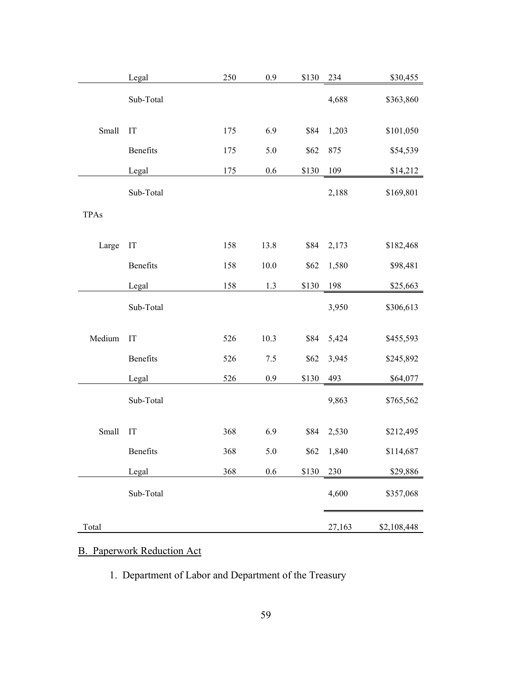|             | Legal     | 250 | $0.9\,$ | \$130 | 234    | \$30,455    |
|-------------|-----------|-----|---------|-------|--------|-------------|
|             | Sub-Total |     |         |       | 4,688  | \$363,860   |
| Small       | IT        | 175 | 6.9     | \$84  | 1,203  | \$101,050   |
|             | Benefits  | 175 | 5.0     | \$62  | 875    | \$54,539    |
|             | Legal     | 175 | 0.6     | \$130 | 109    | \$14,212    |
|             | Sub-Total |     |         |       | 2,188  | \$169,801   |
| <b>TPAs</b> |           |     |         |       |        |             |
| Large       | IT        | 158 | 13.8    | \$84  | 2,173  | \$182,468   |
|             | Benefits  | 158 | 10.0    | \$62  | 1,580  | \$98,481    |
|             | Legal     | 158 | $1.3$   | \$130 | 198    | \$25,663    |
|             | Sub-Total |     |         |       | 3,950  | \$306,613   |
| Medium      | IT        | 526 | 10.3    | \$84  | 5,424  | \$455,593   |
|             | Benefits  | 526 | 7.5     | \$62  | 3,945  | \$245,892   |
|             | Legal     | 526 | $0.9\,$ | \$130 | 493    | \$64,077    |
|             | Sub-Total |     |         |       | 9,863  | \$765,562   |
| Small       | IT        | 368 | 6.9     | \$84  | 2,530  | \$212,495   |
|             | Benefits  | 368 | 5.0     | \$62  | 1,840  | \$114,687   |
|             | Legal     | 368 | 0.6     | \$130 | 230    | \$29,886    |
|             | Sub-Total |     |         |       | 4,600  | \$357,068   |
| Total       |           |     |         |       | 27,163 | \$2,108,448 |

# B. Paperwork Reduction Act

1. Department of Labor and Department of the Treasury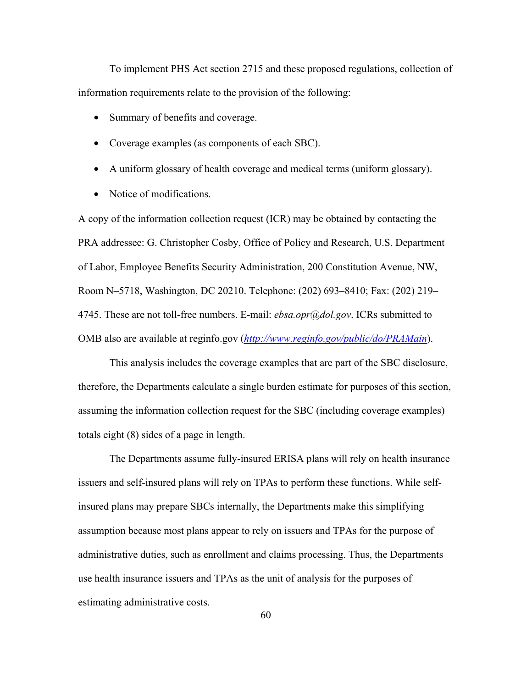To implement PHS Act section 2715 and these proposed regulations, collection of information requirements relate to the provision of the following:

- Summary of benefits and coverage.
- Coverage examples (as components of each SBC).
- A uniform glossary of health coverage and medical terms (uniform glossary).
- Notice of modifications.

A copy of the information collection request (ICR) may be obtained by contacting the PRA addressee: G. Christopher Cosby, Office of Policy and Research, U.S. Department of Labor, Employee Benefits Security Administration, 200 Constitution Avenue, NW, Room N–5718, Washington, DC 20210. Telephone: (202) 693–8410; Fax: (202) 219– 4745. These are not toll-free numbers. E-mail: *ebsa.opr@dol.gov*. ICRs submitted to OMB also are available at reginfo.gov (*http://www.reginfo.gov/public/do/PRAMain*).

This analysis includes the coverage examples that are part of the SBC disclosure, therefore, the Departments calculate a single burden estimate for purposes of this section, assuming the information collection request for the SBC (including coverage examples) totals eight (8) sides of a page in length.

The Departments assume fully-insured ERISA plans will rely on health insurance issuers and self-insured plans will rely on TPAs to perform these functions. While selfinsured plans may prepare SBCs internally, the Departments make this simplifying assumption because most plans appear to rely on issuers and TPAs for the purpose of administrative duties, such as enrollment and claims processing. Thus, the Departments use health insurance issuers and TPAs as the unit of analysis for the purposes of estimating administrative costs.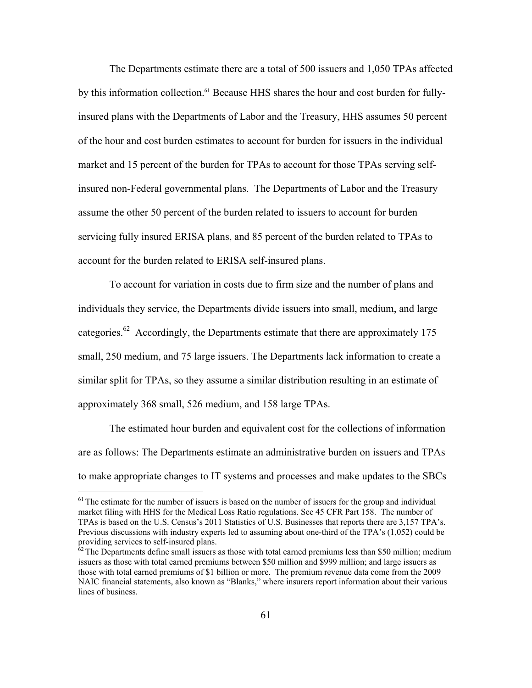The Departments estimate there are a total of 500 issuers and 1,050 TPAs affected by this information collection.<sup>61</sup> Because HHS shares the hour and cost burden for fullyinsured plans with the Departments of Labor and the Treasury, HHS assumes 50 percent of the hour and cost burden estimates to account for burden for issuers in the individual market and 15 percent of the burden for TPAs to account for those TPAs serving selfinsured non-Federal governmental plans. The Departments of Labor and the Treasury assume the other 50 percent of the burden related to issuers to account for burden servicing fully insured ERISA plans, and 85 percent of the burden related to TPAs to account for the burden related to ERISA self-insured plans.

To account for variation in costs due to firm size and the number of plans and individuals they service, the Departments divide issuers into small, medium, and large categories.<sup>62</sup> Accordingly, the Departments estimate that there are approximately 175 small, 250 medium, and 75 large issuers. The Departments lack information to create a similar split for TPAs, so they assume a similar distribution resulting in an estimate of approximately 368 small, 526 medium, and 158 large TPAs.

The estimated hour burden and equivalent cost for the collections of information are as follows: The Departments estimate an administrative burden on issuers and TPAs to make appropriate changes to IT systems and processes and make updates to the SBCs

 $<sup>61</sup>$  The estimate for the number of issuers is based on the number of issuers for the group and individual</sup> market filing with HHS for the Medical Loss Ratio regulations. See 45 CFR Part 158. The number of TPAs is based on the U.S. Census's 2011 Statistics of U.S. Businesses that reports there are 3,157 TPA's. Previous discussions with industry experts led to assuming about one-third of the TPA's (1,052) could be providing services to self-insured plans.

 $62$  The Departments define small issuers as those with total earned premiums less than \$50 million; medium issuers as those with total earned premiums between \$50 million and \$999 million; and large issuers as those with total earned premiums of \$1 billion or more. The premium revenue data come from the 2009 NAIC financial statements, also known as "Blanks," where insurers report information about their various lines of business.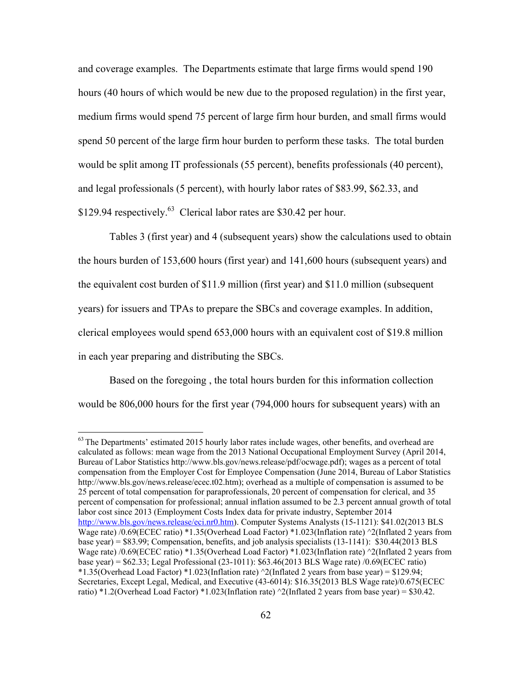and coverage examples. The Departments estimate that large firms would spend 190 hours (40 hours of which would be new due to the proposed regulation) in the first year, medium firms would spend 75 percent of large firm hour burden, and small firms would spend 50 percent of the large firm hour burden to perform these tasks. The total burden would be split among IT professionals (55 percent), benefits professionals (40 percent), and legal professionals (5 percent), with hourly labor rates of \$83.99, \$62.33, and \$129.94 respectively.<sup>63</sup> Clerical labor rates are \$30.42 per hour.

Tables 3 (first year) and 4 (subsequent years) show the calculations used to obtain the hours burden of 153,600 hours (first year) and 141,600 hours (subsequent years) and the equivalent cost burden of \$11.9 million (first year) and \$11.0 million (subsequent years) for issuers and TPAs to prepare the SBCs and coverage examples. In addition, clerical employees would spend 653,000 hours with an equivalent cost of \$19.8 million in each year preparing and distributing the SBCs.

Based on the foregoing , the total hours burden for this information collection would be 806,000 hours for the first year (794,000 hours for subsequent years) with an

 $63$  The Departments' estimated 2015 hourly labor rates include wages, other benefits, and overhead are calculated as follows: mean wage from the 2013 National Occupational Employment Survey (April 2014, Bureau of Labor Statistics http://www.bls.gov/news.release/pdf/ocwage.pdf); wages as a percent of total compensation from the Employer Cost for Employee Compensation (June 2014, Bureau of Labor Statistics http://www.bls.gov/news.release/ecec.t02.htm); overhead as a multiple of compensation is assumed to be 25 percent of total compensation for paraprofessionals, 20 percent of compensation for clerical, and 35 percent of compensation for professional; annual inflation assumed to be 2.3 percent annual growth of total labor cost since 2013 (Employment Costs Index data for private industry, September 2014 http://www.bls.gov/news.release/eci.nr0.htm). Computer Systems Analysts (15-1121): \$41.02(2013 BLS Wage rate) /0.69(ECEC ratio) \*1.35(Overhead Load Factor) \*1.023(Inflation rate)  $\frac{\gamma}{2}$ (Inflated 2 years from base year) = \$83.99; Compensation, benefits, and job analysis specialists (13-1141): \$30.44(2013 BLS Wage rate) /0.69(ECEC ratio) \*1.35(Overhead Load Factor) \*1.023(Inflation rate) ^2(Inflated 2 years from base year) = \$62.33; Legal Professional (23-1011): \$63.46(2013 BLS Wage rate) /0.69(ECEC ratio) \*1.35(Overhead Load Factor) \*1.023(Inflation rate) ^2(Inflated 2 years from base year) = \$129.94; Secretaries, Except Legal, Medical, and Executive (43-6014): \$16.35(2013 BLS Wage rate)/0.675(ECEC ratio) \*1.2(Overhead Load Factor) \*1.023(Inflation rate)  $\sqrt{2}$ (Inflated 2 years from base year) = \$30.42.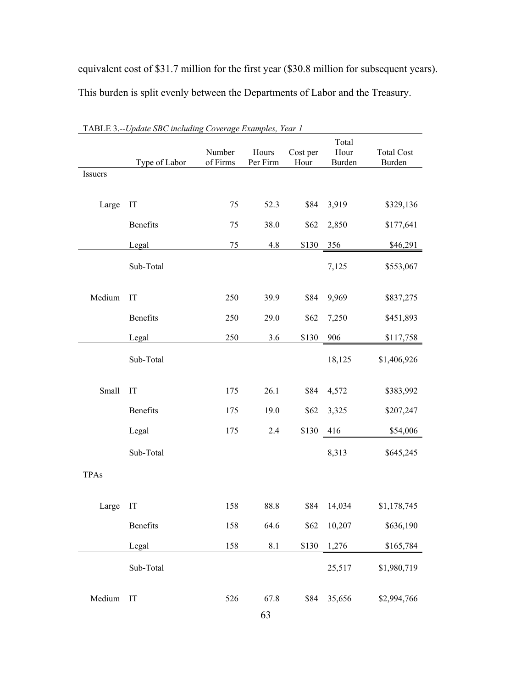equivalent cost of \$31.7 million for the first year (\$30.8 million for subsequent years). This burden is split evenly between the Departments of Labor and the Treasury.

|             | <b>TADLE 3.--Opage SDC including Coverage Examples, Tear T</b> |                    |                   |                  |                         |                             |
|-------------|----------------------------------------------------------------|--------------------|-------------------|------------------|-------------------------|-----------------------------|
|             | Type of Labor                                                  | Number<br>of Firms | Hours<br>Per Firm | Cost per<br>Hour | Total<br>Hour<br>Burden | <b>Total Cost</b><br>Burden |
| Issuers     |                                                                |                    |                   |                  |                         |                             |
|             |                                                                |                    |                   |                  |                         |                             |
| Large       | IT                                                             | 75                 | 52.3              | \$84             | 3,919                   | \$329,136                   |
|             | Benefits                                                       | 75                 | 38.0              | \$62             | 2,850                   | \$177,641                   |
|             | Legal                                                          | 75                 | 4.8               | \$130            | 356                     | \$46,291                    |
|             | Sub-Total                                                      |                    |                   |                  | 7,125                   | \$553,067                   |
| Medium      | IT                                                             | 250                | 39.9              | \$84             | 9,969                   | \$837,275                   |
|             | Benefits                                                       | 250                | 29.0              | \$62             | 7,250                   | \$451,893                   |
|             | Legal                                                          | 250                | 3.6               | \$130            | 906                     | \$117,758                   |
|             | Sub-Total                                                      |                    |                   |                  | 18,125                  | \$1,406,926                 |
| Small       | IT                                                             | 175                | 26.1              | \$84             | 4,572                   | \$383,992                   |
|             | Benefits                                                       | 175                | 19.0              | \$62             | 3,325                   | \$207,247                   |
|             | Legal                                                          | 175                | 2.4               | \$130            | 416                     | \$54,006                    |
|             | Sub-Total                                                      |                    |                   |                  | 8,313                   | \$645,245                   |
| <b>TPAs</b> |                                                                |                    |                   |                  |                         |                             |
|             |                                                                |                    |                   |                  |                         |                             |
| Large       | IT                                                             | 158                | 88.8              | \$84             | 14,034                  | \$1,178,745                 |
|             | Benefits                                                       | 158                | 64.6              | \$62             | 10,207                  | \$636,190                   |
|             | Legal                                                          | 158                | 8.1               | \$130            | 1,276                   | \$165,784                   |
|             | Sub-Total                                                      |                    |                   |                  | 25,517                  | \$1,980,719                 |
| Medium      | IT                                                             | 526                | 67.8              | \$84             | 35,656                  | \$2,994,766                 |

TABLE 3.--*Update SBC including Coverage Examples, Year 1*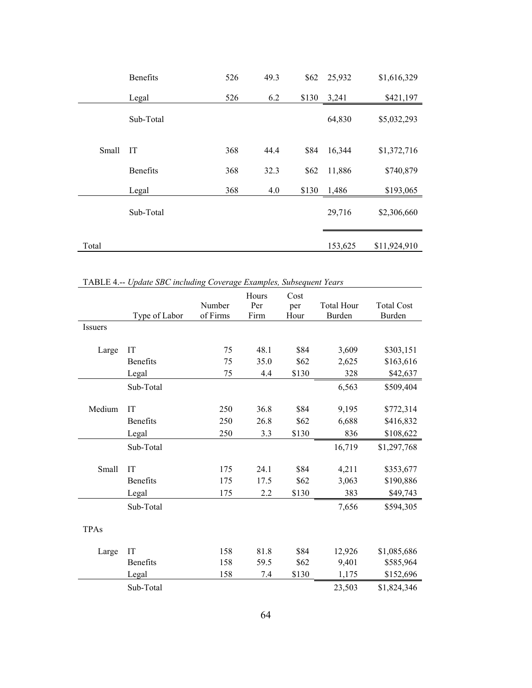|       | <b>Benefits</b> | 526 | 49.3 | \$62  | 25,932  | \$1,616,329  |
|-------|-----------------|-----|------|-------|---------|--------------|
|       | Legal           | 526 | 6.2  | \$130 | 3,241   | \$421,197    |
|       | Sub-Total       |     |      |       | 64,830  | \$5,032,293  |
| Small | IT              | 368 | 44.4 | \$84  | 16,344  | \$1,372,716  |
|       | <b>Benefits</b> | 368 | 32.3 | \$62  | 11,886  | \$740,879    |
|       | Legal           | 368 | 4.0  | \$130 | 1,486   | \$193,065    |
|       | Sub-Total       |     |      |       | 29,716  | \$2,306,660  |
| Total |                 |     |      |       | 153,625 | \$11,924,910 |

TABLE 4.-- *Update SBC including Coverage Examples, Subsequent Years*

|                |                 |          | Hours | Cost  |                   |                   |
|----------------|-----------------|----------|-------|-------|-------------------|-------------------|
|                |                 | Number   | Per   | per   | <b>Total Hour</b> | <b>Total Cost</b> |
|                | Type of Labor   | of Firms | Firm  | Hour  | Burden            | Burden            |
| <b>Issuers</b> |                 |          |       |       |                   |                   |
|                |                 |          |       |       |                   |                   |
| Large          | IT              | 75       | 48.1  | \$84  | 3,609             | \$303,151         |
|                | <b>Benefits</b> | 75       | 35.0  | \$62  | 2,625             | \$163,616         |
|                | Legal           | 75       | 4.4   | \$130 | 328               | \$42,637          |
|                | Sub-Total       |          |       |       | 6,563             | \$509,404         |
|                |                 |          |       |       |                   |                   |
| Medium         | <b>IT</b>       | 250      | 36.8  | \$84  | 9,195             | \$772,314         |
|                | <b>Benefits</b> | 250      | 26.8  | \$62  | 6,688             | \$416,832         |
|                | Legal           | 250      | 3.3   | \$130 | 836               | \$108,622         |
|                | Sub-Total       |          |       |       | 16,719            | \$1,297,768       |
| Small          | IT              | 175      | 24.1  | \$84  | 4,211             | \$353,677         |
|                | <b>Benefits</b> | 175      | 17.5  | \$62  |                   |                   |
|                |                 |          |       |       | 3,063             | \$190,886         |
|                | Legal           | 175      | 2.2   | \$130 | 383               | \$49,743          |
|                | Sub-Total       |          |       |       | 7,656             | \$594,305         |
| <b>TPAs</b>    |                 |          |       |       |                   |                   |
| Large          | IT              | 158      | 81.8  | \$84  | 12,926            | \$1,085,686       |
|                | <b>Benefits</b> | 158      | 59.5  | \$62  | 9,401             | \$585,964         |
|                | Legal           | 158      | 7.4   | \$130 | 1,175             | \$152,696         |
|                | Sub-Total       |          |       |       | 23,503            | \$1,824,346       |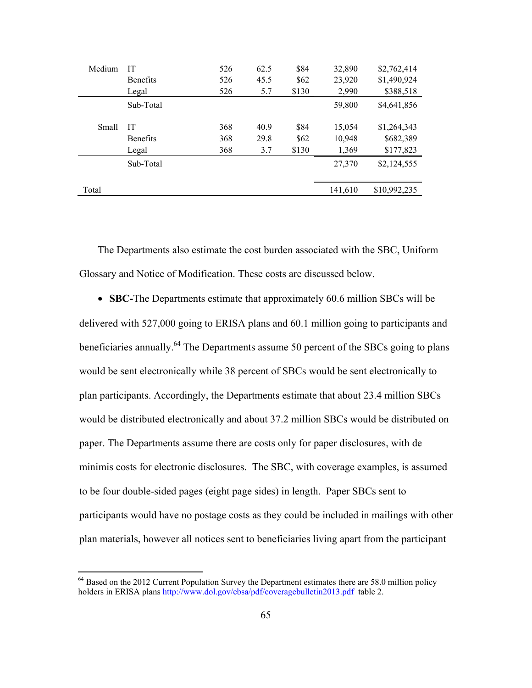| Medium | IТ              | 526 | 62.5 | \$84  | 32,890  | \$2,762,414  |
|--------|-----------------|-----|------|-------|---------|--------------|
|        | <b>Benefits</b> | 526 | 45.5 | \$62  | 23,920  | \$1,490,924  |
|        | Legal           | 526 | 5.7  | \$130 | 2,990   | \$388,518    |
|        | Sub-Total       |     |      |       | 59,800  | \$4,641,856  |
| Small  | IТ              | 368 | 40.9 | \$84  | 15,054  | \$1,264,343  |
|        | <b>Benefits</b> | 368 | 29.8 | \$62  | 10,948  | \$682,389    |
|        | Legal           | 368 | 3.7  | \$130 | 1,369   | \$177,823    |
|        | Sub-Total       |     |      |       | 27,370  | \$2,124,555  |
|        |                 |     |      |       |         |              |
| Total  |                 |     |      |       | 141,610 | \$10,992,235 |
|        |                 |     |      |       |         |              |

The Departments also estimate the cost burden associated with the SBC, Uniform Glossary and Notice of Modification. These costs are discussed below.

• **SBC-**The Departments estimate that approximately 60.6 million SBCs will be delivered with 527,000 going to ERISA plans and 60.1 million going to participants and beneficiaries annually.<sup>64</sup> The Departments assume 50 percent of the SBCs going to plans would be sent electronically while 38 percent of SBCs would be sent electronically to plan participants. Accordingly, the Departments estimate that about 23.4 million SBCs would be distributed electronically and about 37.2 million SBCs would be distributed on paper. The Departments assume there are costs only for paper disclosures, with de minimis costs for electronic disclosures. The SBC, with coverage examples, is assumed to be four double-sided pages (eight page sides) in length. Paper SBCs sent to participants would have no postage costs as they could be included in mailings with other plan materials, however all notices sent to beneficiaries living apart from the participant

 $64$  Based on the 2012 Current Population Survey the Department estimates there are 58.0 million policy holders in ERISA plans http://www.dol.gov/ebsa/pdf/coveragebulletin2013.pdf table 2.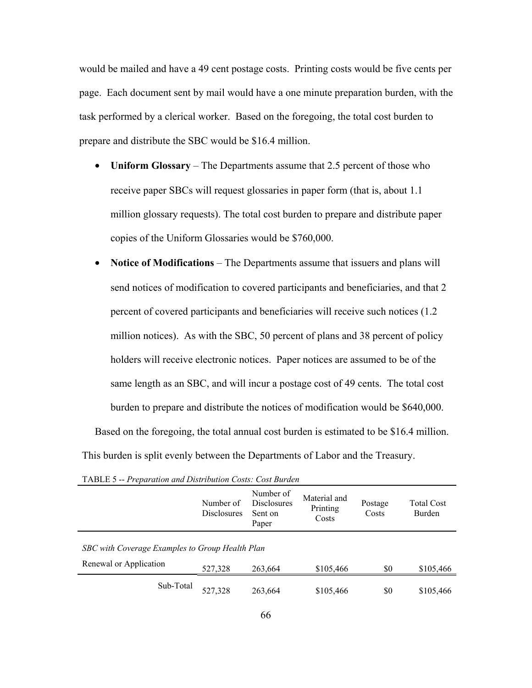would be mailed and have a 49 cent postage costs. Printing costs would be five cents per page. Each document sent by mail would have a one minute preparation burden, with the task performed by a clerical worker. Based on the foregoing, the total cost burden to prepare and distribute the SBC would be \$16.4 million.

- **Uniform Glossary** The Departments assume that 2.5 percent of those who receive paper SBCs will request glossaries in paper form (that is, about 1.1 million glossary requests). The total cost burden to prepare and distribute paper copies of the Uniform Glossaries would be \$760,000.
- **Notice of Modifications** The Departments assume that issuers and plans will send notices of modification to covered participants and beneficiaries, and that 2 percent of covered participants and beneficiaries will receive such notices (1.2 million notices). As with the SBC, 50 percent of plans and 38 percent of policy holders will receive electronic notices. Paper notices are assumed to be of the same length as an SBC, and will incur a postage cost of 49 cents. The total cost burden to prepare and distribute the notices of modification would be \$640,000.

Based on the foregoing, the total annual cost burden is estimated to be \$16.4 million. This burden is split evenly between the Departments of Labor and the Treasury.

|                                                 | Number of<br><b>Disclosures</b> | Number of<br><b>Disclosures</b><br>Sent on<br>Paper | Material and<br>Printing<br>Costs | Postage<br>Costs | <b>Total Cost</b><br>Burden |
|-------------------------------------------------|---------------------------------|-----------------------------------------------------|-----------------------------------|------------------|-----------------------------|
| SBC with Coverage Examples to Group Health Plan |                                 |                                                     |                                   |                  |                             |
| Renewal or Application                          | 527,328                         | 263,664                                             | \$105,466                         | \$0              | \$105,466                   |
| Sub-Total                                       | 527,328                         | 263,664                                             | \$105,466                         | \$0              | \$105,466                   |

TABLE 5 -- *Preparation and Distribution Costs: Cost Burden*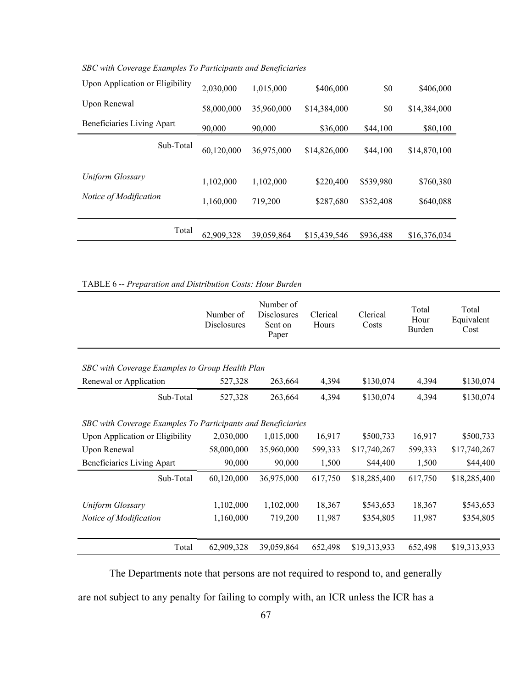| Upon Application or Eligibility | 2,030,000  | 1,015,000  | \$406,000    | \$0       | \$406,000    |
|---------------------------------|------------|------------|--------------|-----------|--------------|
| Upon Renewal                    | 58,000,000 | 35,960,000 | \$14,384,000 | \$0       | \$14,384,000 |
| Beneficiaries Living Apart      | 90,000     | 90,000     | \$36,000     | \$44,100  | \$80,100     |
| Sub-Total                       | 60,120,000 | 36,975,000 | \$14,826,000 | \$44,100  | \$14,870,100 |
| Uniform Glossary                | 1,102,000  | 1,102,000  | \$220,400    | \$539,980 | \$760,380    |
| Notice of Modification          | 1,160,000  | 719,200    | \$287,680    | \$352,408 | \$640,088    |
| Total                           | 62,909,328 | 39,059,864 | \$15,439,546 | \$936,488 | \$16,376,034 |

*SBC with Coverage Examples To Participants and Beneficiaries* 

TABLE 6 -- *Preparation and Distribution Costs: Hour Burden*

| Number of<br>Disclosures                        | Number of<br><b>Disclosures</b><br>Sent on<br>Paper | Clerical<br>Hours | Clerical<br>Costs                                                     | Total<br>Hour<br>Burden | Total<br>Equivalent<br>Cost |  |  |  |
|-------------------------------------------------|-----------------------------------------------------|-------------------|-----------------------------------------------------------------------|-------------------------|-----------------------------|--|--|--|
| SBC with Coverage Examples to Group Health Plan |                                                     |                   |                                                                       |                         |                             |  |  |  |
|                                                 |                                                     |                   |                                                                       |                         | \$130,074                   |  |  |  |
| 527,328                                         | 263,664                                             | 4,394             | \$130,074                                                             | 4,394                   | \$130,074                   |  |  |  |
|                                                 |                                                     |                   |                                                                       |                         |                             |  |  |  |
|                                                 |                                                     |                   |                                                                       |                         |                             |  |  |  |
| 2,030,000                                       | 1,015,000                                           | 16,917            | \$500,733                                                             | 16,917                  | \$500,733                   |  |  |  |
| 58,000,000                                      | 35,960,000                                          | 599,333           | \$17,740,267                                                          | 599,333                 | \$17,740,267                |  |  |  |
| 90,000                                          | 90,000                                              | 1,500             | \$44,400                                                              | 1,500                   | \$44,400                    |  |  |  |
| 60,120,000                                      | 36,975,000                                          | 617,750           | \$18,285,400                                                          | 617,750                 | \$18,285,400                |  |  |  |
|                                                 |                                                     |                   |                                                                       |                         |                             |  |  |  |
| 1,102,000                                       | 1,102,000                                           | 18,367            | \$543,653                                                             | 18,367                  | \$543,653                   |  |  |  |
| 1,160,000                                       | 719,200                                             | 11,987            | \$354,805                                                             | 11,987                  | \$354,805                   |  |  |  |
|                                                 |                                                     |                   |                                                                       |                         |                             |  |  |  |
| 62,909,328                                      | 39,059,864                                          | 652,498           | \$19,313,933                                                          | 652,498                 | \$19,313,933                |  |  |  |
|                                                 | 527,328                                             | 263,664           | 4,394<br>SBC with Coverage Examples To Participants and Beneficiaries | \$130,074               | 4,394                       |  |  |  |

The Departments note that persons are not required to respond to, and generally

are not subject to any penalty for failing to comply with, an ICR unless the ICR has a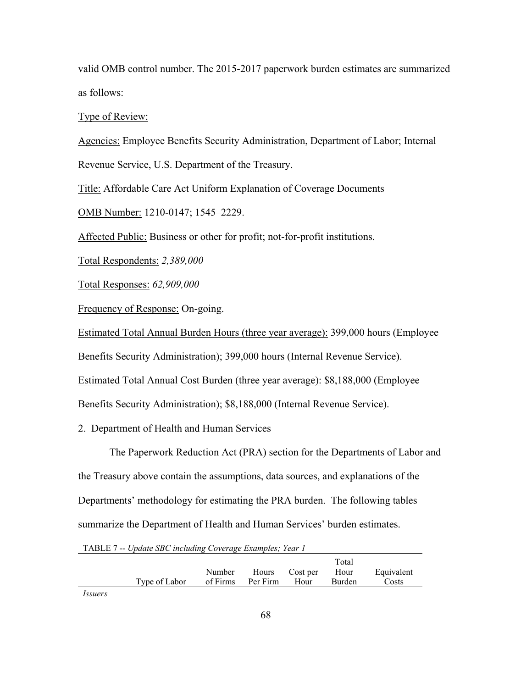valid OMB control number. The 2015-2017 paperwork burden estimates are summarized as follows:

Type of Review:

Agencies: Employee Benefits Security Administration, Department of Labor; Internal

Revenue Service, U.S. Department of the Treasury.

Title: Affordable Care Act Uniform Explanation of Coverage Documents

OMB Number: 1210-0147; 1545–2229.

Affected Public: Business or other for profit; not-for-profit institutions.

Total Respondents: *2,389,000*

Total Responses: *62,909,000*

Frequency of Response: On-going.

Estimated Total Annual Burden Hours (three year average): 399,000 hours (Employee

Benefits Security Administration); 399,000 hours (Internal Revenue Service).

Estimated Total Annual Cost Burden (three year average): \$8,188,000 (Employee

Benefits Security Administration); \$8,188,000 (Internal Revenue Service).

2. Department of Health and Human Services

The Paperwork Reduction Act (PRA) section for the Departments of Labor and the Treasury above contain the assumptions, data sources, and explanations of the Departments' methodology for estimating the PRA burden. The following tables summarize the Department of Health and Human Services' burden estimates.

TABLE 7 -- *Update SBC including Coverage Examples; Year 1*

|               |                   |                     | Total  |            |
|---------------|-------------------|---------------------|--------|------------|
|               | Number            | Hours Cost per Hour |        | Equivalent |
| Type of Labor | of Firms Per Firm | Hour                | Burden | Costs      |

*Issuers*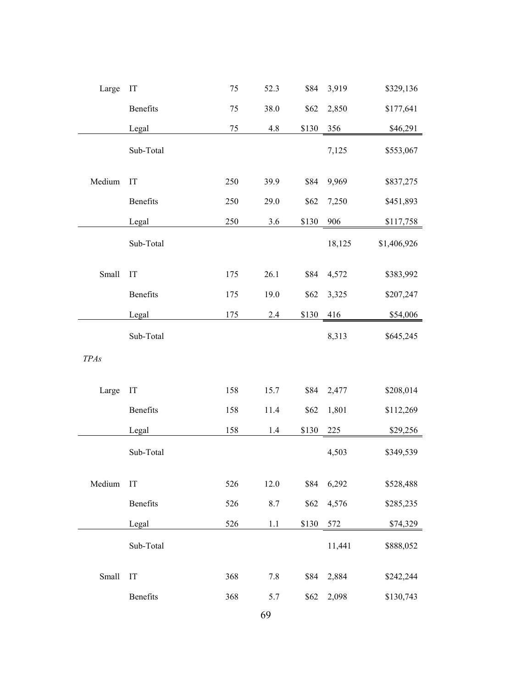| Large       | IT        | 75  | 52.3    | \$84  | 3,919  | \$329,136   |
|-------------|-----------|-----|---------|-------|--------|-------------|
|             | Benefits  | 75  | 38.0    | \$62  | 2,850  | \$177,641   |
|             | Legal     | 75  | 4.8     | \$130 | 356    | \$46,291    |
|             | Sub-Total |     |         |       | 7,125  | \$553,067   |
| Medium      | IT        | 250 | 39.9    | \$84  | 9,969  | \$837,275   |
|             | Benefits  | 250 | 29.0    | \$62  | 7,250  | \$451,893   |
|             | Legal     | 250 | 3.6     | \$130 | 906    | \$117,758   |
|             | Sub-Total |     |         |       | 18,125 | \$1,406,926 |
| Small       | IT        | 175 | 26.1    | \$84  | 4,572  | \$383,992   |
|             | Benefits  | 175 | 19.0    | \$62  | 3,325  | \$207,247   |
|             | Legal     | 175 | 2.4     | \$130 | 416    | \$54,006    |
|             | Sub-Total |     |         |       | 8,313  | \$645,245   |
| <b>TPAs</b> |           |     |         |       |        |             |
| Large       | IT        | 158 | 15.7    | \$84  | 2,477  | \$208,014   |
|             | Benefits  | 158 | 11.4    | \$62  | 1,801  | \$112,269   |
|             | Legal     | 158 | 1.4     | \$130 | 225    | \$29,256    |
|             | Sub-Total |     |         |       | 4,503  | \$349,539   |
| Medium      | IT        | 526 | 12.0    | \$84  | 6,292  | \$528,488   |
|             | Benefits  | 526 | $8.7\,$ | \$62  | 4,576  | \$285,235   |
|             | Legal     | 526 | $1.1\,$ | \$130 | 572    | \$74,329    |
|             | Sub-Total |     |         |       | 11,441 | \$888,052   |
| Small       | IT        | 368 | $7.8\,$ | \$84  | 2,884  | \$242,244   |
|             | Benefits  | 368 | 5.7     | \$62  | 2,098  | \$130,743   |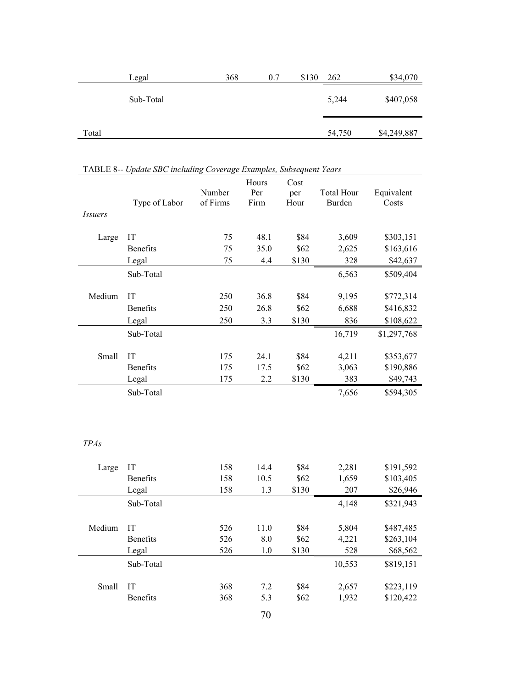|       | Legal     | 368 | 0.7 | \$130 | 262    | \$34,070    |
|-------|-----------|-----|-----|-------|--------|-------------|
|       | Sub-Total |     |     |       | 5,244  | \$407,058   |
| Total |           |     |     |       | 54,750 | \$4,249,887 |

|                | TABLE 8-- Update SBC including Coverage Examples, Subsequent Years |                    |                      |                     |                             |                     |
|----------------|--------------------------------------------------------------------|--------------------|----------------------|---------------------|-----------------------------|---------------------|
|                | Type of Labor                                                      | Number<br>of Firms | Hours<br>Per<br>Firm | Cost<br>per<br>Hour | <b>Total Hour</b><br>Burden | Equivalent<br>Costs |
| <i>Issuers</i> |                                                                    |                    |                      |                     |                             |                     |
|                |                                                                    |                    |                      |                     |                             |                     |
| Large          | IT                                                                 | 75                 | 48.1                 | \$84                | 3,609                       | \$303,151           |
|                | <b>Benefits</b>                                                    | 75                 | 35.0                 | \$62                | 2,625                       | \$163,616           |
|                | Legal                                                              | 75                 | 4.4                  | \$130               | 328                         | \$42,637            |
|                | Sub-Total                                                          |                    |                      |                     | 6,563                       | \$509,404           |
|                |                                                                    |                    |                      |                     |                             |                     |
| Medium         | IT                                                                 | 250                | 36.8                 | \$84                | 9,195                       | \$772,314           |
|                | Benefits                                                           | 250                | 26.8                 | \$62                | 6,688                       | \$416,832           |
|                | Legal                                                              | 250                | 3.3                  | \$130               | 836                         | \$108,622           |
|                | Sub-Total                                                          |                    |                      |                     | 16,719                      | \$1,297,768         |
|                |                                                                    |                    |                      |                     |                             |                     |
| Small          | IT                                                                 | 175                | 24.1                 | \$84                | 4,211                       | \$353,677           |
|                | <b>Benefits</b>                                                    | 175                | 17.5                 | \$62                | 3,063                       | \$190,886           |
|                | Legal                                                              | 175                | 2.2                  | \$130               | 383                         | \$49,743            |
|                | Sub-Total                                                          |                    |                      |                     | 7,656                       | \$594,305           |
|                |                                                                    |                    |                      |                     |                             |                     |
|                |                                                                    |                    |                      |                     |                             |                     |
|                |                                                                    |                    |                      |                     |                             |                     |
| <b>TPAs</b>    |                                                                    |                    |                      |                     |                             |                     |
| Large          | IT                                                                 | 158                | 14.4                 | \$84                | 2,281                       | \$191,592           |
|                | <b>Benefits</b>                                                    | 158                | 10.5                 | \$62                | 1,659                       | \$103,405           |
|                |                                                                    |                    |                      |                     |                             |                     |

| TABLE 8-- Update SBC including Coverage Examples, Subsequent Years |  |  |  |
|--------------------------------------------------------------------|--|--|--|
|                                                                    |  |  |  |

| Large  | IΤ              | 158 | 14.4 | \$84  | 2,281  | \$191,592 |
|--------|-----------------|-----|------|-------|--------|-----------|
|        | <b>Benefits</b> | 158 | 10.5 | \$62  | 1,659  | \$103,405 |
|        | Legal           | 158 | 1.3  | \$130 | 207    | \$26,946  |
|        | Sub-Total       |     |      |       | 4,148  | \$321,943 |
| Medium | IT              | 526 | 11.0 | \$84  | 5,804  | \$487,485 |
|        | <b>Benefits</b> | 526 | 8.0  | \$62  | 4,221  | \$263,104 |
|        | Legal           | 526 | 1.0  | \$130 | 528    | \$68,562  |
|        | Sub-Total       |     |      |       | 10,553 | \$819,151 |
| Small  | IT              | 368 | 7.2  | \$84  | 2,657  | \$223,119 |
|        | <b>Benefits</b> | 368 | 5.3  | \$62  | 1,932  | \$120,422 |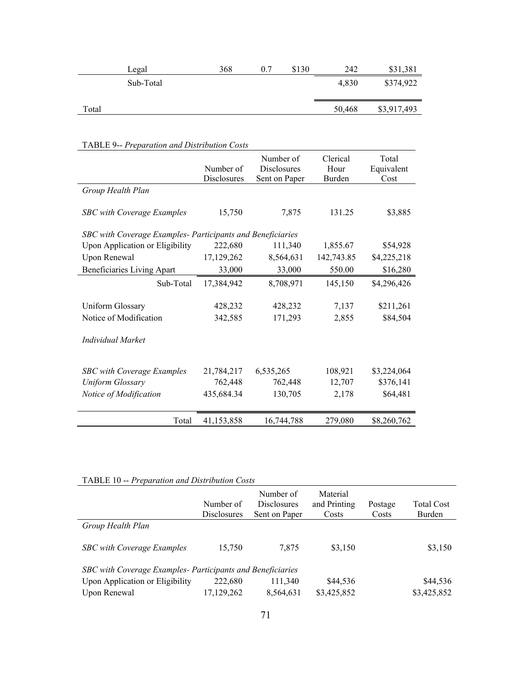|       | Legal     | 368 | \$130 | 242    | \$31,381    |
|-------|-----------|-----|-------|--------|-------------|
|       | Sub-Total |     |       | 4.830  | \$374,922   |
| Total |           |     |       | 50,468 | \$3,917,493 |

|                                                            | Number of<br>Disclosures | Number of<br><b>Disclosures</b><br>Sent on Paper | Clerical<br>Hour<br>Burden | Total<br>Equivalent<br>Cost |
|------------------------------------------------------------|--------------------------|--------------------------------------------------|----------------------------|-----------------------------|
| Group Health Plan                                          |                          |                                                  |                            |                             |
| <b>SBC</b> with Coverage Examples                          | 15,750                   | 7,875                                            | 131.25                     | \$3,885                     |
| SBC with Coverage Examples- Participants and Beneficiaries |                          |                                                  |                            |                             |
| Upon Application or Eligibility                            | 222,680                  | 111,340                                          | 1,855.67                   | \$54,928                    |
| Upon Renewal                                               | 17,129,262               | 8,564,631                                        | 142,743.85                 | \$4,225,218                 |
| Beneficiaries Living Apart                                 | 33,000                   | 33,000                                           | 550.00                     | \$16,280                    |
| Sub-Total                                                  | 17,384,942               | 8,708,971                                        | 145,150                    | \$4,296,426                 |
| <b>Uniform Glossary</b>                                    | 428,232                  | 428,232                                          | 7,137                      | \$211,261                   |
| Notice of Modification                                     | 342,585                  | 171,293                                          | 2,855                      | \$84,504                    |
| Individual Market                                          |                          |                                                  |                            |                             |
| <b>SBC</b> with Coverage Examples                          | 21,784,217               | 6,535,265                                        | 108,921                    | \$3,224,064                 |
| <b>Uniform Glossary</b>                                    | 762,448                  | 762,448                                          | 12,707                     | \$376,141                   |
| Notice of Modification                                     | 435,684.34               | 130,705                                          | 2,178                      | \$64,481                    |
| Total                                                      | 41,153,858               | 16,744,788                                       | 279,080                    | \$8,260,762                 |

# TABLE 9-- *Preparation and Distribution Costs*

# TABLE 10 -- *Preparation and Distribution Costs*

|                                                            | Number of<br><b>Disclosures</b> | Number of<br><b>Disclosures</b><br>Sent on Paper | Material<br>and Printing<br>Costs | Postage<br>Costs | Total Cost<br>Burden |  |  |  |
|------------------------------------------------------------|---------------------------------|--------------------------------------------------|-----------------------------------|------------------|----------------------|--|--|--|
| Group Health Plan                                          |                                 |                                                  |                                   |                  |                      |  |  |  |
| SBC with Coverage Examples                                 | 15,750                          | 7.875                                            | \$3,150                           |                  | \$3,150              |  |  |  |
| SBC with Coverage Examples- Participants and Beneficiaries |                                 |                                                  |                                   |                  |                      |  |  |  |
| Upon Application or Eligibility                            | 222,680                         | 111,340                                          | \$44,536                          |                  | \$44,536             |  |  |  |
| Upon Renewal                                               | 17,129,262                      | 8,564,631                                        | \$3,425,852                       |                  | \$3,425,852          |  |  |  |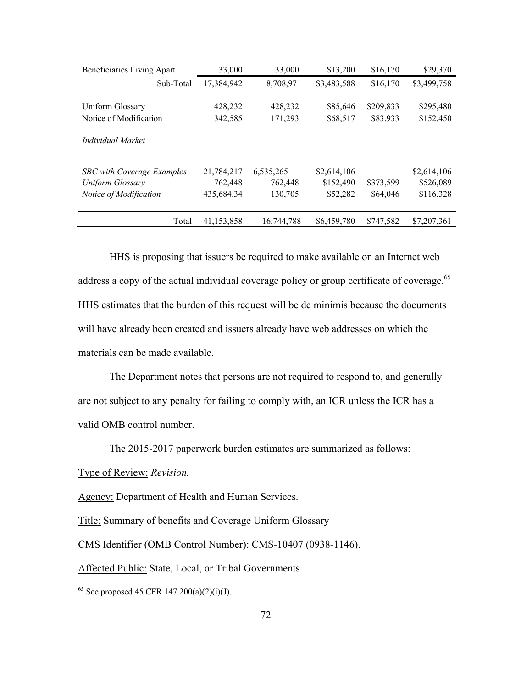| Beneficiaries Living Apart | 33,000       | 33,000     | \$13,200    | \$16,170  | \$29,370    |
|----------------------------|--------------|------------|-------------|-----------|-------------|
| Sub-Total                  | 17,384,942   | 8,708,971  | \$3,483,588 | \$16,170  | \$3,499,758 |
|                            |              |            |             |           |             |
| Uniform Glossary           | 428,232      | 428,232    | \$85,646    | \$209,833 | \$295,480   |
| Notice of Modification     | 342,585      | 171,293    | \$68,517    | \$83,933  | \$152,450   |
|                            |              |            |             |           |             |
| Individual Market          |              |            |             |           |             |
|                            |              |            |             |           |             |
| SBC with Coverage Examples | 21,784,217   | 6,535,265  | \$2,614,106 |           | \$2,614,106 |
| Uniform Glossary           | 762,448      | 762,448    | \$152,490   | \$373,599 | \$526,089   |
| Notice of Modification     | 435,684.34   | 130,705    | \$52,282    | \$64,046  | \$116,328   |
|                            |              |            |             |           |             |
| Total                      | 41, 153, 858 | 16,744,788 | \$6,459,780 | \$747,582 | \$7,207,361 |
|                            |              |            |             |           |             |

HHS is proposing that issuers be required to make available on an Internet web address a copy of the actual individual coverage policy or group certificate of coverage.<sup>65</sup> HHS estimates that the burden of this request will be de minimis because the documents will have already been created and issuers already have web addresses on which the materials can be made available.

The Department notes that persons are not required to respond to, and generally are not subject to any penalty for failing to comply with, an ICR unless the ICR has a valid OMB control number.

The 2015-2017 paperwork burden estimates are summarized as follows:

Type of Review: *Revision.* 

 $\overline{a}$ 

Agency: Department of Health and Human Services.

Title: Summary of benefits and Coverage Uniform Glossary

CMS Identifier (OMB Control Number): CMS-10407 (0938-1146).

Affected Public: State, Local, or Tribal Governments.

<sup>&</sup>lt;sup>65</sup> See proposed 45 CFR 147.200(a)(2)(i)(J).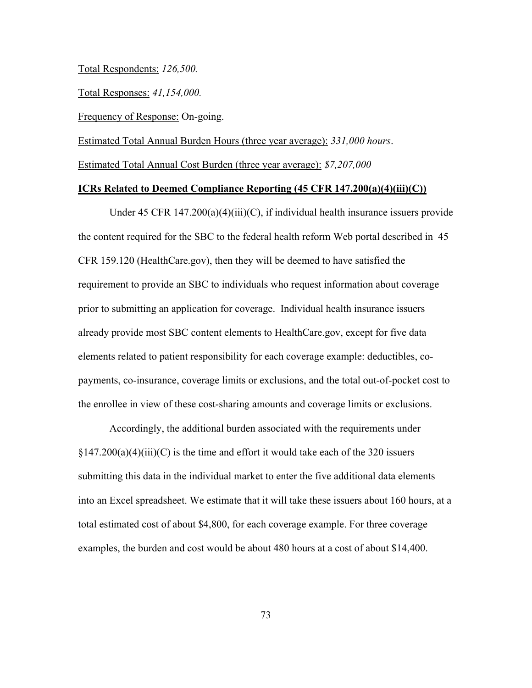## Total Respondents: *126,500.*

Total Responses: *41,154,000.*

Frequency of Response: On-going.

Estimated Total Annual Burden Hours (three year average): *331,000 hours*.

Estimated Total Annual Cost Burden (three year average): *\$7,207,000*

#### **ICRs Related to Deemed Compliance Reporting (45 CFR 147.200(a)(4)(iii)(C))**

Under 45 CFR  $147.200(a)(4)(iii)(C)$ , if individual health insurance issuers provide the content required for the SBC to the federal health reform Web portal described in 45 CFR 159.120 (HealthCare.gov), then they will be deemed to have satisfied the requirement to provide an SBC to individuals who request information about coverage prior to submitting an application for coverage. Individual health insurance issuers already provide most SBC content elements to HealthCare.gov, except for five data elements related to patient responsibility for each coverage example: deductibles, copayments, co-insurance, coverage limits or exclusions, and the total out-of-pocket cost to the enrollee in view of these cost-sharing amounts and coverage limits or exclusions.

Accordingly, the additional burden associated with the requirements under  $\S 147.200(a)(4)(iii)(C)$  is the time and effort it would take each of the 320 issuers submitting this data in the individual market to enter the five additional data elements into an Excel spreadsheet. We estimate that it will take these issuers about 160 hours, at a total estimated cost of about \$4,800, for each coverage example. For three coverage examples, the burden and cost would be about 480 hours at a cost of about \$14,400.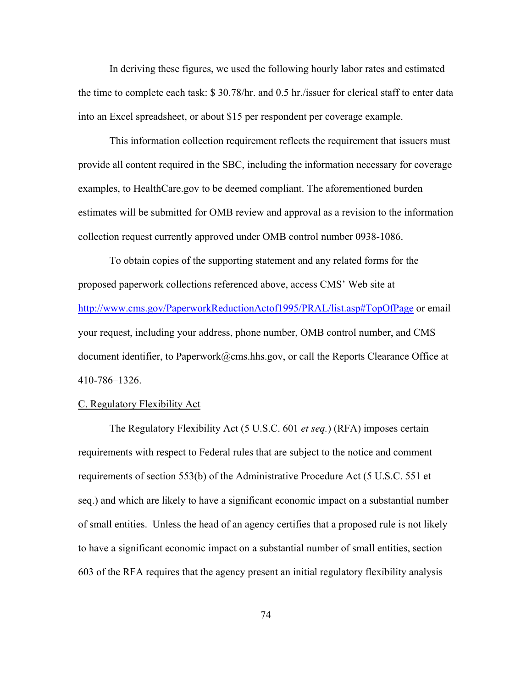In deriving these figures, we used the following hourly labor rates and estimated the time to complete each task: \$ 30.78/hr. and 0.5 hr./issuer for clerical staff to enter data into an Excel spreadsheet, or about \$15 per respondent per coverage example.

This information collection requirement reflects the requirement that issuers must provide all content required in the SBC, including the information necessary for coverage examples, to HealthCare.gov to be deemed compliant. The aforementioned burden estimates will be submitted for OMB review and approval as a revision to the information collection request currently approved under OMB control number 0938-1086.

To obtain copies of the supporting statement and any related forms for the proposed paperwork collections referenced above, access CMS' Web site at http://www.cms.gov/PaperworkReductionActof1995/PRAL/list.asp#TopOfPage or email your request, including your address, phone number, OMB control number, and CMS document identifier, to Paperwork@cms.hhs.gov, or call the Reports Clearance Office at 410-786–1326.

#### C. Regulatory Flexibility Act

 The Regulatory Flexibility Act (5 U.S.C. 601 *et seq.*) (RFA) imposes certain requirements with respect to Federal rules that are subject to the notice and comment requirements of section 553(b) of the Administrative Procedure Act (5 U.S.C. 551 et seq.) and which are likely to have a significant economic impact on a substantial number of small entities. Unless the head of an agency certifies that a proposed rule is not likely to have a significant economic impact on a substantial number of small entities, section 603 of the RFA requires that the agency present an initial regulatory flexibility analysis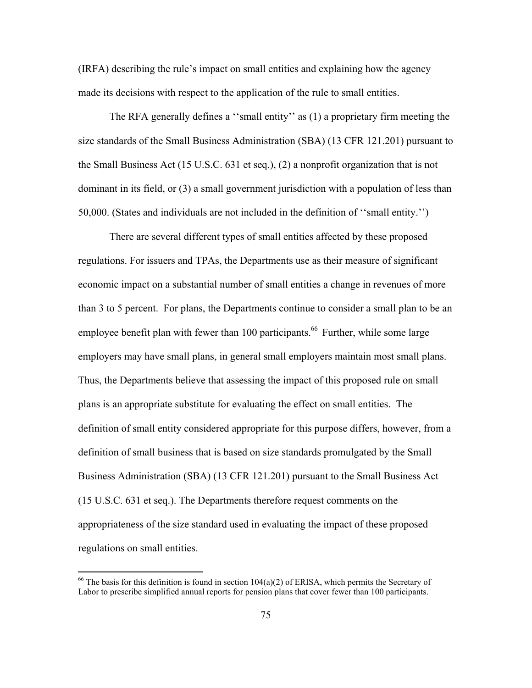(IRFA) describing the rule's impact on small entities and explaining how the agency made its decisions with respect to the application of the rule to small entities.

The RFA generally defines a ''small entity'' as (1) a proprietary firm meeting the size standards of the Small Business Administration (SBA) (13 CFR 121.201) pursuant to the Small Business Act (15 U.S.C. 631 et seq.), (2) a nonprofit organization that is not dominant in its field, or (3) a small government jurisdiction with a population of less than 50,000. (States and individuals are not included in the definition of ''small entity.'')

There are several different types of small entities affected by these proposed regulations. For issuers and TPAs, the Departments use as their measure of significant economic impact on a substantial number of small entities a change in revenues of more than 3 to 5 percent. For plans, the Departments continue to consider a small plan to be an employee benefit plan with fewer than 100 participants.<sup>66</sup> Further, while some large employers may have small plans, in general small employers maintain most small plans. Thus, the Departments believe that assessing the impact of this proposed rule on small plans is an appropriate substitute for evaluating the effect on small entities. The definition of small entity considered appropriate for this purpose differs, however, from a definition of small business that is based on size standards promulgated by the Small Business Administration (SBA) (13 CFR 121.201) pursuant to the Small Business Act (15 U.S.C. 631 et seq.). The Departments therefore request comments on the appropriateness of the size standard used in evaluating the impact of these proposed regulations on small entities.

 $\overline{a}$ 

<sup>&</sup>lt;sup>66</sup> The basis for this definition is found in section  $104(a)(2)$  of ERISA, which permits the Secretary of Labor to prescribe simplified annual reports for pension plans that cover fewer than 100 participants.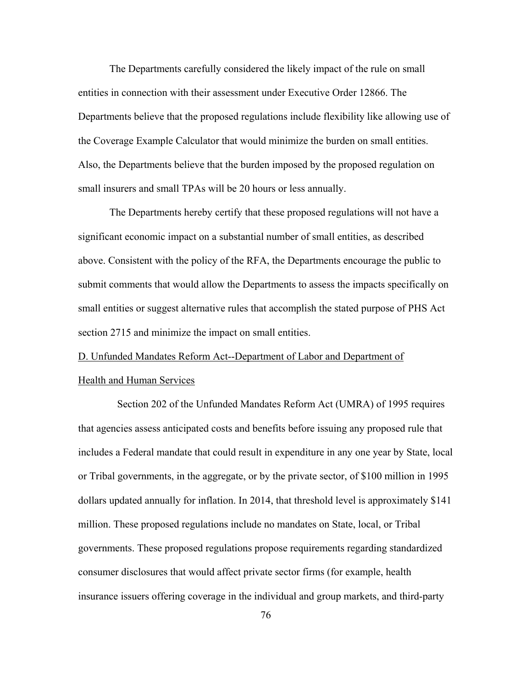The Departments carefully considered the likely impact of the rule on small entities in connection with their assessment under Executive Order 12866. The Departments believe that the proposed regulations include flexibility like allowing use of the Coverage Example Calculator that would minimize the burden on small entities. Also, the Departments believe that the burden imposed by the proposed regulation on small insurers and small TPAs will be 20 hours or less annually.

The Departments hereby certify that these proposed regulations will not have a significant economic impact on a substantial number of small entities, as described above. Consistent with the policy of the RFA, the Departments encourage the public to submit comments that would allow the Departments to assess the impacts specifically on small entities or suggest alternative rules that accomplish the stated purpose of PHS Act section 2715 and minimize the impact on small entities.

# D. Unfunded Mandates Reform Act--Department of Labor and Department of Health and Human Services

 Section 202 of the Unfunded Mandates Reform Act (UMRA) of 1995 requires that agencies assess anticipated costs and benefits before issuing any proposed rule that includes a Federal mandate that could result in expenditure in any one year by State, local or Tribal governments, in the aggregate, or by the private sector, of \$100 million in 1995 dollars updated annually for inflation. In 2014, that threshold level is approximately \$141 million. These proposed regulations include no mandates on State, local, or Tribal governments. These proposed regulations propose requirements regarding standardized consumer disclosures that would affect private sector firms (for example, health insurance issuers offering coverage in the individual and group markets, and third-party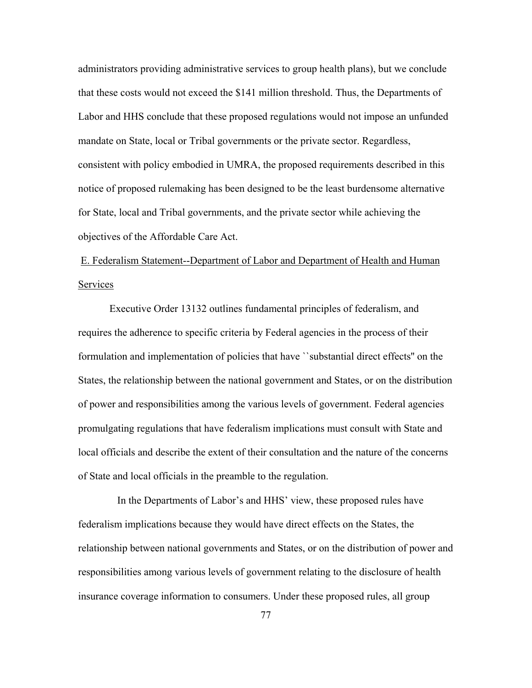administrators providing administrative services to group health plans), but we conclude that these costs would not exceed the \$141 million threshold. Thus, the Departments of Labor and HHS conclude that these proposed regulations would not impose an unfunded mandate on State, local or Tribal governments or the private sector. Regardless, consistent with policy embodied in UMRA, the proposed requirements described in this notice of proposed rulemaking has been designed to be the least burdensome alternative for State, local and Tribal governments, and the private sector while achieving the objectives of the Affordable Care Act.

 E. Federalism Statement--Department of Labor and Department of Health and Human Services

 Executive Order 13132 outlines fundamental principles of federalism, and requires the adherence to specific criteria by Federal agencies in the process of their formulation and implementation of policies that have ``substantial direct effects'' on the States, the relationship between the national government and States, or on the distribution of power and responsibilities among the various levels of government. Federal agencies promulgating regulations that have federalism implications must consult with State and local officials and describe the extent of their consultation and the nature of the concerns of State and local officials in the preamble to the regulation.

 In the Departments of Labor's and HHS' view, these proposed rules have federalism implications because they would have direct effects on the States, the relationship between national governments and States, or on the distribution of power and responsibilities among various levels of government relating to the disclosure of health insurance coverage information to consumers. Under these proposed rules, all group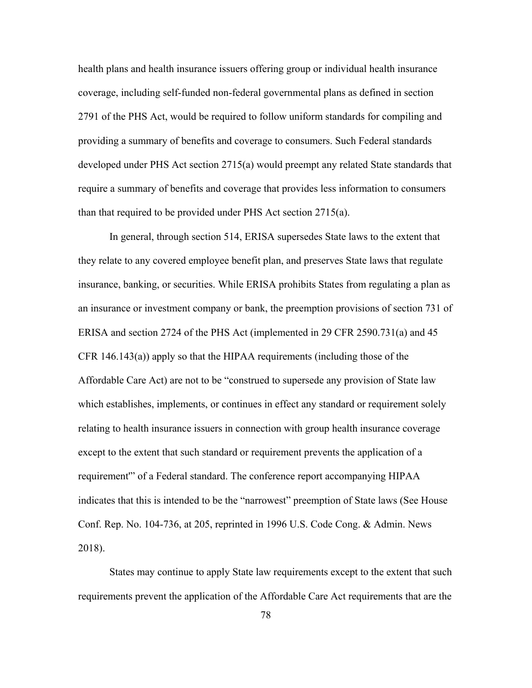health plans and health insurance issuers offering group or individual health insurance coverage, including self-funded non-federal governmental plans as defined in section 2791 of the PHS Act, would be required to follow uniform standards for compiling and providing a summary of benefits and coverage to consumers. Such Federal standards developed under PHS Act section 2715(a) would preempt any related State standards that require a summary of benefits and coverage that provides less information to consumers than that required to be provided under PHS Act section 2715(a).

In general, through section 514, ERISA supersedes State laws to the extent that they relate to any covered employee benefit plan, and preserves State laws that regulate insurance, banking, or securities. While ERISA prohibits States from regulating a plan as an insurance or investment company or bank, the preemption provisions of section 731 of ERISA and section 2724 of the PHS Act (implemented in 29 CFR 2590.731(a) and 45 CFR 146.143(a)) apply so that the HIPAA requirements (including those of the Affordable Care Act) are not to be "construed to supersede any provision of State law which establishes, implements, or continues in effect any standard or requirement solely relating to health insurance issuers in connection with group health insurance coverage except to the extent that such standard or requirement prevents the application of a requirement'" of a Federal standard. The conference report accompanying HIPAA indicates that this is intended to be the "narrowest" preemption of State laws (See House Conf. Rep. No. 104-736, at 205, reprinted in 1996 U.S. Code Cong. & Admin. News 2018).

States may continue to apply State law requirements except to the extent that such requirements prevent the application of the Affordable Care Act requirements that are the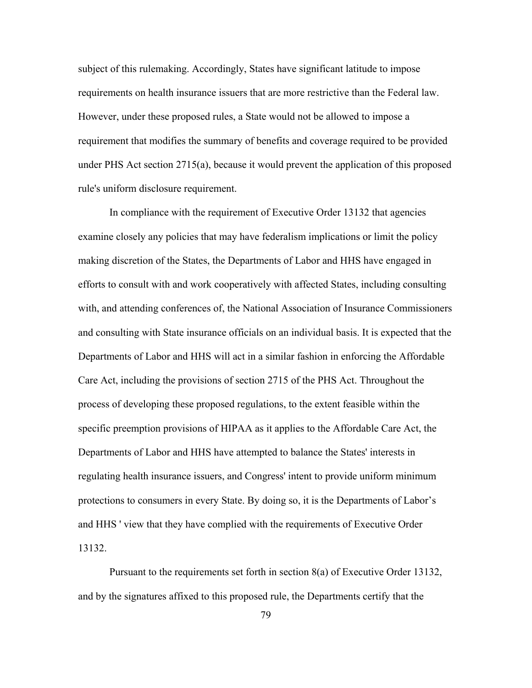subject of this rulemaking. Accordingly, States have significant latitude to impose requirements on health insurance issuers that are more restrictive than the Federal law. However, under these proposed rules, a State would not be allowed to impose a requirement that modifies the summary of benefits and coverage required to be provided under PHS Act section 2715(a), because it would prevent the application of this proposed rule's uniform disclosure requirement.

In compliance with the requirement of Executive Order 13132 that agencies examine closely any policies that may have federalism implications or limit the policy making discretion of the States, the Departments of Labor and HHS have engaged in efforts to consult with and work cooperatively with affected States, including consulting with, and attending conferences of, the National Association of Insurance Commissioners and consulting with State insurance officials on an individual basis. It is expected that the Departments of Labor and HHS will act in a similar fashion in enforcing the Affordable Care Act, including the provisions of section 2715 of the PHS Act. Throughout the process of developing these proposed regulations, to the extent feasible within the specific preemption provisions of HIPAA as it applies to the Affordable Care Act, the Departments of Labor and HHS have attempted to balance the States' interests in regulating health insurance issuers, and Congress' intent to provide uniform minimum protections to consumers in every State. By doing so, it is the Departments of Labor's and HHS ' view that they have complied with the requirements of Executive Order 13132.

 Pursuant to the requirements set forth in section 8(a) of Executive Order 13132, and by the signatures affixed to this proposed rule, the Departments certify that the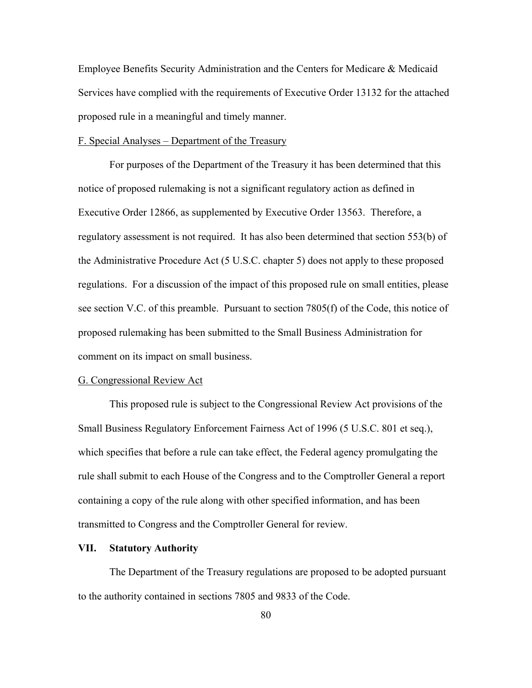Employee Benefits Security Administration and the Centers for Medicare & Medicaid Services have complied with the requirements of Executive Order 13132 for the attached proposed rule in a meaningful and timely manner.

## F. Special Analyses – Department of the Treasury

 For purposes of the Department of the Treasury it has been determined that this notice of proposed rulemaking is not a significant regulatory action as defined in Executive Order 12866, as supplemented by Executive Order 13563. Therefore, a regulatory assessment is not required. It has also been determined that section 553(b) of the Administrative Procedure Act (5 U.S.C. chapter 5) does not apply to these proposed regulations. For a discussion of the impact of this proposed rule on small entities, please see section V.C. of this preamble. Pursuant to section 7805(f) of the Code, this notice of proposed rulemaking has been submitted to the Small Business Administration for comment on its impact on small business.

#### G. Congressional Review Act

This proposed rule is subject to the Congressional Review Act provisions of the Small Business Regulatory Enforcement Fairness Act of 1996 (5 U.S.C. 801 et seq.), which specifies that before a rule can take effect, the Federal agency promulgating the rule shall submit to each House of the Congress and to the Comptroller General a report containing a copy of the rule along with other specified information, and has been transmitted to Congress and the Comptroller General for review.

#### **VII. Statutory Authority**

The Department of the Treasury regulations are proposed to be adopted pursuant to the authority contained in sections 7805 and 9833 of the Code.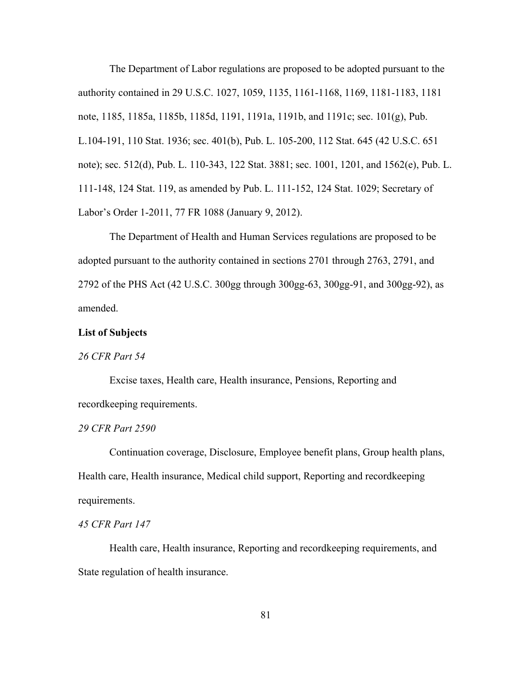The Department of Labor regulations are proposed to be adopted pursuant to the authority contained in 29 U.S.C. 1027, 1059, 1135, 1161-1168, 1169, 1181-1183, 1181 note, 1185, 1185a, 1185b, 1185d, 1191, 1191a, 1191b, and 1191c; sec. 101(g), Pub. L.104-191, 110 Stat. 1936; sec. 401(b), Pub. L. 105-200, 112 Stat. 645 (42 U.S.C. 651 note); sec. 512(d), Pub. L. 110-343, 122 Stat. 3881; sec. 1001, 1201, and 1562(e), Pub. L. 111-148, 124 Stat. 119, as amended by Pub. L. 111-152, 124 Stat. 1029; Secretary of Labor's Order 1-2011, 77 FR 1088 (January 9, 2012).

The Department of Health and Human Services regulations are proposed to be adopted pursuant to the authority contained in sections 2701 through 2763, 2791, and 2792 of the PHS Act (42 U.S.C. 300gg through 300gg-63, 300gg-91, and 300gg-92), as amended.

## **List of Subjects**

## *26 CFR Part 54*

Excise taxes, Health care, Health insurance, Pensions, Reporting and recordkeeping requirements.

#### *29 CFR Part 2590*

Continuation coverage, Disclosure, Employee benefit plans, Group health plans, Health care, Health insurance, Medical child support, Reporting and recordkeeping requirements.

## *45 CFR Part 147*

Health care, Health insurance, Reporting and recordkeeping requirements, and State regulation of health insurance.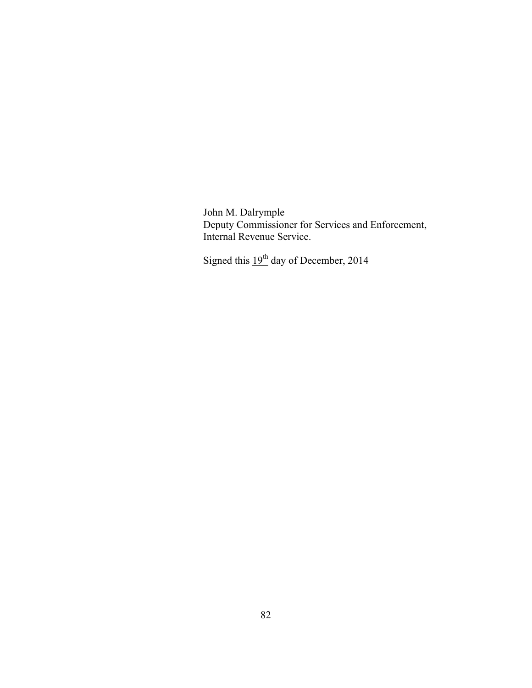John M. Dalrymple Deputy Commissioner for Services and Enforcement, Internal Revenue Service.

Signed this  $19<sup>th</sup>$  day of December, 2014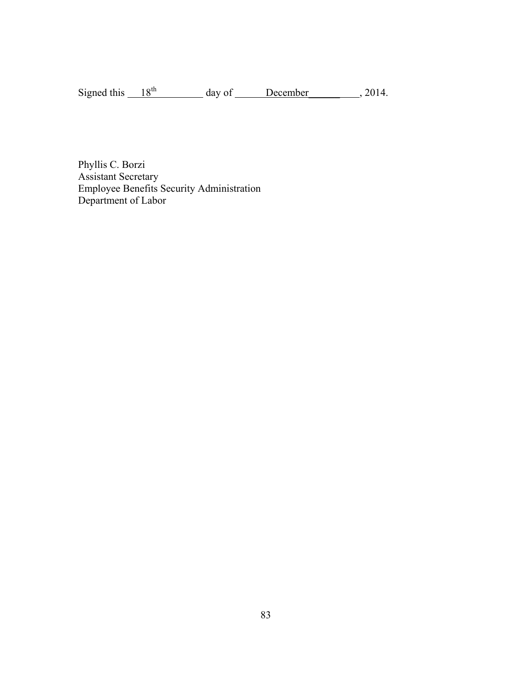Signed this  $18^{th}$  day of December 2014.

Phyllis C. Borzi Assistant Secretary Employee Benefits Security Administration Department of Labor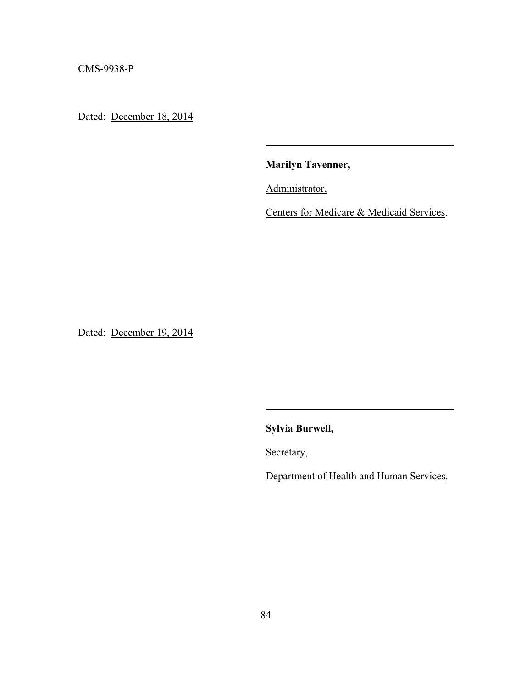CMS-9938-P

Dated: December 18, 2014

**Marilyn Tavenner,** 

Administrator,

Centers for Medicare & Medicaid Services.

Dated: December 19, 2014

**Sylvia Burwell,** 

Secretary,

Department of Health and Human Services.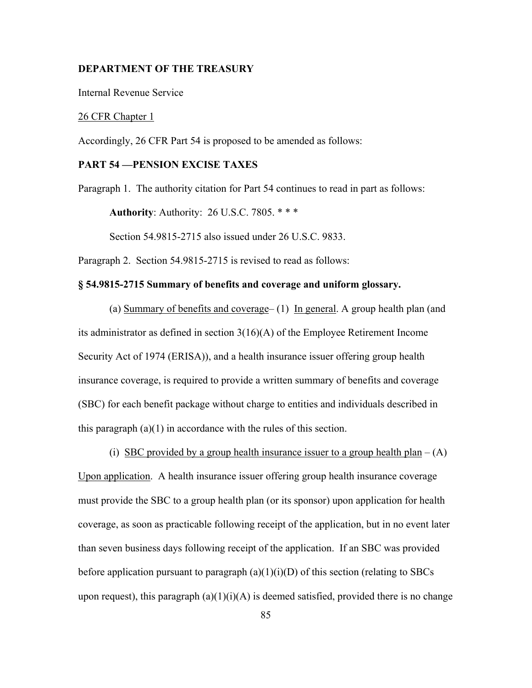#### **DEPARTMENT OF THE TREASURY**

Internal Revenue Service

## 26 CFR Chapter 1

Accordingly, 26 CFR Part 54 is proposed to be amended as follows:

# **PART 54 —PENSION EXCISE TAXES**

Paragraph 1. The authority citation for Part 54 continues to read in part as follows:

 **Authority**: Authority: 26 U.S.C. 7805. \* \* \*

Section 54.9815-2715 also issued under 26 U.S.C. 9833.

Paragraph 2. Section 54.9815-2715 is revised to read as follows:

## **§ 54.9815-2715 Summary of benefits and coverage and uniform glossary.**

(a) Summary of benefits and coverage– (1) In general. A group health plan (and its administrator as defined in section 3(16)(A) of the Employee Retirement Income Security Act of 1974 (ERISA)), and a health insurance issuer offering group health insurance coverage, is required to provide a written summary of benefits and coverage (SBC) for each benefit package without charge to entities and individuals described in this paragraph  $(a)(1)$  in accordance with the rules of this section.

(i) SBC provided by a group health insurance issuer to a group health plan –  $(A)$ Upon application. A health insurance issuer offering group health insurance coverage must provide the SBC to a group health plan (or its sponsor) upon application for health coverage, as soon as practicable following receipt of the application, but in no event later than seven business days following receipt of the application. If an SBC was provided before application pursuant to paragraph  $(a)(1)(i)(D)$  of this section (relating to SBCs upon request), this paragraph  $(a)(1)(i)(A)$  is deemed satisfied, provided there is no change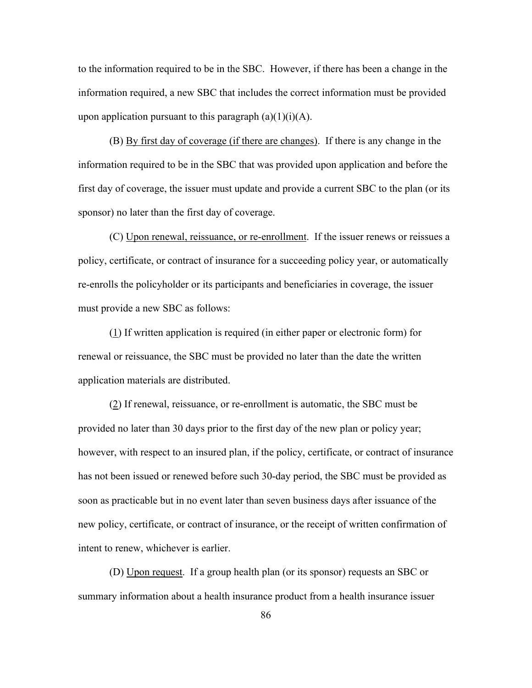to the information required to be in the SBC. However, if there has been a change in the information required, a new SBC that includes the correct information must be provided upon application pursuant to this paragraph  $(a)(1)(i)(A)$ .

 (B) By first day of coverage (if there are changes). If there is any change in the information required to be in the SBC that was provided upon application and before the first day of coverage, the issuer must update and provide a current SBC to the plan (or its sponsor) no later than the first day of coverage.

(C) Upon renewal, reissuance, or re-enrollment. If the issuer renews or reissues a policy, certificate, or contract of insurance for a succeeding policy year, or automatically re-enrolls the policyholder or its participants and beneficiaries in coverage, the issuer must provide a new SBC as follows:

(1) If written application is required (in either paper or electronic form) for renewal or reissuance, the SBC must be provided no later than the date the written application materials are distributed.

(2) If renewal, reissuance, or re-enrollment is automatic, the SBC must be provided no later than 30 days prior to the first day of the new plan or policy year; however, with respect to an insured plan, if the policy, certificate, or contract of insurance has not been issued or renewed before such 30-day period, the SBC must be provided as soon as practicable but in no event later than seven business days after issuance of the new policy, certificate, or contract of insurance, or the receipt of written confirmation of intent to renew, whichever is earlier.

(D) Upon request. If a group health plan (or its sponsor) requests an SBC or summary information about a health insurance product from a health insurance issuer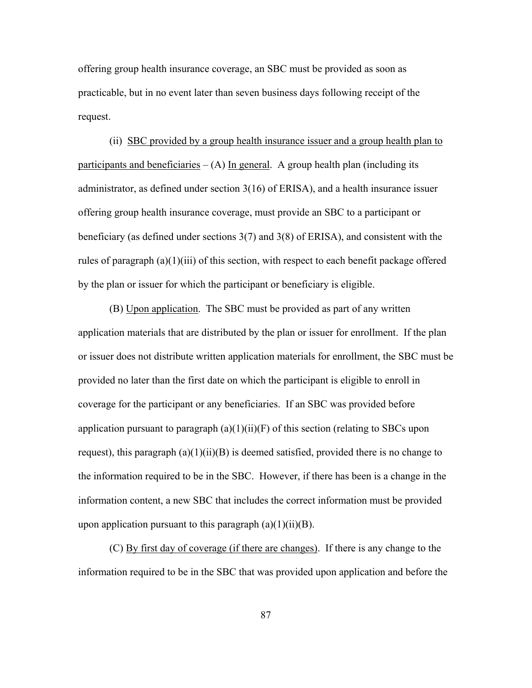offering group health insurance coverage, an SBC must be provided as soon as practicable, but in no event later than seven business days following receipt of the request.

 (ii) SBC provided by a group health insurance issuer and a group health plan to participants and beneficiaries  $-(A)$  In general. A group health plan (including its administrator, as defined under section 3(16) of ERISA), and a health insurance issuer offering group health insurance coverage, must provide an SBC to a participant or beneficiary (as defined under sections 3(7) and 3(8) of ERISA), and consistent with the rules of paragraph (a)(1)(iii) of this section, with respect to each benefit package offered by the plan or issuer for which the participant or beneficiary is eligible.

 (B) Upon application. The SBC must be provided as part of any written application materials that are distributed by the plan or issuer for enrollment. If the plan or issuer does not distribute written application materials for enrollment, the SBC must be provided no later than the first date on which the participant is eligible to enroll in coverage for the participant or any beneficiaries. If an SBC was provided before application pursuant to paragraph  $(a)(1)(ii)(F)$  of this section (relating to SBCs upon request), this paragraph  $(a)(1)(ii)(B)$  is deemed satisfied, provided there is no change to the information required to be in the SBC. However, if there has been is a change in the information content, a new SBC that includes the correct information must be provided upon application pursuant to this paragraph  $(a)(1)(ii)(B)$ .

 (C) By first day of coverage (if there are changes). If there is any change to the information required to be in the SBC that was provided upon application and before the

87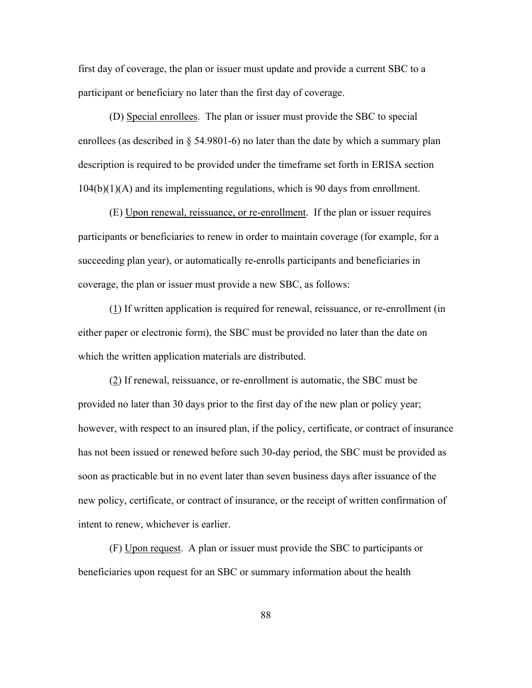first day of coverage, the plan or issuer must update and provide a current SBC to a participant or beneficiary no later than the first day of coverage.

 (D) Special enrollees. The plan or issuer must provide the SBC to special enrollees (as described in § 54.9801-6) no later than the date by which a summary plan description is required to be provided under the timeframe set forth in ERISA section 104(b)(1)(A) and its implementing regulations, which is 90 days from enrollment.

 (E) Upon renewal, reissuance, or re-enrollment. If the plan or issuer requires participants or beneficiaries to renew in order to maintain coverage (for example, for a succeeding plan year), or automatically re-enrolls participants and beneficiaries in coverage, the plan or issuer must provide a new SBC, as follows:

 (1) If written application is required for renewal, reissuance, or re-enrollment (in either paper or electronic form), the SBC must be provided no later than the date on which the written application materials are distributed.

 (2) If renewal, reissuance, or re-enrollment is automatic, the SBC must be provided no later than 30 days prior to the first day of the new plan or policy year; however, with respect to an insured plan, if the policy, certificate, or contract of insurance has not been issued or renewed before such 30-day period, the SBC must be provided as soon as practicable but in no event later than seven business days after issuance of the new policy, certificate, or contract of insurance, or the receipt of written confirmation of intent to renew, whichever is earlier.

 (F) Upon request. A plan or issuer must provide the SBC to participants or beneficiaries upon request for an SBC or summary information about the health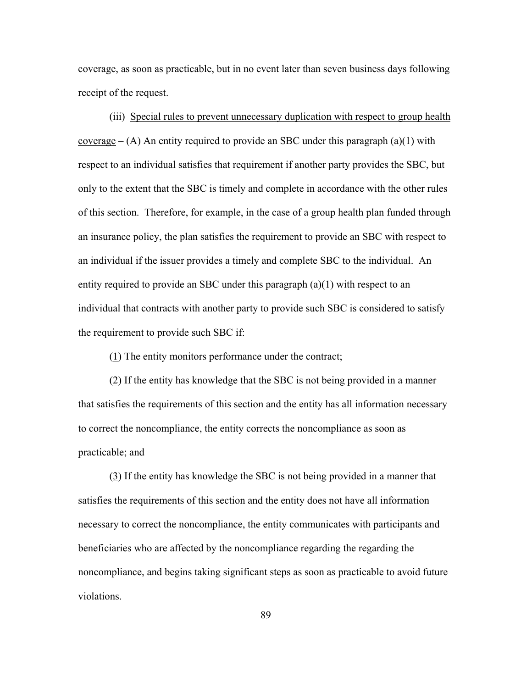coverage, as soon as practicable, but in no event later than seven business days following receipt of the request.

(iii) Special rules to prevent unnecessary duplication with respect to group health coverage  $-$  (A) An entity required to provide an SBC under this paragraph (a)(1) with respect to an individual satisfies that requirement if another party provides the SBC, but only to the extent that the SBC is timely and complete in accordance with the other rules of this section. Therefore, for example, in the case of a group health plan funded through an insurance policy, the plan satisfies the requirement to provide an SBC with respect to an individual if the issuer provides a timely and complete SBC to the individual. An entity required to provide an SBC under this paragraph (a)(1) with respect to an individual that contracts with another party to provide such SBC is considered to satisfy the requirement to provide such SBC if:

(1) The entity monitors performance under the contract;

(2) If the entity has knowledge that the SBC is not being provided in a manner that satisfies the requirements of this section and the entity has all information necessary to correct the noncompliance, the entity corrects the noncompliance as soon as practicable; and

 (3) If the entity has knowledge the SBC is not being provided in a manner that satisfies the requirements of this section and the entity does not have all information necessary to correct the noncompliance, the entity communicates with participants and beneficiaries who are affected by the noncompliance regarding the regarding the noncompliance, and begins taking significant steps as soon as practicable to avoid future violations.

89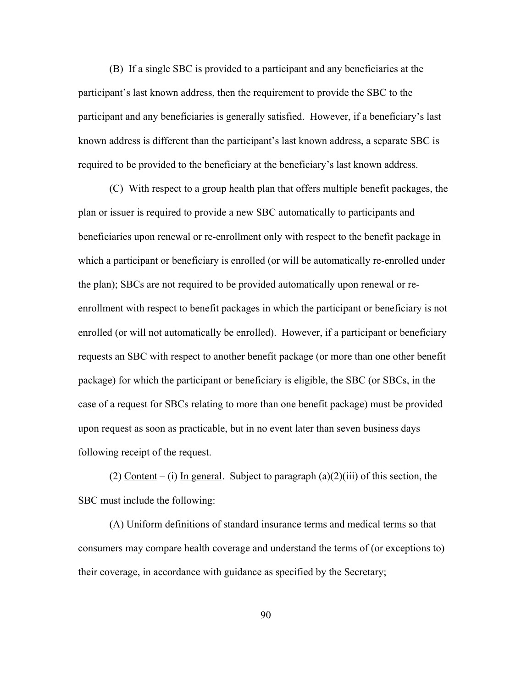(B) If a single SBC is provided to a participant and any beneficiaries at the participant's last known address, then the requirement to provide the SBC to the participant and any beneficiaries is generally satisfied. However, if a beneficiary's last known address is different than the participant's last known address, a separate SBC is required to be provided to the beneficiary at the beneficiary's last known address.

 (C) With respect to a group health plan that offers multiple benefit packages, the plan or issuer is required to provide a new SBC automatically to participants and beneficiaries upon renewal or re-enrollment only with respect to the benefit package in which a participant or beneficiary is enrolled (or will be automatically re-enrolled under the plan); SBCs are not required to be provided automatically upon renewal or reenrollment with respect to benefit packages in which the participant or beneficiary is not enrolled (or will not automatically be enrolled). However, if a participant or beneficiary requests an SBC with respect to another benefit package (or more than one other benefit package) for which the participant or beneficiary is eligible, the SBC (or SBCs, in the case of a request for SBCs relating to more than one benefit package) must be provided upon request as soon as practicable, but in no event later than seven business days following receipt of the request.

(2) Content – (i) In general. Subject to paragraph  $(a)(2)(iii)$  of this section, the SBC must include the following:

 (A) Uniform definitions of standard insurance terms and medical terms so that consumers may compare health coverage and understand the terms of (or exceptions to) their coverage, in accordance with guidance as specified by the Secretary;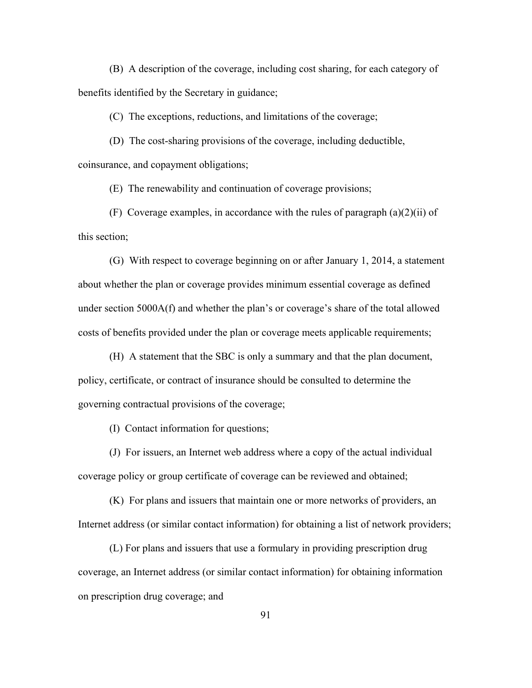(B) A description of the coverage, including cost sharing, for each category of benefits identified by the Secretary in guidance;

(C) The exceptions, reductions, and limitations of the coverage;

 (D) The cost-sharing provisions of the coverage, including deductible, coinsurance, and copayment obligations;

(E) The renewability and continuation of coverage provisions;

(F) Coverage examples, in accordance with the rules of paragraph  $(a)(2)(ii)$  of this section;

 (G) With respect to coverage beginning on or after January 1, 2014, a statement about whether the plan or coverage provides minimum essential coverage as defined under section 5000A(f) and whether the plan's or coverage's share of the total allowed costs of benefits provided under the plan or coverage meets applicable requirements;

 (H) A statement that the SBC is only a summary and that the plan document, policy, certificate, or contract of insurance should be consulted to determine the governing contractual provisions of the coverage;

(I) Contact information for questions;

 (J) For issuers, an Internet web address where a copy of the actual individual coverage policy or group certificate of coverage can be reviewed and obtained;

(K) For plans and issuers that maintain one or more networks of providers, an Internet address (or similar contact information) for obtaining a list of network providers;

(L) For plans and issuers that use a formulary in providing prescription drug coverage, an Internet address (or similar contact information) for obtaining information on prescription drug coverage; and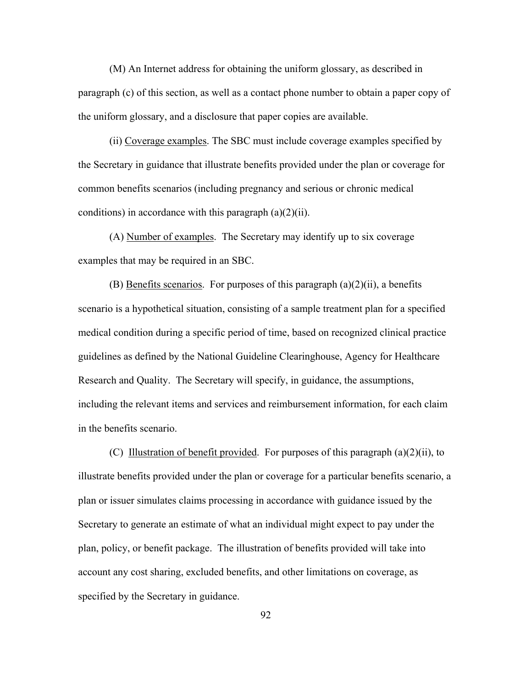(M) An Internet address for obtaining the uniform glossary, as described in paragraph (c) of this section, as well as a contact phone number to obtain a paper copy of the uniform glossary, and a disclosure that paper copies are available.

(ii) Coverage examples. The SBC must include coverage examples specified by the Secretary in guidance that illustrate benefits provided under the plan or coverage for common benefits scenarios (including pregnancy and serious or chronic medical conditions) in accordance with this paragraph  $(a)(2)(ii)$ .

(A) Number of examples. The Secretary may identify up to six coverage examples that may be required in an SBC.

(B) Benefits scenarios. For purposes of this paragraph  $(a)(2)(ii)$ , a benefits scenario is a hypothetical situation, consisting of a sample treatment plan for a specified medical condition during a specific period of time, based on recognized clinical practice guidelines as defined by the National Guideline Clearinghouse, Agency for Healthcare Research and Quality. The Secretary will specify, in guidance, the assumptions, including the relevant items and services and reimbursement information, for each claim in the benefits scenario.

(C) Illustration of benefit provided. For purposes of this paragraph  $(a)(2)(ii)$ , to illustrate benefits provided under the plan or coverage for a particular benefits scenario, a plan or issuer simulates claims processing in accordance with guidance issued by the Secretary to generate an estimate of what an individual might expect to pay under the plan, policy, or benefit package. The illustration of benefits provided will take into account any cost sharing, excluded benefits, and other limitations on coverage, as specified by the Secretary in guidance.

92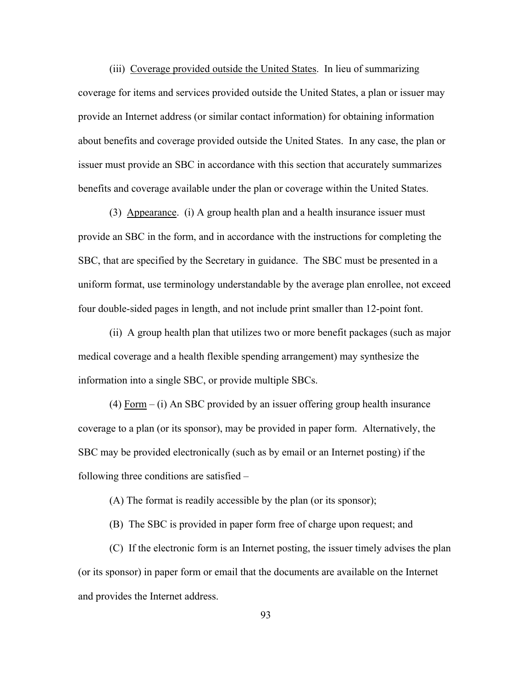(iii) Coverage provided outside the United States. In lieu of summarizing coverage for items and services provided outside the United States, a plan or issuer may provide an Internet address (or similar contact information) for obtaining information about benefits and coverage provided outside the United States. In any case, the plan or issuer must provide an SBC in accordance with this section that accurately summarizes benefits and coverage available under the plan or coverage within the United States.

 (3) Appearance. (i) A group health plan and a health insurance issuer must provide an SBC in the form, and in accordance with the instructions for completing the SBC, that are specified by the Secretary in guidance. The SBC must be presented in a uniform format, use terminology understandable by the average plan enrollee, not exceed four double-sided pages in length, and not include print smaller than 12-point font.

 (ii) A group health plan that utilizes two or more benefit packages (such as major medical coverage and a health flexible spending arrangement) may synthesize the information into a single SBC, or provide multiple SBCs.

(4)  $\overline{Form} - (i)$  An SBC provided by an issuer offering group health insurance coverage to a plan (or its sponsor), may be provided in paper form. Alternatively, the SBC may be provided electronically (such as by email or an Internet posting) if the following three conditions are satisfied –

(A) The format is readily accessible by the plan (or its sponsor);

(B) The SBC is provided in paper form free of charge upon request; and

(C) If the electronic form is an Internet posting, the issuer timely advises the plan (or its sponsor) in paper form or email that the documents are available on the Internet and provides the Internet address.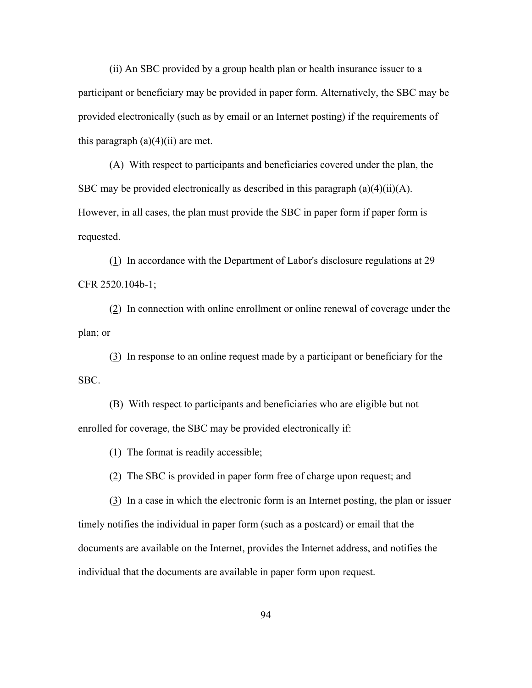(ii) An SBC provided by a group health plan or health insurance issuer to a participant or beneficiary may be provided in paper form. Alternatively, the SBC may be provided electronically (such as by email or an Internet posting) if the requirements of this paragraph  $(a)(4)(ii)$  are met.

(A) With respect to participants and beneficiaries covered under the plan, the SBC may be provided electronically as described in this paragraph  $(a)(4)(ii)(A)$ . However, in all cases, the plan must provide the SBC in paper form if paper form is requested.

(1) In accordance with the Department of Labor's disclosure regulations at 29 CFR 2520.104b-1;

(2) In connection with online enrollment or online renewal of coverage under the plan; or

(3) In response to an online request made by a participant or beneficiary for the SBC.

(B) With respect to participants and beneficiaries who are eligible but not enrolled for coverage, the SBC may be provided electronically if:

(1) The format is readily accessible;

(2) The SBC is provided in paper form free of charge upon request; and

 (3) In a case in which the electronic form is an Internet posting, the plan or issuer timely notifies the individual in paper form (such as a postcard) or email that the documents are available on the Internet, provides the Internet address, and notifies the individual that the documents are available in paper form upon request.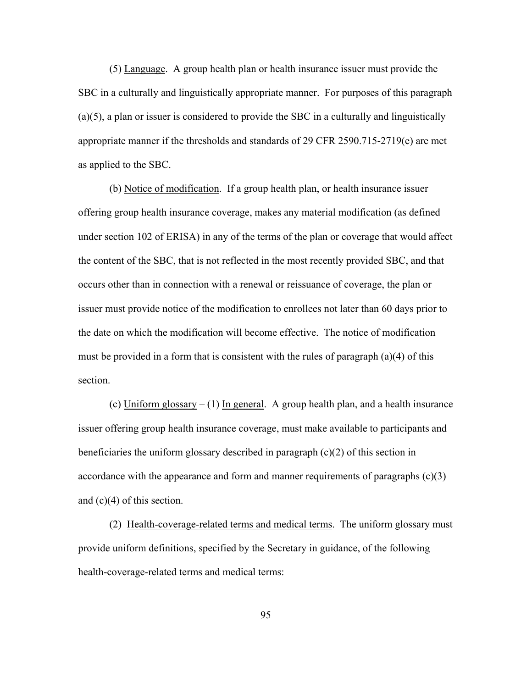(5) Language. A group health plan or health insurance issuer must provide the SBC in a culturally and linguistically appropriate manner. For purposes of this paragraph (a)(5), a plan or issuer is considered to provide the SBC in a culturally and linguistically appropriate manner if the thresholds and standards of 29 CFR 2590.715-2719(e) are met as applied to the SBC.

(b) Notice of modification. If a group health plan, or health insurance issuer offering group health insurance coverage, makes any material modification (as defined under section 102 of ERISA) in any of the terms of the plan or coverage that would affect the content of the SBC, that is not reflected in the most recently provided SBC, and that occurs other than in connection with a renewal or reissuance of coverage, the plan or issuer must provide notice of the modification to enrollees not later than 60 days prior to the date on which the modification will become effective. The notice of modification must be provided in a form that is consistent with the rules of paragraph (a)(4) of this section.

(c) Uniform glossary  $- (1)$  In general. A group health plan, and a health insurance issuer offering group health insurance coverage, must make available to participants and beneficiaries the uniform glossary described in paragraph (c)(2) of this section in accordance with the appearance and form and manner requirements of paragraphs (c)(3) and (c)(4) of this section.

 (2) Health-coverage-related terms and medical terms. The uniform glossary must provide uniform definitions, specified by the Secretary in guidance, of the following health-coverage-related terms and medical terms:

95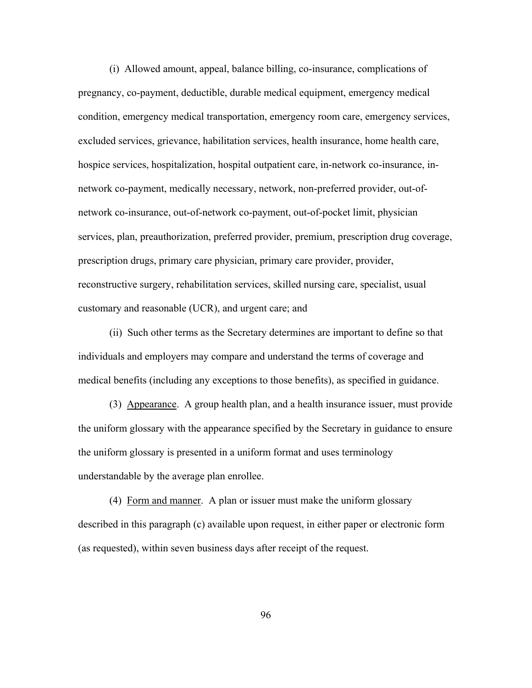(i) Allowed amount, appeal, balance billing, co-insurance, complications of pregnancy, co-payment, deductible, durable medical equipment, emergency medical condition, emergency medical transportation, emergency room care, emergency services, excluded services, grievance, habilitation services, health insurance, home health care, hospice services, hospitalization, hospital outpatient care, in-network co-insurance, innetwork co-payment, medically necessary, network, non-preferred provider, out-ofnetwork co-insurance, out-of-network co-payment, out-of-pocket limit, physician services, plan, preauthorization, preferred provider, premium, prescription drug coverage, prescription drugs, primary care physician, primary care provider, provider, reconstructive surgery, rehabilitation services, skilled nursing care, specialist, usual customary and reasonable (UCR), and urgent care; and

 (ii) Such other terms as the Secretary determines are important to define so that individuals and employers may compare and understand the terms of coverage and medical benefits (including any exceptions to those benefits), as specified in guidance.

 (3) Appearance. A group health plan, and a health insurance issuer, must provide the uniform glossary with the appearance specified by the Secretary in guidance to ensure the uniform glossary is presented in a uniform format and uses terminology understandable by the average plan enrollee.

 (4) Form and manner. A plan or issuer must make the uniform glossary described in this paragraph (c) available upon request, in either paper or electronic form (as requested), within seven business days after receipt of the request.

96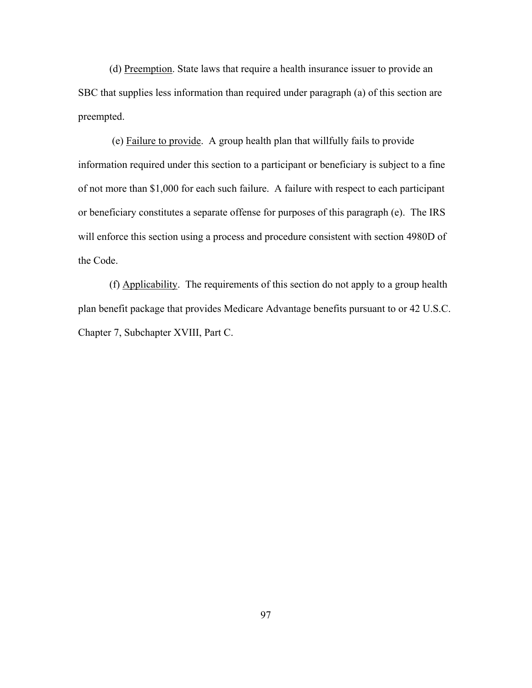(d) Preemption. State laws that require a health insurance issuer to provide an SBC that supplies less information than required under paragraph (a) of this section are preempted.

 (e) Failure to provide. A group health plan that willfully fails to provide information required under this section to a participant or beneficiary is subject to a fine of not more than \$1,000 for each such failure. A failure with respect to each participant or beneficiary constitutes a separate offense for purposes of this paragraph (e). The IRS will enforce this section using a process and procedure consistent with section 4980D of the Code.

(f) Applicability. The requirements of this section do not apply to a group health plan benefit package that provides Medicare Advantage benefits pursuant to or 42 U.S.C. Chapter 7, Subchapter XVIII, Part C.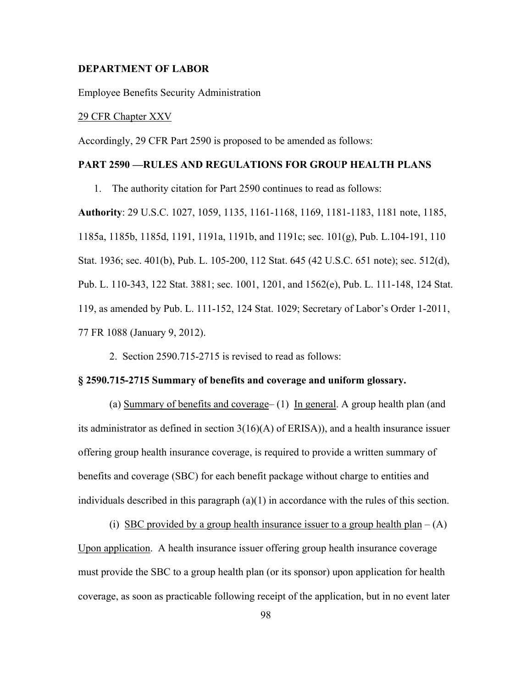## **DEPARTMENT OF LABOR**

Employee Benefits Security Administration

## 29 CFR Chapter XXV

Accordingly, 29 CFR Part 2590 is proposed to be amended as follows:

## **PART 2590 —RULES AND REGULATIONS FOR GROUP HEALTH PLANS**

1. The authority citation for Part 2590 continues to read as follows:

**Authority**: 29 U.S.C. 1027, 1059, 1135, 1161-1168, 1169, 1181-1183, 1181 note, 1185, 1185a, 1185b, 1185d, 1191, 1191a, 1191b, and 1191c; sec. 101(g), Pub. L.104-191, 110 Stat. 1936; sec. 401(b), Pub. L. 105-200, 112 Stat. 645 (42 U.S.C. 651 note); sec. 512(d), Pub. L. 110-343, 122 Stat. 3881; sec. 1001, 1201, and 1562(e), Pub. L. 111-148, 124 Stat. 119, as amended by Pub. L. 111-152, 124 Stat. 1029; Secretary of Labor's Order 1-2011, 77 FR 1088 (January 9, 2012).

2. Section 2590.715-2715 is revised to read as follows:

#### **§ 2590.715-2715 Summary of benefits and coverage and uniform glossary.**

(a) Summary of benefits and coverage–  $(1)$  In general. A group health plan (and its administrator as defined in section 3(16)(A) of ERISA)), and a health insurance issuer offering group health insurance coverage, is required to provide a written summary of benefits and coverage (SBC) for each benefit package without charge to entities and individuals described in this paragraph (a)(1) in accordance with the rules of this section.

(i) SBC provided by a group health insurance issuer to a group health plan –  $(A)$ Upon application. A health insurance issuer offering group health insurance coverage must provide the SBC to a group health plan (or its sponsor) upon application for health coverage, as soon as practicable following receipt of the application, but in no event later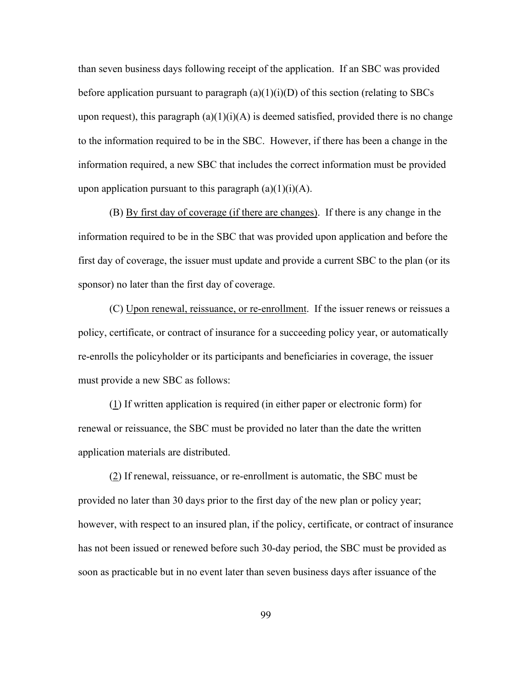than seven business days following receipt of the application. If an SBC was provided before application pursuant to paragraph  $(a)(1)(i)(D)$  of this section (relating to SBCs upon request), this paragraph  $(a)(1)(i)(A)$  is deemed satisfied, provided there is no change to the information required to be in the SBC. However, if there has been a change in the information required, a new SBC that includes the correct information must be provided upon application pursuant to this paragraph  $(a)(1)(i)(A)$ .

 (B) By first day of coverage (if there are changes). If there is any change in the information required to be in the SBC that was provided upon application and before the first day of coverage, the issuer must update and provide a current SBC to the plan (or its sponsor) no later than the first day of coverage.

(C) Upon renewal, reissuance, or re-enrollment. If the issuer renews or reissues a policy, certificate, or contract of insurance for a succeeding policy year, or automatically re-enrolls the policyholder or its participants and beneficiaries in coverage, the issuer must provide a new SBC as follows:

(1) If written application is required (in either paper or electronic form) for renewal or reissuance, the SBC must be provided no later than the date the written application materials are distributed.

(2) If renewal, reissuance, or re-enrollment is automatic, the SBC must be provided no later than 30 days prior to the first day of the new plan or policy year; however, with respect to an insured plan, if the policy, certificate, or contract of insurance has not been issued or renewed before such 30-day period, the SBC must be provided as soon as practicable but in no event later than seven business days after issuance of the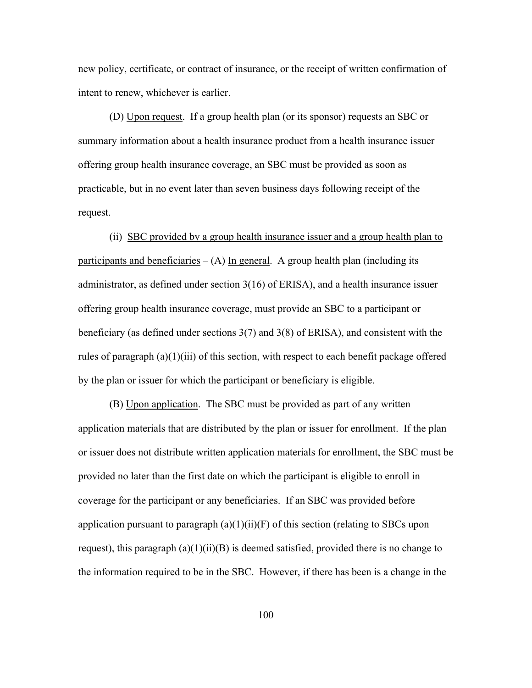new policy, certificate, or contract of insurance, or the receipt of written confirmation of intent to renew, whichever is earlier.

(D) Upon request. If a group health plan (or its sponsor) requests an SBC or summary information about a health insurance product from a health insurance issuer offering group health insurance coverage, an SBC must be provided as soon as practicable, but in no event later than seven business days following receipt of the request.

 (ii) SBC provided by a group health insurance issuer and a group health plan to participants and beneficiaries  $- (A)$  In general. A group health plan (including its administrator, as defined under section 3(16) of ERISA), and a health insurance issuer offering group health insurance coverage, must provide an SBC to a participant or beneficiary (as defined under sections 3(7) and 3(8) of ERISA), and consistent with the rules of paragraph (a)(1)(iii) of this section, with respect to each benefit package offered by the plan or issuer for which the participant or beneficiary is eligible.

 (B) Upon application. The SBC must be provided as part of any written application materials that are distributed by the plan or issuer for enrollment. If the plan or issuer does not distribute written application materials for enrollment, the SBC must be provided no later than the first date on which the participant is eligible to enroll in coverage for the participant or any beneficiaries. If an SBC was provided before application pursuant to paragraph  $(a)(1)(ii)(F)$  of this section (relating to SBCs upon request), this paragraph  $(a)(1)(ii)(B)$  is deemed satisfied, provided there is no change to the information required to be in the SBC. However, if there has been is a change in the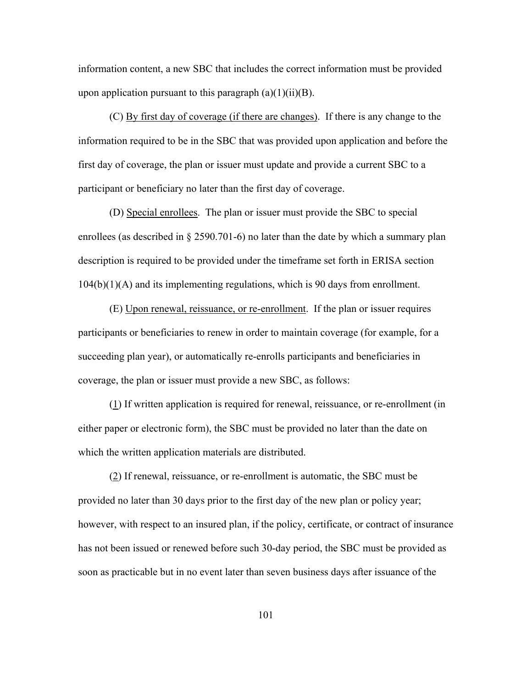information content, a new SBC that includes the correct information must be provided upon application pursuant to this paragraph  $(a)(1)(ii)(B)$ .

 (C) By first day of coverage (if there are changes). If there is any change to the information required to be in the SBC that was provided upon application and before the first day of coverage, the plan or issuer must update and provide a current SBC to a participant or beneficiary no later than the first day of coverage.

 (D) Special enrollees. The plan or issuer must provide the SBC to special enrollees (as described in § 2590.701-6) no later than the date by which a summary plan description is required to be provided under the timeframe set forth in ERISA section 104(b)(1)(A) and its implementing regulations, which is 90 days from enrollment.

 (E) Upon renewal, reissuance, or re-enrollment. If the plan or issuer requires participants or beneficiaries to renew in order to maintain coverage (for example, for a succeeding plan year), or automatically re-enrolls participants and beneficiaries in coverage, the plan or issuer must provide a new SBC, as follows:

 (1) If written application is required for renewal, reissuance, or re-enrollment (in either paper or electronic form), the SBC must be provided no later than the date on which the written application materials are distributed.

 (2) If renewal, reissuance, or re-enrollment is automatic, the SBC must be provided no later than 30 days prior to the first day of the new plan or policy year; however, with respect to an insured plan, if the policy, certificate, or contract of insurance has not been issued or renewed before such 30-day period, the SBC must be provided as soon as practicable but in no event later than seven business days after issuance of the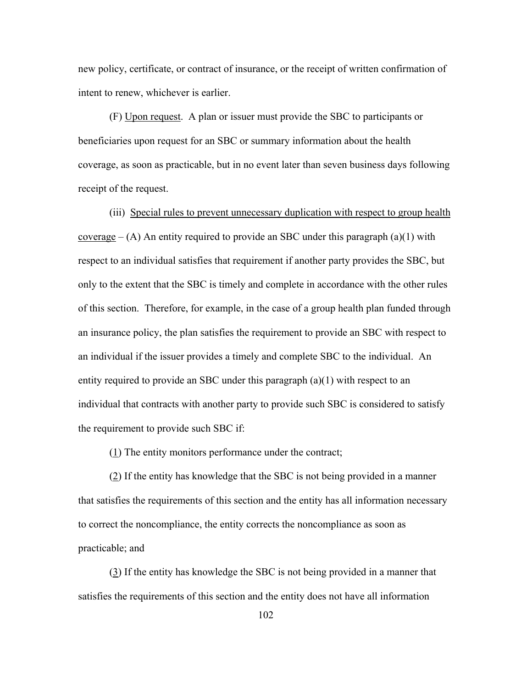new policy, certificate, or contract of insurance, or the receipt of written confirmation of intent to renew, whichever is earlier.

 (F) Upon request. A plan or issuer must provide the SBC to participants or beneficiaries upon request for an SBC or summary information about the health coverage, as soon as practicable, but in no event later than seven business days following receipt of the request.

(iii) Special rules to prevent unnecessary duplication with respect to group health coverage  $-(A)$  An entity required to provide an SBC under this paragraph (a)(1) with respect to an individual satisfies that requirement if another party provides the SBC, but only to the extent that the SBC is timely and complete in accordance with the other rules of this section. Therefore, for example, in the case of a group health plan funded through an insurance policy, the plan satisfies the requirement to provide an SBC with respect to an individual if the issuer provides a timely and complete SBC to the individual. An entity required to provide an SBC under this paragraph  $(a)(1)$  with respect to an individual that contracts with another party to provide such SBC is considered to satisfy the requirement to provide such SBC if:

(1) The entity monitors performance under the contract;

(2) If the entity has knowledge that the SBC is not being provided in a manner that satisfies the requirements of this section and the entity has all information necessary to correct the noncompliance, the entity corrects the noncompliance as soon as practicable; and

 (3) If the entity has knowledge the SBC is not being provided in a manner that satisfies the requirements of this section and the entity does not have all information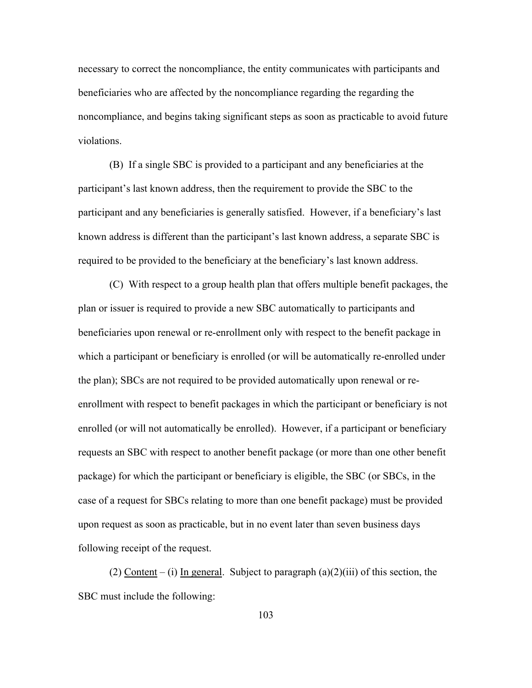necessary to correct the noncompliance, the entity communicates with participants and beneficiaries who are affected by the noncompliance regarding the regarding the noncompliance, and begins taking significant steps as soon as practicable to avoid future violations.

 (B) If a single SBC is provided to a participant and any beneficiaries at the participant's last known address, then the requirement to provide the SBC to the participant and any beneficiaries is generally satisfied. However, if a beneficiary's last known address is different than the participant's last known address, a separate SBC is required to be provided to the beneficiary at the beneficiary's last known address.

 (C) With respect to a group health plan that offers multiple benefit packages, the plan or issuer is required to provide a new SBC automatically to participants and beneficiaries upon renewal or re-enrollment only with respect to the benefit package in which a participant or beneficiary is enrolled (or will be automatically re-enrolled under the plan); SBCs are not required to be provided automatically upon renewal or reenrollment with respect to benefit packages in which the participant or beneficiary is not enrolled (or will not automatically be enrolled). However, if a participant or beneficiary requests an SBC with respect to another benefit package (or more than one other benefit package) for which the participant or beneficiary is eligible, the SBC (or SBCs, in the case of a request for SBCs relating to more than one benefit package) must be provided upon request as soon as practicable, but in no event later than seven business days following receipt of the request.

(2) Content – (i) In general. Subject to paragraph  $(a)(2)(iii)$  of this section, the SBC must include the following: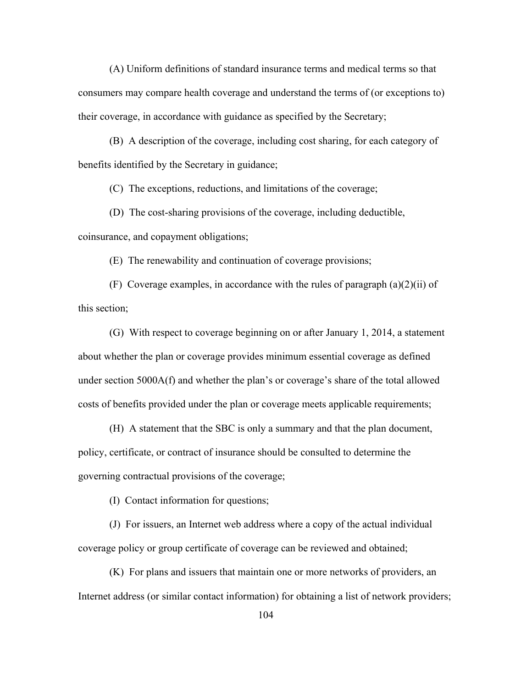(A) Uniform definitions of standard insurance terms and medical terms so that consumers may compare health coverage and understand the terms of (or exceptions to) their coverage, in accordance with guidance as specified by the Secretary;

 (B) A description of the coverage, including cost sharing, for each category of benefits identified by the Secretary in guidance;

(C) The exceptions, reductions, and limitations of the coverage;

 (D) The cost-sharing provisions of the coverage, including deductible, coinsurance, and copayment obligations;

(E) The renewability and continuation of coverage provisions;

(F) Coverage examples, in accordance with the rules of paragraph  $(a)(2)(ii)$  of this section;

 (G) With respect to coverage beginning on or after January 1, 2014, a statement about whether the plan or coverage provides minimum essential coverage as defined under section 5000A(f) and whether the plan's or coverage's share of the total allowed costs of benefits provided under the plan or coverage meets applicable requirements;

 (H) A statement that the SBC is only a summary and that the plan document, policy, certificate, or contract of insurance should be consulted to determine the governing contractual provisions of the coverage;

(I) Contact information for questions;

 (J) For issuers, an Internet web address where a copy of the actual individual coverage policy or group certificate of coverage can be reviewed and obtained;

(K) For plans and issuers that maintain one or more networks of providers, an Internet address (or similar contact information) for obtaining a list of network providers;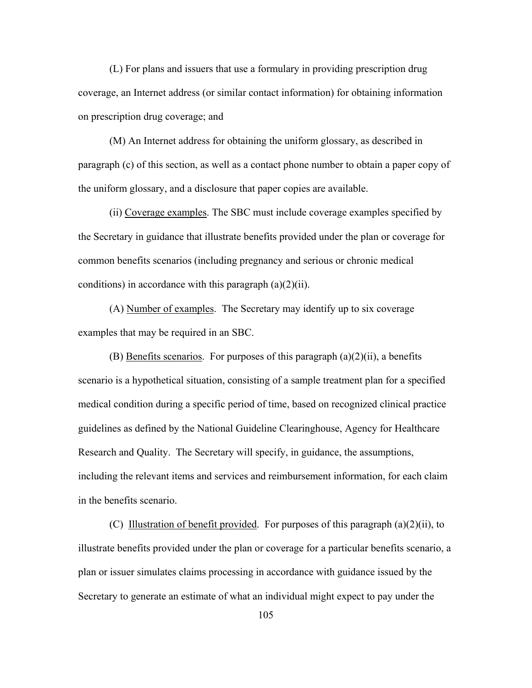(L) For plans and issuers that use a formulary in providing prescription drug coverage, an Internet address (or similar contact information) for obtaining information on prescription drug coverage; and

(M) An Internet address for obtaining the uniform glossary, as described in paragraph (c) of this section, as well as a contact phone number to obtain a paper copy of the uniform glossary, and a disclosure that paper copies are available.

(ii) Coverage examples. The SBC must include coverage examples specified by the Secretary in guidance that illustrate benefits provided under the plan or coverage for common benefits scenarios (including pregnancy and serious or chronic medical conditions) in accordance with this paragraph  $(a)(2)(ii)$ .

(A) Number of examples. The Secretary may identify up to six coverage examples that may be required in an SBC.

(B) Benefits scenarios. For purposes of this paragraph  $(a)(2)(ii)$ , a benefits scenario is a hypothetical situation, consisting of a sample treatment plan for a specified medical condition during a specific period of time, based on recognized clinical practice guidelines as defined by the National Guideline Clearinghouse, Agency for Healthcare Research and Quality. The Secretary will specify, in guidance, the assumptions, including the relevant items and services and reimbursement information, for each claim in the benefits scenario.

(C) Illustration of benefit provided. For purposes of this paragraph (a)(2)(ii), to illustrate benefits provided under the plan or coverage for a particular benefits scenario, a plan or issuer simulates claims processing in accordance with guidance issued by the Secretary to generate an estimate of what an individual might expect to pay under the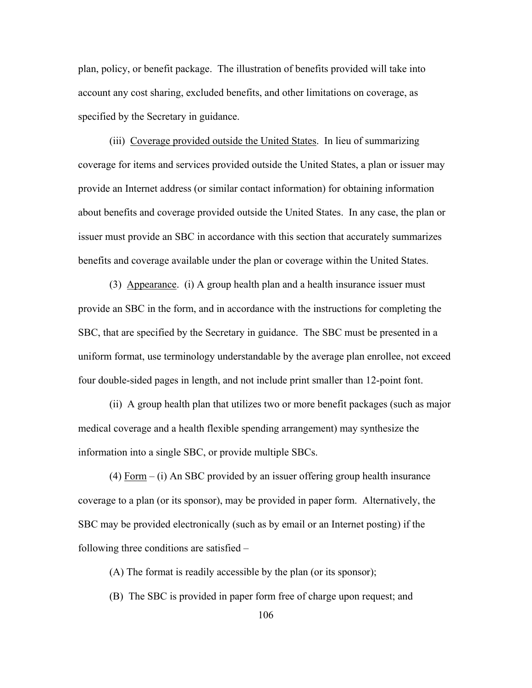plan, policy, or benefit package. The illustration of benefits provided will take into account any cost sharing, excluded benefits, and other limitations on coverage, as specified by the Secretary in guidance.

(iii) Coverage provided outside the United States. In lieu of summarizing coverage for items and services provided outside the United States, a plan or issuer may provide an Internet address (or similar contact information) for obtaining information about benefits and coverage provided outside the United States. In any case, the plan or issuer must provide an SBC in accordance with this section that accurately summarizes benefits and coverage available under the plan or coverage within the United States.

 (3) Appearance. (i) A group health plan and a health insurance issuer must provide an SBC in the form, and in accordance with the instructions for completing the SBC, that are specified by the Secretary in guidance. The SBC must be presented in a uniform format, use terminology understandable by the average plan enrollee, not exceed four double-sided pages in length, and not include print smaller than 12-point font.

 (ii) A group health plan that utilizes two or more benefit packages (such as major medical coverage and a health flexible spending arrangement) may synthesize the information into a single SBC, or provide multiple SBCs.

(4) Form – (i) An SBC provided by an issuer offering group health insurance coverage to a plan (or its sponsor), may be provided in paper form. Alternatively, the SBC may be provided electronically (such as by email or an Internet posting) if the following three conditions are satisfied –

(A) The format is readily accessible by the plan (or its sponsor);

(B) The SBC is provided in paper form free of charge upon request; and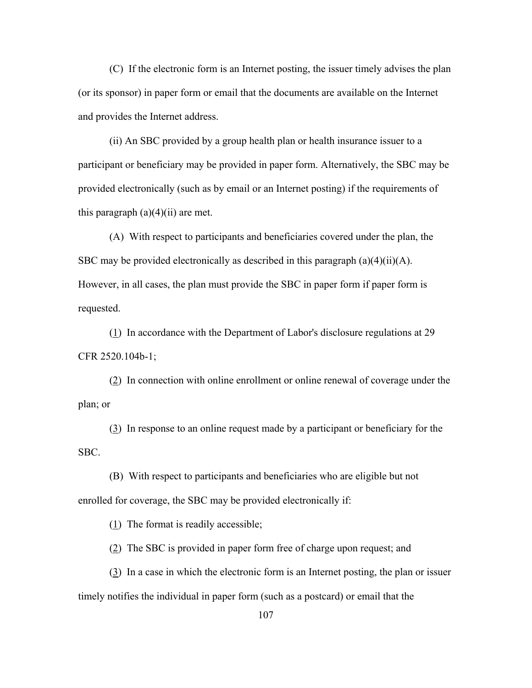(C) If the electronic form is an Internet posting, the issuer timely advises the plan (or its sponsor) in paper form or email that the documents are available on the Internet and provides the Internet address.

(ii) An SBC provided by a group health plan or health insurance issuer to a participant or beneficiary may be provided in paper form. Alternatively, the SBC may be provided electronically (such as by email or an Internet posting) if the requirements of this paragraph  $(a)(4)(ii)$  are met.

(A) With respect to participants and beneficiaries covered under the plan, the SBC may be provided electronically as described in this paragraph  $(a)(4)(ii)(A)$ . However, in all cases, the plan must provide the SBC in paper form if paper form is requested.

(1) In accordance with the Department of Labor's disclosure regulations at 29 CFR 2520.104b-1;

(2) In connection with online enrollment or online renewal of coverage under the plan; or

(3) In response to an online request made by a participant or beneficiary for the SBC.

(B) With respect to participants and beneficiaries who are eligible but not enrolled for coverage, the SBC may be provided electronically if:

 $(1)$  The format is readily accessible;

(2) The SBC is provided in paper form free of charge upon request; and

 (3) In a case in which the electronic form is an Internet posting, the plan or issuer timely notifies the individual in paper form (such as a postcard) or email that the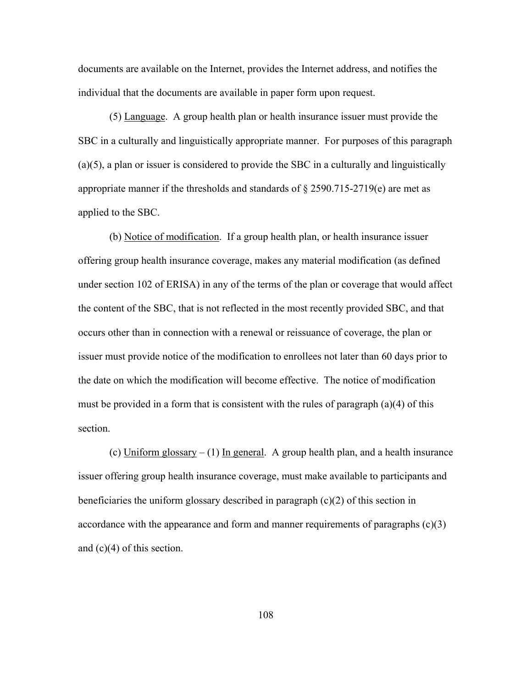documents are available on the Internet, provides the Internet address, and notifies the individual that the documents are available in paper form upon request.

 (5) Language. A group health plan or health insurance issuer must provide the SBC in a culturally and linguistically appropriate manner. For purposes of this paragraph (a)(5), a plan or issuer is considered to provide the SBC in a culturally and linguistically appropriate manner if the thresholds and standards of  $\S 2590.715-2719(e)$  are met as applied to the SBC.

(b) Notice of modification. If a group health plan, or health insurance issuer offering group health insurance coverage, makes any material modification (as defined under section 102 of ERISA) in any of the terms of the plan or coverage that would affect the content of the SBC, that is not reflected in the most recently provided SBC, and that occurs other than in connection with a renewal or reissuance of coverage, the plan or issuer must provide notice of the modification to enrollees not later than 60 days prior to the date on which the modification will become effective. The notice of modification must be provided in a form that is consistent with the rules of paragraph  $(a)(4)$  of this section.

(c) Uniform glossary – (1) In general. A group health plan, and a health insurance issuer offering group health insurance coverage, must make available to participants and beneficiaries the uniform glossary described in paragraph (c)(2) of this section in accordance with the appearance and form and manner requirements of paragraphs  $(c)(3)$ and  $(c)(4)$  of this section.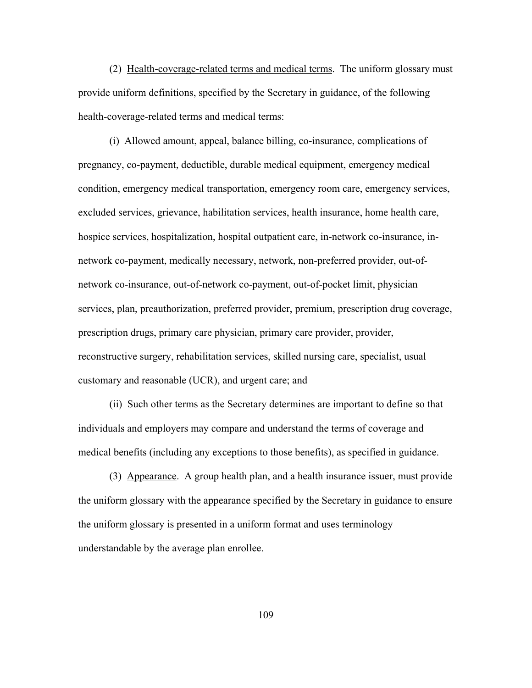(2) Health-coverage-related terms and medical terms. The uniform glossary must provide uniform definitions, specified by the Secretary in guidance, of the following health-coverage-related terms and medical terms:

 (i) Allowed amount, appeal, balance billing, co-insurance, complications of pregnancy, co-payment, deductible, durable medical equipment, emergency medical condition, emergency medical transportation, emergency room care, emergency services, excluded services, grievance, habilitation services, health insurance, home health care, hospice services, hospitalization, hospital outpatient care, in-network co-insurance, innetwork co-payment, medically necessary, network, non-preferred provider, out-ofnetwork co-insurance, out-of-network co-payment, out-of-pocket limit, physician services, plan, preauthorization, preferred provider, premium, prescription drug coverage, prescription drugs, primary care physician, primary care provider, provider, reconstructive surgery, rehabilitation services, skilled nursing care, specialist, usual customary and reasonable (UCR), and urgent care; and

 (ii) Such other terms as the Secretary determines are important to define so that individuals and employers may compare and understand the terms of coverage and medical benefits (including any exceptions to those benefits), as specified in guidance.

 (3) Appearance. A group health plan, and a health insurance issuer, must provide the uniform glossary with the appearance specified by the Secretary in guidance to ensure the uniform glossary is presented in a uniform format and uses terminology understandable by the average plan enrollee.

109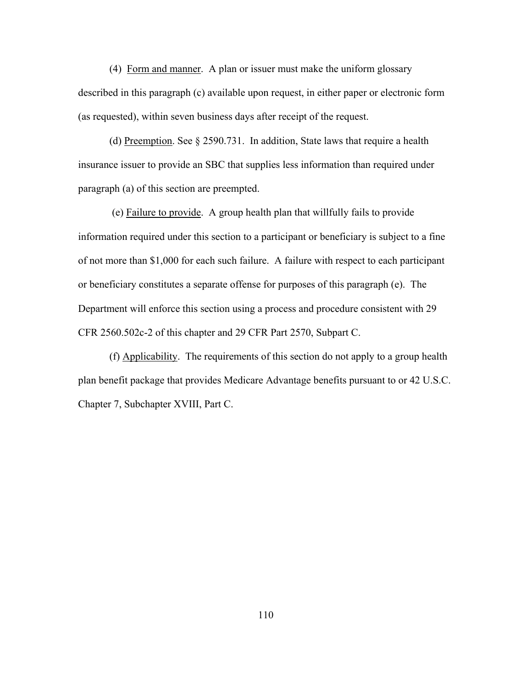(4) Form and manner. A plan or issuer must make the uniform glossary described in this paragraph (c) available upon request, in either paper or electronic form (as requested), within seven business days after receipt of the request.

(d) Preemption. See § 2590.731. In addition, State laws that require a health insurance issuer to provide an SBC that supplies less information than required under paragraph (a) of this section are preempted.

 (e) Failure to provide. A group health plan that willfully fails to provide information required under this section to a participant or beneficiary is subject to a fine of not more than \$1,000 for each such failure. A failure with respect to each participant or beneficiary constitutes a separate offense for purposes of this paragraph (e). The Department will enforce this section using a process and procedure consistent with 29 CFR 2560.502c-2 of this chapter and 29 CFR Part 2570, Subpart C.

(f) Applicability. The requirements of this section do not apply to a group health plan benefit package that provides Medicare Advantage benefits pursuant to or 42 U.S.C. Chapter 7, Subchapter XVIII, Part C.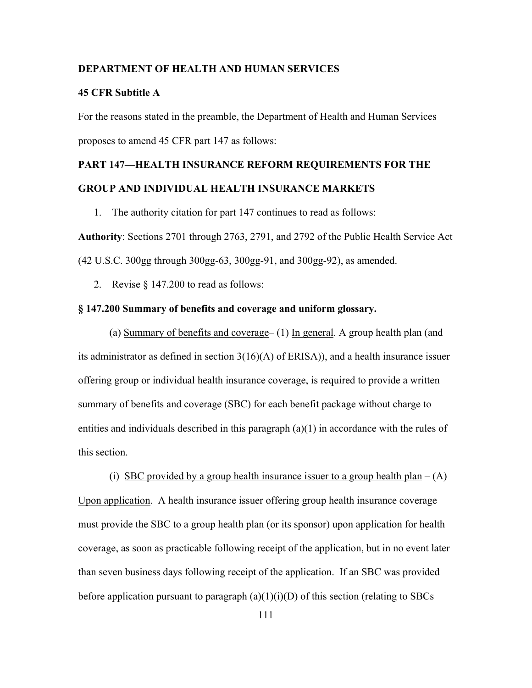## **DEPARTMENT OF HEALTH AND HUMAN SERVICES**

## **45 CFR Subtitle A**

For the reasons stated in the preamble, the Department of Health and Human Services proposes to amend 45 CFR part 147 as follows:

## **PART 147—HEALTH INSURANCE REFORM REQUIREMENTS FOR THE GROUP AND INDIVIDUAL HEALTH INSURANCE MARKETS**

1. The authority citation for part 147 continues to read as follows:

**Authority**: Sections 2701 through 2763, 2791, and 2792 of the Public Health Service Act (42 U.S.C. 300gg through 300gg-63, 300gg-91, and 300gg-92), as amended.

2. Revise § 147.200 to read as follows:

## **§ 147.200 Summary of benefits and coverage and uniform glossary.**

(a) Summary of benefits and coverage– (1) In general. A group health plan (and its administrator as defined in section 3(16)(A) of ERISA)), and a health insurance issuer offering group or individual health insurance coverage, is required to provide a written summary of benefits and coverage (SBC) for each benefit package without charge to entities and individuals described in this paragraph  $(a)(1)$  in accordance with the rules of this section.

(i) SBC provided by a group health insurance issuer to a group health plan  $- (A)$ Upon application. A health insurance issuer offering group health insurance coverage must provide the SBC to a group health plan (or its sponsor) upon application for health coverage, as soon as practicable following receipt of the application, but in no event later than seven business days following receipt of the application. If an SBC was provided before application pursuant to paragraph  $(a)(1)(i)(D)$  of this section (relating to SBCs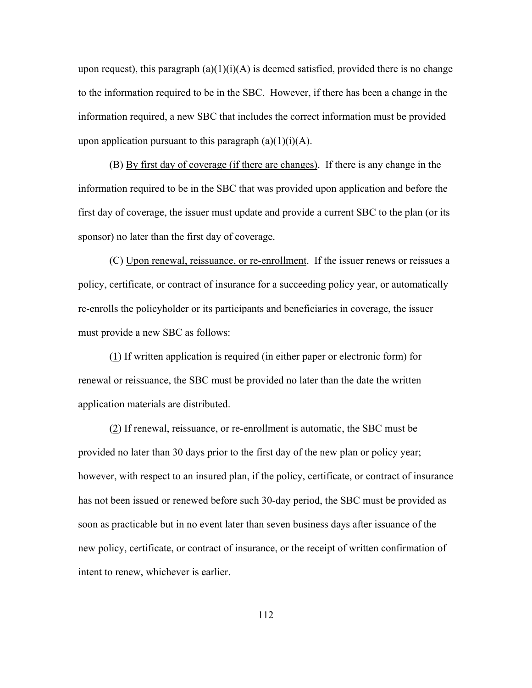upon request), this paragraph  $(a)(1)(i)(A)$  is deemed satisfied, provided there is no change to the information required to be in the SBC. However, if there has been a change in the information required, a new SBC that includes the correct information must be provided upon application pursuant to this paragraph  $(a)(1)(i)(A)$ .

 (B) By first day of coverage (if there are changes). If there is any change in the information required to be in the SBC that was provided upon application and before the first day of coverage, the issuer must update and provide a current SBC to the plan (or its sponsor) no later than the first day of coverage.

(C) Upon renewal, reissuance, or re-enrollment. If the issuer renews or reissues a policy, certificate, or contract of insurance for a succeeding policy year, or automatically re-enrolls the policyholder or its participants and beneficiaries in coverage, the issuer must provide a new SBC as follows:

(1) If written application is required (in either paper or electronic form) for renewal or reissuance, the SBC must be provided no later than the date the written application materials are distributed.

(2) If renewal, reissuance, or re-enrollment is automatic, the SBC must be provided no later than 30 days prior to the first day of the new plan or policy year; however, with respect to an insured plan, if the policy, certificate, or contract of insurance has not been issued or renewed before such 30-day period, the SBC must be provided as soon as practicable but in no event later than seven business days after issuance of the new policy, certificate, or contract of insurance, or the receipt of written confirmation of intent to renew, whichever is earlier.

112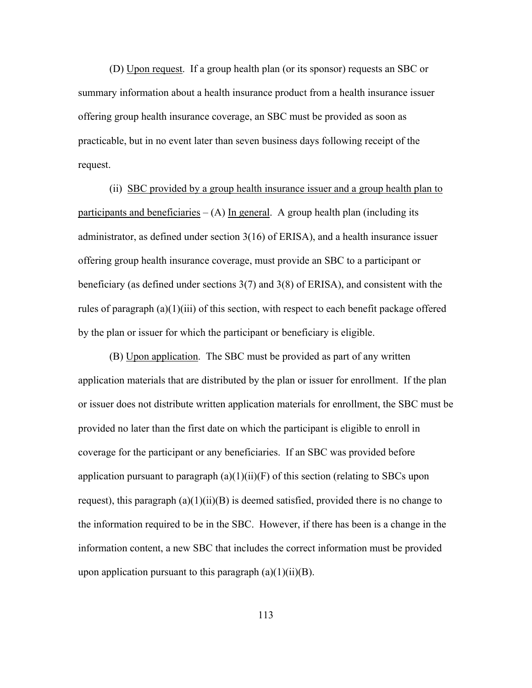(D) Upon request. If a group health plan (or its sponsor) requests an SBC or summary information about a health insurance product from a health insurance issuer offering group health insurance coverage, an SBC must be provided as soon as practicable, but in no event later than seven business days following receipt of the request.

 (ii) SBC provided by a group health insurance issuer and a group health plan to participants and beneficiaries  $- (A)$  In general. A group health plan (including its administrator, as defined under section 3(16) of ERISA), and a health insurance issuer offering group health insurance coverage, must provide an SBC to a participant or beneficiary (as defined under sections 3(7) and 3(8) of ERISA), and consistent with the rules of paragraph  $(a)(1)(iii)$  of this section, with respect to each benefit package offered by the plan or issuer for which the participant or beneficiary is eligible.

 (B) Upon application. The SBC must be provided as part of any written application materials that are distributed by the plan or issuer for enrollment. If the plan or issuer does not distribute written application materials for enrollment, the SBC must be provided no later than the first date on which the participant is eligible to enroll in coverage for the participant or any beneficiaries. If an SBC was provided before application pursuant to paragraph  $(a)(1)(ii)(F)$  of this section (relating to SBCs upon request), this paragraph  $(a)(1)(ii)(B)$  is deemed satisfied, provided there is no change to the information required to be in the SBC. However, if there has been is a change in the information content, a new SBC that includes the correct information must be provided upon application pursuant to this paragraph  $(a)(1)(ii)(B)$ .

113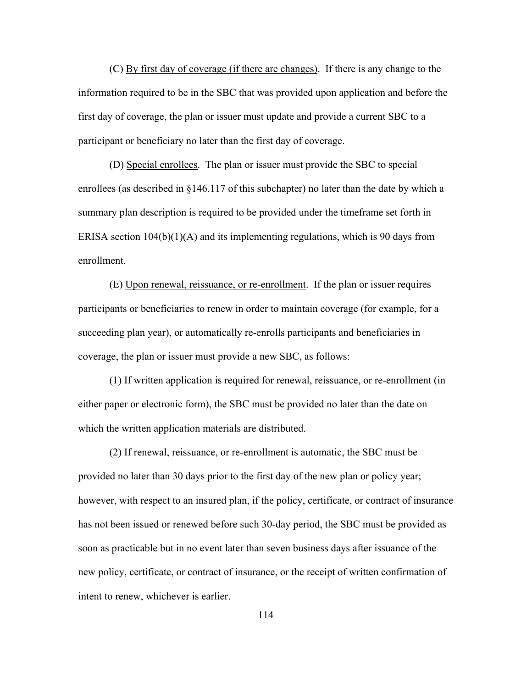(C) By first day of coverage (if there are changes). If there is any change to the information required to be in the SBC that was provided upon application and before the first day of coverage, the plan or issuer must update and provide a current SBC to a participant or beneficiary no later than the first day of coverage.

 (D) Special enrollees. The plan or issuer must provide the SBC to special enrollees (as described in §146.117 of this subchapter) no later than the date by which a summary plan description is required to be provided under the timeframe set forth in ERISA section  $104(b)(1)(A)$  and its implementing regulations, which is 90 days from enrollment.

 (E) Upon renewal, reissuance, or re-enrollment. If the plan or issuer requires participants or beneficiaries to renew in order to maintain coverage (for example, for a succeeding plan year), or automatically re-enrolls participants and beneficiaries in coverage, the plan or issuer must provide a new SBC, as follows:

 (1) If written application is required for renewal, reissuance, or re-enrollment (in either paper or electronic form), the SBC must be provided no later than the date on which the written application materials are distributed.

 (2) If renewal, reissuance, or re-enrollment is automatic, the SBC must be provided no later than 30 days prior to the first day of the new plan or policy year; however, with respect to an insured plan, if the policy, certificate, or contract of insurance has not been issued or renewed before such 30-day period, the SBC must be provided as soon as practicable but in no event later than seven business days after issuance of the new policy, certificate, or contract of insurance, or the receipt of written confirmation of intent to renew, whichever is earlier.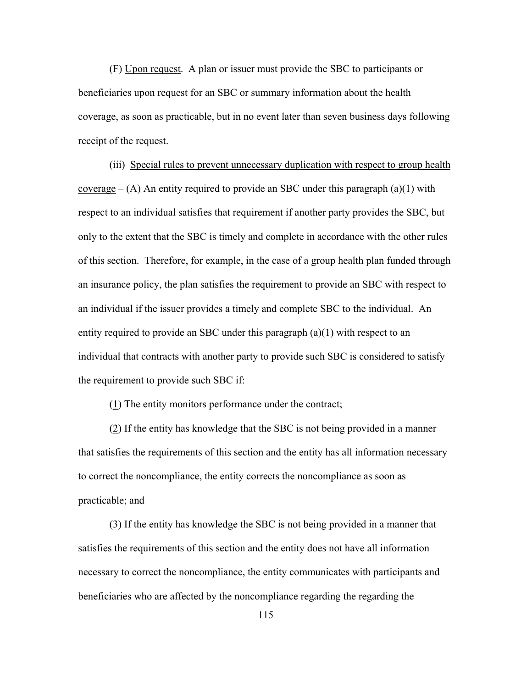(F) Upon request. A plan or issuer must provide the SBC to participants or beneficiaries upon request for an SBC or summary information about the health coverage, as soon as practicable, but in no event later than seven business days following receipt of the request.

(iii) Special rules to prevent unnecessary duplication with respect to group health coverage  $-$  (A) An entity required to provide an SBC under this paragraph (a)(1) with respect to an individual satisfies that requirement if another party provides the SBC, but only to the extent that the SBC is timely and complete in accordance with the other rules of this section. Therefore, for example, in the case of a group health plan funded through an insurance policy, the plan satisfies the requirement to provide an SBC with respect to an individual if the issuer provides a timely and complete SBC to the individual. An entity required to provide an SBC under this paragraph  $(a)(1)$  with respect to an individual that contracts with another party to provide such SBC is considered to satisfy the requirement to provide such SBC if:

 $(1)$  The entity monitors performance under the contract;

(2) If the entity has knowledge that the SBC is not being provided in a manner that satisfies the requirements of this section and the entity has all information necessary to correct the noncompliance, the entity corrects the noncompliance as soon as practicable; and

 (3) If the entity has knowledge the SBC is not being provided in a manner that satisfies the requirements of this section and the entity does not have all information necessary to correct the noncompliance, the entity communicates with participants and beneficiaries who are affected by the noncompliance regarding the regarding the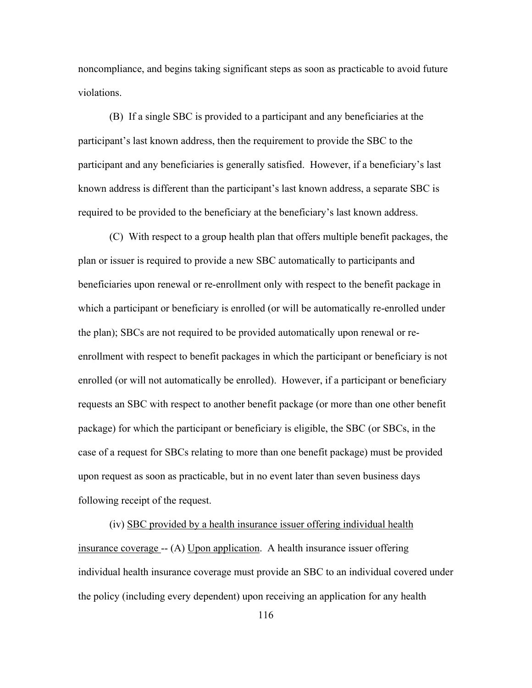noncompliance, and begins taking significant steps as soon as practicable to avoid future violations.

 (B) If a single SBC is provided to a participant and any beneficiaries at the participant's last known address, then the requirement to provide the SBC to the participant and any beneficiaries is generally satisfied. However, if a beneficiary's last known address is different than the participant's last known address, a separate SBC is required to be provided to the beneficiary at the beneficiary's last known address.

 (C) With respect to a group health plan that offers multiple benefit packages, the plan or issuer is required to provide a new SBC automatically to participants and beneficiaries upon renewal or re-enrollment only with respect to the benefit package in which a participant or beneficiary is enrolled (or will be automatically re-enrolled under the plan); SBCs are not required to be provided automatically upon renewal or reenrollment with respect to benefit packages in which the participant or beneficiary is not enrolled (or will not automatically be enrolled). However, if a participant or beneficiary requests an SBC with respect to another benefit package (or more than one other benefit package) for which the participant or beneficiary is eligible, the SBC (or SBCs, in the case of a request for SBCs relating to more than one benefit package) must be provided upon request as soon as practicable, but in no event later than seven business days following receipt of the request.

 (iv) SBC provided by a health insurance issuer offering individual health insurance coverage -- (A) Upon application. A health insurance issuer offering individual health insurance coverage must provide an SBC to an individual covered under the policy (including every dependent) upon receiving an application for any health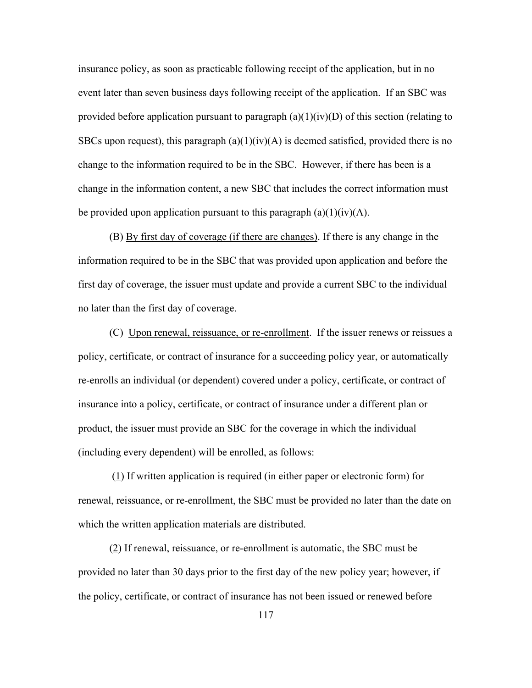insurance policy, as soon as practicable following receipt of the application, but in no event later than seven business days following receipt of the application. If an SBC was provided before application pursuant to paragraph  $(a)(1)(iv)(D)$  of this section (relating to SBCs upon request), this paragraph  $(a)(1)(iv)(A)$  is deemed satisfied, provided there is no change to the information required to be in the SBC. However, if there has been is a change in the information content, a new SBC that includes the correct information must be provided upon application pursuant to this paragraph  $(a)(1)(iv)(A)$ .

 (B) By first day of coverage (if there are changes). If there is any change in the information required to be in the SBC that was provided upon application and before the first day of coverage, the issuer must update and provide a current SBC to the individual no later than the first day of coverage.

(C) Upon renewal, reissuance, or re-enrollment. If the issuer renews or reissues a policy, certificate, or contract of insurance for a succeeding policy year, or automatically re-enrolls an individual (or dependent) covered under a policy, certificate, or contract of insurance into a policy, certificate, or contract of insurance under a different plan or product, the issuer must provide an SBC for the coverage in which the individual (including every dependent) will be enrolled, as follows:

 (1) If written application is required (in either paper or electronic form) for renewal, reissuance, or re-enrollment, the SBC must be provided no later than the date on which the written application materials are distributed.

(2) If renewal, reissuance, or re-enrollment is automatic, the SBC must be provided no later than 30 days prior to the first day of the new policy year; however, if the policy, certificate, or contract of insurance has not been issued or renewed before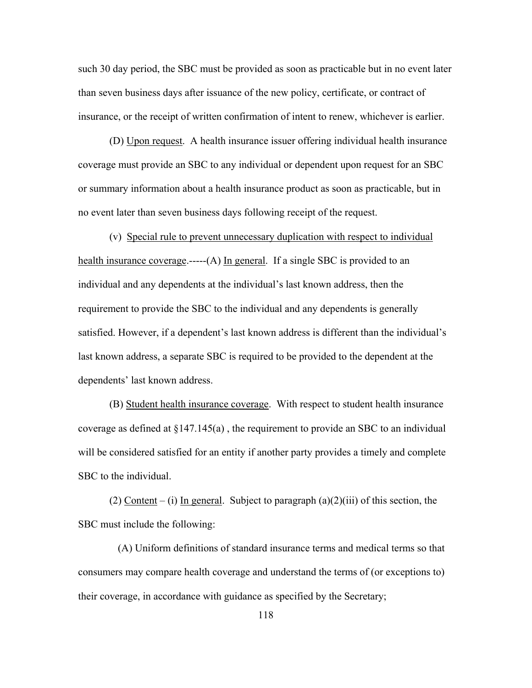such 30 day period, the SBC must be provided as soon as practicable but in no event later than seven business days after issuance of the new policy, certificate, or contract of insurance, or the receipt of written confirmation of intent to renew, whichever is earlier.

(D) Upon request. A health insurance issuer offering individual health insurance coverage must provide an SBC to any individual or dependent upon request for an SBC or summary information about a health insurance product as soon as practicable, but in no event later than seven business days following receipt of the request.

 (v) Special rule to prevent unnecessary duplication with respect to individual health insurance coverage.-----(A) In general. If a single SBC is provided to an individual and any dependents at the individual's last known address, then the requirement to provide the SBC to the individual and any dependents is generally satisfied. However, if a dependent's last known address is different than the individual's last known address, a separate SBC is required to be provided to the dependent at the dependents' last known address.

 (B) Student health insurance coverage. With respect to student health insurance coverage as defined at §147.145(a) , the requirement to provide an SBC to an individual will be considered satisfied for an entity if another party provides a timely and complete SBC to the individual.

(2) Content – (i) In general. Subject to paragraph  $(a)(2)(iii)$  of this section, the SBC must include the following:

 (A) Uniform definitions of standard insurance terms and medical terms so that consumers may compare health coverage and understand the terms of (or exceptions to) their coverage, in accordance with guidance as specified by the Secretary;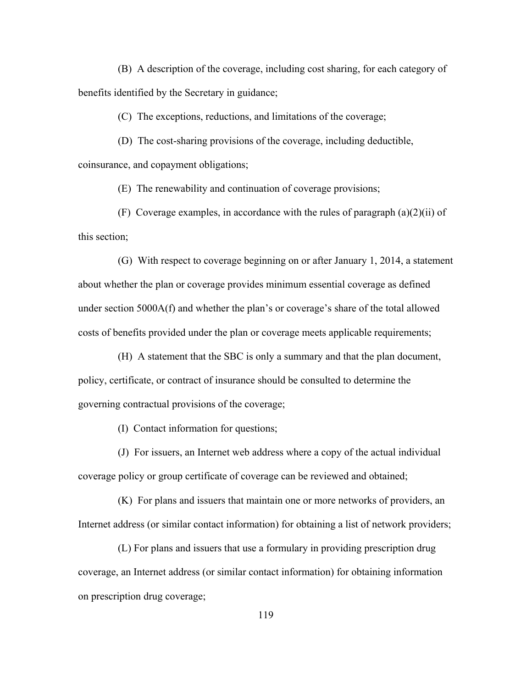(B) A description of the coverage, including cost sharing, for each category of benefits identified by the Secretary in guidance;

(C) The exceptions, reductions, and limitations of the coverage;

 (D) The cost-sharing provisions of the coverage, including deductible, coinsurance, and copayment obligations;

(E) The renewability and continuation of coverage provisions;

(F) Coverage examples, in accordance with the rules of paragraph  $(a)(2)(ii)$  of this section;

 (G) With respect to coverage beginning on or after January 1, 2014, a statement about whether the plan or coverage provides minimum essential coverage as defined under section 5000A(f) and whether the plan's or coverage's share of the total allowed costs of benefits provided under the plan or coverage meets applicable requirements;

 (H) A statement that the SBC is only a summary and that the plan document, policy, certificate, or contract of insurance should be consulted to determine the governing contractual provisions of the coverage;

(I) Contact information for questions;

 (J) For issuers, an Internet web address where a copy of the actual individual coverage policy or group certificate of coverage can be reviewed and obtained;

 (K) For plans and issuers that maintain one or more networks of providers, an Internet address (or similar contact information) for obtaining a list of network providers;

 (L) For plans and issuers that use a formulary in providing prescription drug coverage, an Internet address (or similar contact information) for obtaining information on prescription drug coverage;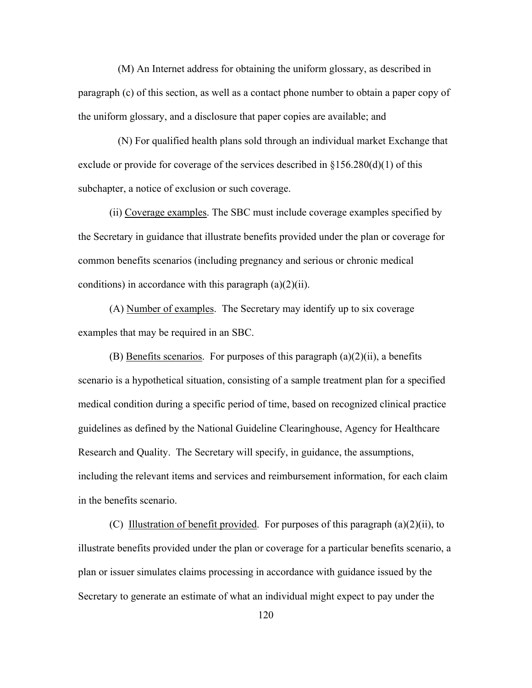(M) An Internet address for obtaining the uniform glossary, as described in paragraph (c) of this section, as well as a contact phone number to obtain a paper copy of the uniform glossary, and a disclosure that paper copies are available; and

 (N) For qualified health plans sold through an individual market Exchange that exclude or provide for coverage of the services described in  $\S 156.280(d)(1)$  of this subchapter, a notice of exclusion or such coverage.

(ii) Coverage examples. The SBC must include coverage examples specified by the Secretary in guidance that illustrate benefits provided under the plan or coverage for common benefits scenarios (including pregnancy and serious or chronic medical conditions) in accordance with this paragraph  $(a)(2)(ii)$ .

(A) Number of examples. The Secretary may identify up to six coverage examples that may be required in an SBC.

(B) Benefits scenarios. For purposes of this paragraph  $(a)(2)(ii)$ , a benefits scenario is a hypothetical situation, consisting of a sample treatment plan for a specified medical condition during a specific period of time, based on recognized clinical practice guidelines as defined by the National Guideline Clearinghouse, Agency for Healthcare Research and Quality. The Secretary will specify, in guidance, the assumptions, including the relevant items and services and reimbursement information, for each claim in the benefits scenario.

(C) Illustration of benefit provided. For purposes of this paragraph (a)(2)(ii), to illustrate benefits provided under the plan or coverage for a particular benefits scenario, a plan or issuer simulates claims processing in accordance with guidance issued by the Secretary to generate an estimate of what an individual might expect to pay under the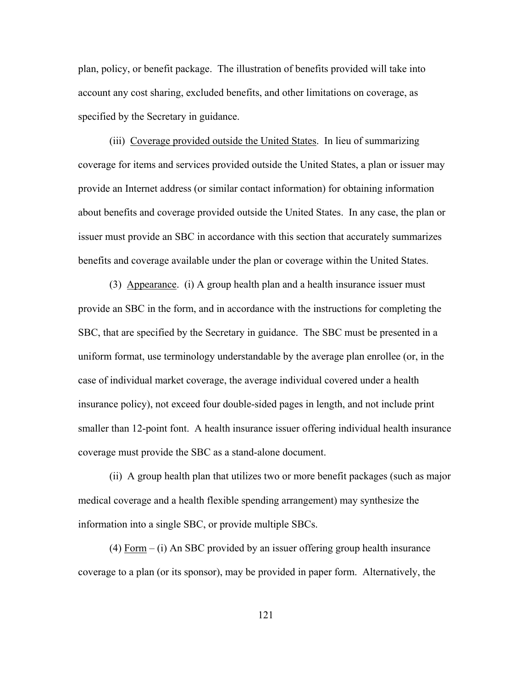plan, policy, or benefit package. The illustration of benefits provided will take into account any cost sharing, excluded benefits, and other limitations on coverage, as specified by the Secretary in guidance.

(iii) Coverage provided outside the United States. In lieu of summarizing coverage for items and services provided outside the United States, a plan or issuer may provide an Internet address (or similar contact information) for obtaining information about benefits and coverage provided outside the United States. In any case, the plan or issuer must provide an SBC in accordance with this section that accurately summarizes benefits and coverage available under the plan or coverage within the United States.

 (3) Appearance. (i) A group health plan and a health insurance issuer must provide an SBC in the form, and in accordance with the instructions for completing the SBC, that are specified by the Secretary in guidance. The SBC must be presented in a uniform format, use terminology understandable by the average plan enrollee (or, in the case of individual market coverage, the average individual covered under a health insurance policy), not exceed four double-sided pages in length, and not include print smaller than 12-point font. A health insurance issuer offering individual health insurance coverage must provide the SBC as a stand-alone document.

 (ii) A group health plan that utilizes two or more benefit packages (such as major medical coverage and a health flexible spending arrangement) may synthesize the information into a single SBC, or provide multiple SBCs.

(4) Form – (i) An SBC provided by an issuer offering group health insurance coverage to a plan (or its sponsor), may be provided in paper form. Alternatively, the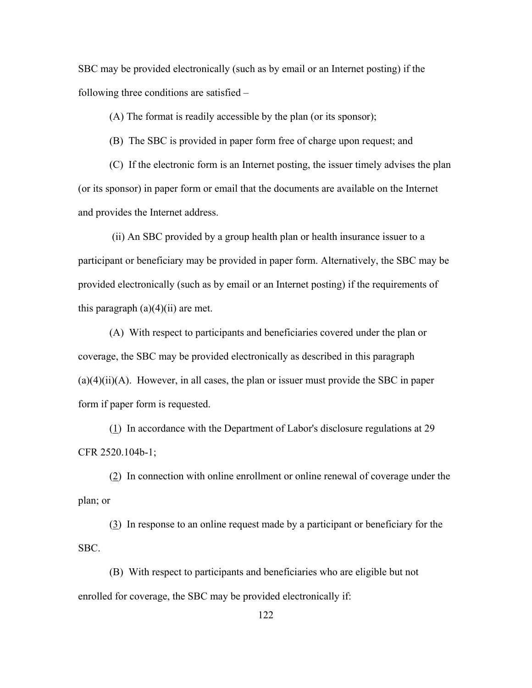SBC may be provided electronically (such as by email or an Internet posting) if the following three conditions are satisfied –

(A) The format is readily accessible by the plan (or its sponsor);

(B) The SBC is provided in paper form free of charge upon request; and

(C) If the electronic form is an Internet posting, the issuer timely advises the plan (or its sponsor) in paper form or email that the documents are available on the Internet and provides the Internet address.

 (ii) An SBC provided by a group health plan or health insurance issuer to a participant or beneficiary may be provided in paper form. Alternatively, the SBC may be provided electronically (such as by email or an Internet posting) if the requirements of this paragraph  $(a)(4)(ii)$  are met.

(A) With respect to participants and beneficiaries covered under the plan or coverage, the SBC may be provided electronically as described in this paragraph  $(a)(4)(ii)(A)$ . However, in all cases, the plan or issuer must provide the SBC in paper form if paper form is requested.

(1) In accordance with the Department of Labor's disclosure regulations at 29 CFR 2520.104b-1;

(2) In connection with online enrollment or online renewal of coverage under the plan; or

(3) In response to an online request made by a participant or beneficiary for the SBC.

 (B) With respect to participants and beneficiaries who are eligible but not enrolled for coverage, the SBC may be provided electronically if: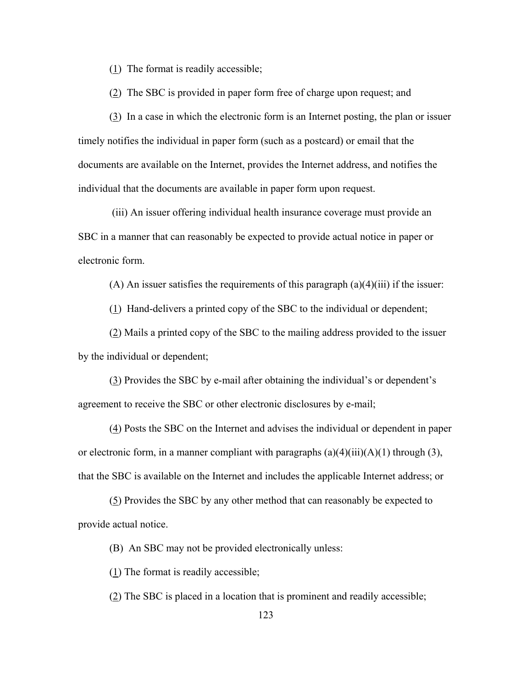(1) The format is readily accessible;

(2) The SBC is provided in paper form free of charge upon request; and

 (3) In a case in which the electronic form is an Internet posting, the plan or issuer timely notifies the individual in paper form (such as a postcard) or email that the documents are available on the Internet, provides the Internet address, and notifies the individual that the documents are available in paper form upon request.

 (iii) An issuer offering individual health insurance coverage must provide an SBC in a manner that can reasonably be expected to provide actual notice in paper or electronic form.

(A) An issuer satisfies the requirements of this paragraph  $(a)(4)(iii)$  if the issuer:

(1) Hand-delivers a printed copy of the SBC to the individual or dependent;

(2) Mails a printed copy of the SBC to the mailing address provided to the issuer by the individual or dependent;

(3) Provides the SBC by e-mail after obtaining the individual's or dependent's agreement to receive the SBC or other electronic disclosures by e-mail;

(4) Posts the SBC on the Internet and advises the individual or dependent in paper or electronic form, in a manner compliant with paragraphs  $(a)(4)(iii)(A)(1)$  through (3), that the SBC is available on the Internet and includes the applicable Internet address; or

(5) Provides the SBC by any other method that can reasonably be expected to provide actual notice.

(B) An SBC may not be provided electronically unless:

(1) The format is readily accessible;

(2) The SBC is placed in a location that is prominent and readily accessible;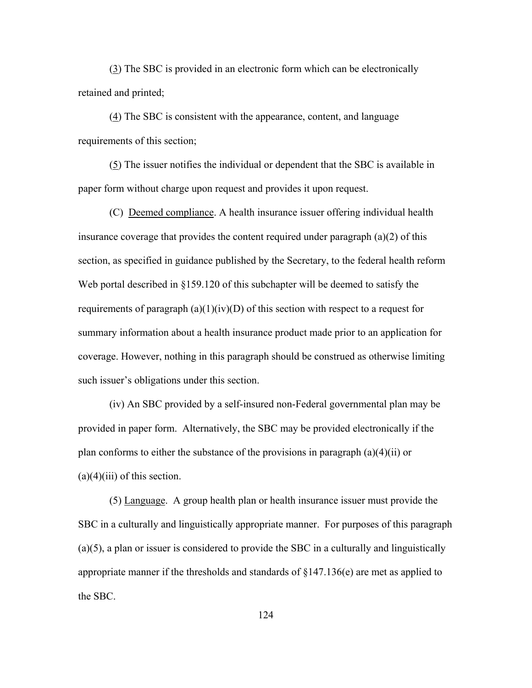(3) The SBC is provided in an electronic form which can be electronically retained and printed;

(4) The SBC is consistent with the appearance, content, and language requirements of this section;

(5) The issuer notifies the individual or dependent that the SBC is available in paper form without charge upon request and provides it upon request.

 (C) Deemed compliance. A health insurance issuer offering individual health insurance coverage that provides the content required under paragraph  $(a)(2)$  of this section, as specified in guidance published by the Secretary, to the federal health reform Web portal described in §159.120 of this subchapter will be deemed to satisfy the requirements of paragraph  $(a)(1)(iv)(D)$  of this section with respect to a request for summary information about a health insurance product made prior to an application for coverage. However, nothing in this paragraph should be construed as otherwise limiting such issuer's obligations under this section.

(iv) An SBC provided by a self-insured non-Federal governmental plan may be provided in paper form. Alternatively, the SBC may be provided electronically if the plan conforms to either the substance of the provisions in paragraph  $(a)(4)(ii)$  or  $(a)(4)(iii)$  of this section.

(5) Language. A group health plan or health insurance issuer must provide the SBC in a culturally and linguistically appropriate manner. For purposes of this paragraph (a)(5), a plan or issuer is considered to provide the SBC in a culturally and linguistically appropriate manner if the thresholds and standards of §147.136(e) are met as applied to the SBC.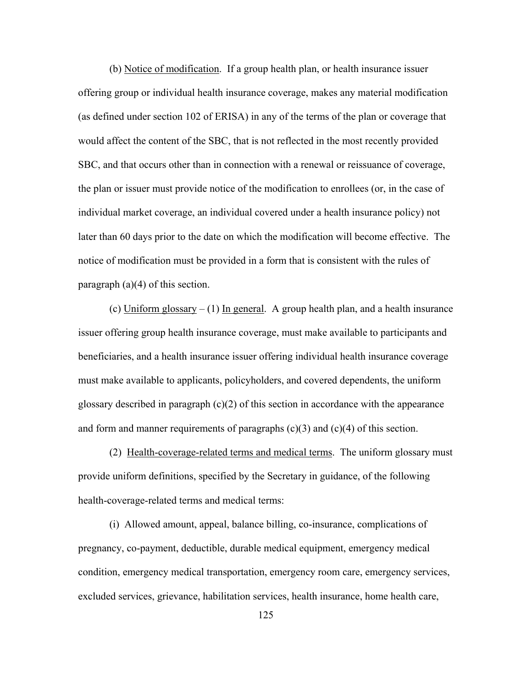(b) Notice of modification. If a group health plan, or health insurance issuer offering group or individual health insurance coverage, makes any material modification (as defined under section 102 of ERISA) in any of the terms of the plan or coverage that would affect the content of the SBC, that is not reflected in the most recently provided SBC, and that occurs other than in connection with a renewal or reissuance of coverage, the plan or issuer must provide notice of the modification to enrollees (or, in the case of individual market coverage, an individual covered under a health insurance policy) not later than 60 days prior to the date on which the modification will become effective. The notice of modification must be provided in a form that is consistent with the rules of paragraph  $(a)(4)$  of this section.

(c) Uniform glossary  $- (1)$  In general. A group health plan, and a health insurance issuer offering group health insurance coverage, must make available to participants and beneficiaries, and a health insurance issuer offering individual health insurance coverage must make available to applicants, policyholders, and covered dependents, the uniform glossary described in paragraph  $(c)(2)$  of this section in accordance with the appearance and form and manner requirements of paragraphs  $(c)(3)$  and  $(c)(4)$  of this section.

 (2) Health-coverage-related terms and medical terms. The uniform glossary must provide uniform definitions, specified by the Secretary in guidance, of the following health-coverage-related terms and medical terms:

 (i) Allowed amount, appeal, balance billing, co-insurance, complications of pregnancy, co-payment, deductible, durable medical equipment, emergency medical condition, emergency medical transportation, emergency room care, emergency services, excluded services, grievance, habilitation services, health insurance, home health care,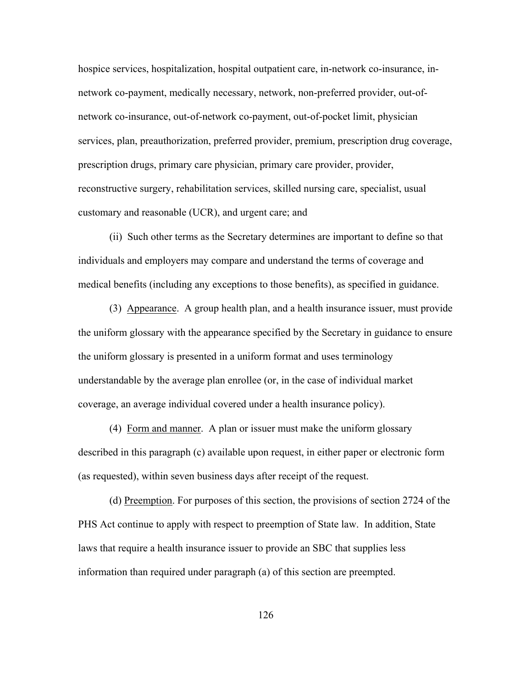hospice services, hospitalization, hospital outpatient care, in-network co-insurance, innetwork co-payment, medically necessary, network, non-preferred provider, out-ofnetwork co-insurance, out-of-network co-payment, out-of-pocket limit, physician services, plan, preauthorization, preferred provider, premium, prescription drug coverage, prescription drugs, primary care physician, primary care provider, provider, reconstructive surgery, rehabilitation services, skilled nursing care, specialist, usual customary and reasonable (UCR), and urgent care; and

 (ii) Such other terms as the Secretary determines are important to define so that individuals and employers may compare and understand the terms of coverage and medical benefits (including any exceptions to those benefits), as specified in guidance.

 (3) Appearance. A group health plan, and a health insurance issuer, must provide the uniform glossary with the appearance specified by the Secretary in guidance to ensure the uniform glossary is presented in a uniform format and uses terminology understandable by the average plan enrollee (or, in the case of individual market coverage, an average individual covered under a health insurance policy).

 (4) Form and manner. A plan or issuer must make the uniform glossary described in this paragraph (c) available upon request, in either paper or electronic form (as requested), within seven business days after receipt of the request.

(d) Preemption. For purposes of this section, the provisions of section 2724 of the PHS Act continue to apply with respect to preemption of State law. In addition, State laws that require a health insurance issuer to provide an SBC that supplies less information than required under paragraph (a) of this section are preempted.